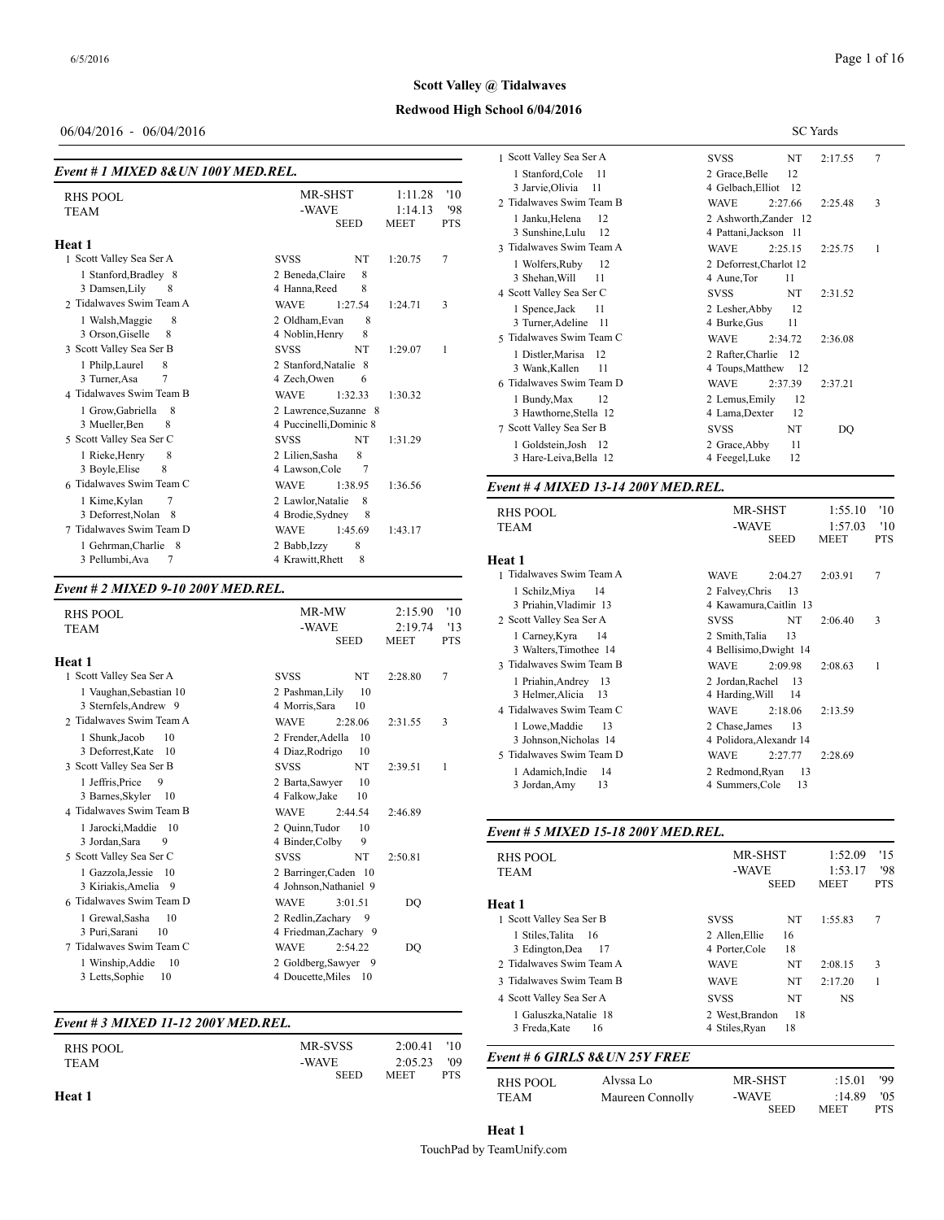## **Redwood High School 6/04/2016**

## 06/04/2016 - 06/04/2016

| Event # 1 MIXED 8& UN 100Y MED.REL.                                         |                                                                                                         | 1 Stanford, Col                                                           |
|-----------------------------------------------------------------------------|---------------------------------------------------------------------------------------------------------|---------------------------------------------------------------------------|
| RHS POOL<br><b>TEAM</b>                                                     | <b>MR-SHST</b><br>1:11.28<br>'10<br>'98<br>-WAVE<br>1:14.13<br><b>SEED</b><br><b>PTS</b><br><b>MEET</b> | 3 Jarvie, Olivia<br>2 Tidalwaves Swi<br>1 Janku, Helena<br>3 Sunshine,Lul |
| Heat 1                                                                      |                                                                                                         | 3 Tidalwaves Swi                                                          |
| 1 Scott Valley Sea Ser A<br>1 Stanford, Bradley 8<br>3 Damsen, Lily         | $\overline{7}$<br><b>NT</b><br><b>SVSS</b><br>1:20.75<br>8<br>2 Beneda, Claire<br>4 Hanna, Reed<br>8    | 1 Wolfers, Rub<br>3 Shehan, Will<br>4 Scott Valley Sea                    |
| 2 Tidalwayes Swim Team A<br>8<br>1 Walsh, Maggie<br>3 Orson, Giselle<br>8   | 3<br><b>WAVE</b><br>1:27.54<br>1:24.71<br>2 Oldham.Evan<br>8<br>4 Noblin, Henry<br>8                    | 1 Spence, Jack<br>3 Turner, Adeli:<br>5 Tidalwaves Swi                    |
| 3 Scott Valley Sea Ser B<br>1 Philp, Laurel<br>8<br>7<br>3 Turner, Asa      | <b>NT</b><br><b>SVSS</b><br>1:29.07<br>1<br>2 Stanford, Natalie 8<br>4 Zech, Owen<br>6                  | 1 Distler, Maris<br>3 Wank, Kallen<br>6 Tidalwaves Swi                    |
| 4 Tidalwayes Swim Team B<br>1 Grow, Gabriella<br>- 8<br>3 Mueller, Ben<br>8 | <b>WAVE</b><br>1:32.33<br>1:30.32<br>2 Lawrence, Suzanne 8<br>4 Puccinelli, Dominic 8                   | 1 Bundy, Max<br>3 Hawthorne, S<br>7 Scott Valley Sea                      |
| 5 Scott Valley Sea Ser C<br>8<br>1 Rieke, Henry<br>3 Boyle, Elise<br>8      | <b>NT</b><br><b>SVSS</b><br>1:31.29<br>8<br>2 Lilien, Sasha<br>$\overline{7}$<br>4 Lawson, Cole         | 1 Goldstein, Jos<br>3 Hare-Leiva, E                                       |
| 6 Tidalwayes Swim Team C                                                    | <b>WAVE</b><br>1:38.95<br>1:36.56                                                                       | Event #4 MIXE                                                             |
| 7<br>1 Kime, Kylan<br>3 Deforrest, Nolan 8<br>7 Tidalwayes Swim Team D      | 2 Lawlor, Natalie<br>8<br>4 Brodie, Sydney<br>8<br>1:45.69<br>1:43.17<br><b>WAVE</b>                    | <b>RHS POOL</b><br><b>TEAM</b>                                            |
| 1 Gehrman, Charlie 8<br>3 Pellumbi, Ava<br>7                                | 8<br>2 Babb, Izzy<br>8<br>4 Krawitt, Rhett                                                              | Heat 1                                                                    |

## *Event # 2 MIXED 9-10 200Y MED.REL.*

| <b>RHS POOL</b><br><b>TEAM</b>    | MR-MW<br>-WAVE<br><b>SEED</b>      | '10<br>2:15.90<br>2:19.74<br>13<br><b>MEET</b><br><b>PTS</b> | 3 Priahin, Vlad<br>2 Scott Valley Sea<br>1 Carney, Kyra<br>3 Walters, Time |
|-----------------------------------|------------------------------------|--------------------------------------------------------------|----------------------------------------------------------------------------|
| Heat 1                            |                                    |                                                              | 3 Tidalwaves Swi                                                           |
| 1 Scott Valley Sea Ser A          | <b>SVSS</b><br>NT                  | 7<br>2:28.80                                                 | 1 Priahin.Andr                                                             |
| 1 Vaughan, Sebastian 10           | 10<br>2 Pashman, Lily              |                                                              | 3 Helmer, Alici                                                            |
| 3 Sternfels, Andrew 9             | 4 Morris.Sara<br>10                |                                                              | 4 Tidalwaves Swi                                                           |
| 2 Tidalwayes Swim Team A          | <b>WAVE</b><br>2:28.06             | 3<br>2:31.55                                                 | 1 Lowe, Maddi                                                              |
| 10<br>1 Shunk, Jacob              | 2 Frender, Adella<br>10            |                                                              | 3 Johnson, Nicl                                                            |
| 3 Deforrest, Kate<br>-10          | 4 Diaz, Rodrigo<br>10              |                                                              | 5 Tidalwaves Swi                                                           |
| 3 Scott Valley Sea Ser B          | NT<br><b>SVSS</b>                  | 2:39.51<br>1                                                 | 1 Adamich, Ind                                                             |
| 9<br>1 Jeffris, Price             | 2 Barta, Sawyer<br>10              |                                                              | 3 Jordan, Amy                                                              |
| 3 Barnes, Skyler<br>-10           | 10<br>4 Falkow, Jake               |                                                              |                                                                            |
| 4 Tidalwayes Swim Team B          | <b>WAVE</b><br>2:44.54             | 2:46.89                                                      |                                                                            |
| 1 Jarocki, Maddie 10              | 2 Ouinn.Tudor<br>10                |                                                              | Event # 5 MIXE                                                             |
| 3 Jordan, Sara<br>9               | 9<br>4 Binder, Colby               |                                                              |                                                                            |
| 5 Scott Valley Sea Ser C          | <b>SVSS</b><br>NT                  | 2:50.81                                                      | <b>RHS POOL</b>                                                            |
| 1 Gazzola, Jessie<br>10           | 2 Barringer.Caden 10               |                                                              | <b>TEAM</b>                                                                |
| 3 Kiriakis, Amelia 9              | 4 Johnson, Nathaniel 9             |                                                              |                                                                            |
| 6 Tidalwayes Swim Team D          | <b>WAVE</b><br>3:01.51             | DO                                                           | Heat 1                                                                     |
| 1 Grewal, Sasha<br>10             | 2 Redlin.Zacharv<br>$\overline{9}$ |                                                              | 1 Scott Valley Sea                                                         |
| 3 Puri, Sarani<br>10              | 4 Friedman, Zachary 9              |                                                              | 1 Stiles, Talita                                                           |
| 7 Tidalwaves Swim Team C          | <b>WAVE</b><br>2:54.22             | DO                                                           | 3 Edington, Dea                                                            |
| 1 Winship, Addie<br><sup>10</sup> | 2 Goldberg, Sawyer 9               |                                                              | 2 Tidalwaves Swi                                                           |
| 3 Letts, Sophie<br>10             | 4 Doucette, Miles<br>- 10          |                                                              | 3 Tidalwaves Swi                                                           |
|                                   |                                    |                                                              |                                                                            |

## *Event # 3 MIXED 11-12 200Y MED.REL.*

|               |             |                           | - - - - - - - - - - - - - |
|---------------|-------------|---------------------------|---------------------------|
|               |             |                           |                           |
| RHS POOL      | MR-SVSS     | 2:00.41<br>'10            |                           |
| <b>TEAM</b>   | -WAVE       | '09<br>2:05.23            | Event # 6 GIRL.           |
|               | <b>SEED</b> | <b>PTS</b><br><b>MEET</b> |                           |
|               |             |                           | RHS POOL                  |
| <b>Heat 1</b> |             |                           | <b>TEAM</b>               |
|               |             |                           |                           |

|                                                   | <b>SC</b> Yards                                  |  |  |  |  |  |  |
|---------------------------------------------------|--------------------------------------------------|--|--|--|--|--|--|
| 1 Scott Valley Sea Ser A                          | 7<br><b>SVSS</b><br>NT<br>2:17.55                |  |  |  |  |  |  |
| 1 Stanford, Cole<br>-11<br>3 Jarvie, Olivia<br>11 | 12<br>2 Grace, Belle<br>4 Gelbach, Elliot<br>-12 |  |  |  |  |  |  |
| 2 Tidalwaves Swim Team B                          | <b>WAVE</b><br>2:25.48<br>3<br>2:27.66           |  |  |  |  |  |  |
| 12<br>1 Janku, Helena<br>3 Sunshine, Lulu<br>12   | 2 Ashworth, Zander 12<br>4 Pattani, Jackson 11   |  |  |  |  |  |  |
| 3 Tidalwaves Swim Team A                          | <b>WAVE</b><br>2:25.15<br>2:25.75<br>1           |  |  |  |  |  |  |
| 12<br>1 Wolfers, Ruby<br>3 Shehan, Will<br>11     | 2 Deforrest, Charlot 12<br>4 Aune, Tor<br>11     |  |  |  |  |  |  |
| 4 Scott Valley Sea Ser C                          | <b>SVSS</b><br>NT<br>2:31.52                     |  |  |  |  |  |  |
| 1 Spence, Jack<br>-11<br>3 Turner, Adeline 11     | 12<br>2 Lesher, Abby<br>4 Burke, Gus<br>11       |  |  |  |  |  |  |
| 5 Tidalwaves Swim Team C                          | <b>WAVE</b><br>2:34.72<br>2:36.08                |  |  |  |  |  |  |
| 1 Distler, Marisa<br>-12<br>3 Wank, Kallen<br>11  | 2 Rafter, Charlie 12<br>4 Toups, Matthew 12      |  |  |  |  |  |  |
| 6 Tidalwaves Swim Team D                          | <b>WAVE</b><br>2:37.39<br>2:37.21                |  |  |  |  |  |  |
| 1 Bundy, Max<br>12<br>3 Hawthorne, Stella 12      | 2 Lemus, Emily<br>12<br>4 Lama, Dexter<br>12     |  |  |  |  |  |  |
| 7 Scott Valley Sea Ser B                          | NT<br><b>SVSS</b><br>DQ                          |  |  |  |  |  |  |
| 1 Goldstein, Josh 12<br>3 Hare-Leiva, Bella 12    | 11<br>2 Grace, Abby<br>12<br>4 Feegel, Luke      |  |  |  |  |  |  |

#### *Event # 4 MIXED 13-14 200Y MED.REL.*

| <b>RHS POOL</b><br>TEAM                          | 1:55.10<br>'10<br>MR-SHST<br>'10<br>-WAVE<br>1:57.03<br><b>SEED</b><br><b>MEET</b><br><b>PTS</b> |
|--------------------------------------------------|--------------------------------------------------------------------------------------------------|
| Heat 1                                           |                                                                                                  |
| 1 Tidalwaves Swim Team A                         | 7<br>2:03.91<br><b>WAVE</b><br>2:04.27                                                           |
| 1 Schilz, Miya<br>14<br>3 Priahin Vladimir 13    | 2 Falvey, Chris<br>13<br>4 Kawamura, Caitlin 13                                                  |
| 2 Scott Valley Sea Ser A                         | 3<br>NT<br><b>SVSS</b><br>2:06.40                                                                |
| 1 Carney, Kyra<br>14<br>3 Walters, Timothee 14   | 13<br>2 Smith, Talia<br>4 Bellisimo, Dwight 14                                                   |
| 3 Tidalwaves Swim Team B                         | <b>WAVE</b><br>2:08.63<br>2:09.98<br>1                                                           |
| 1 Priahin, Andrey 13<br>3 Helmer, Alicia<br>- 13 | 2 Jordan, Rachel<br>13<br>4 Harding, Will<br>14                                                  |
| 4 Tidalwaves Swim Team C                         | <b>WAVE</b><br>2:18.06<br>2:13.59                                                                |
| 1 Lowe, Maddie<br>13<br>3 Johnson, Nicholas 14   | 2 Chase, James<br>13<br>4 Polidora, Alexandr 14                                                  |
| 5 Tidalwaves Swim Team D                         | <b>WAVE</b><br>2:27.77<br>2:28.69                                                                |
| 1 Adamich, Indie<br>14                           | 2 Redmond, Ryan<br>13                                                                            |
| 13<br>3 Jordan, Amy                              | 13<br>4 Summers, Cole                                                                            |

| Event # 5 MIXED 15-18 200Y MED.REL. |                               |                                 |                                   |                          |              |  |  |  |
|-------------------------------------|-------------------------------|---------------------------------|-----------------------------------|--------------------------|--------------|--|--|--|
| <b>RHS POOL</b><br><b>TEAM</b>      |                               | MR-SHST<br>-WAVE<br><b>SEED</b> | 1:52.09<br>1:53.17<br><b>MEET</b> | '15<br>'98<br><b>PTS</b> |              |  |  |  |
| Heat 1                              |                               |                                 |                                   |                          |              |  |  |  |
| 1 Scott Valley Sea Ser B            |                               | <b>SVSS</b>                     | NT                                | 1:55.83                  | 7            |  |  |  |
| 1 Stiles, Talita 16                 |                               | 2 Allen, Ellie                  | 16                                |                          |              |  |  |  |
| 3 Edington, Dea                     | -17                           | 4 Porter, Cole                  | 18                                |                          |              |  |  |  |
| 2 Tidalwayes Swim Team A            |                               | <b>WAVE</b>                     | NT                                | 2:08.15                  | 3            |  |  |  |
| 3 Tidalwayes Swim Team B            |                               | <b>WAVE</b>                     | NT                                | 2:17.20                  | $\mathbf{1}$ |  |  |  |
| 4 Scott Valley Sea Ser A            |                               | <b>SVSS</b>                     | NT                                | <b>NS</b>                |              |  |  |  |
| 1 Galuszka, Natalie 18              |                               | 2 West, Brandon                 | 18                                |                          |              |  |  |  |
| 3 Freda, Kate                       | 16                            | 4 Stiles, Ryan                  | 18                                |                          |              |  |  |  |
|                                     | Event # 6 GIRLS 8&UN 25Y FREE |                                 |                                   |                          |              |  |  |  |
| RHS POOL                            | Alvssa Lo                     | MR-SHST                         |                                   | :15.01                   | '99          |  |  |  |
| <b>TEAM</b>                         | Maureen Connolly              | -WAVE                           |                                   | :14.89                   | '05          |  |  |  |
|                                     |                               |                                 | <b>SEED</b>                       | <b>MEET</b>              | <b>PTS</b>   |  |  |  |

| <b>Heat 1</b>             |  |
|---------------------------|--|
| TouchPad by TeamUnify.com |  |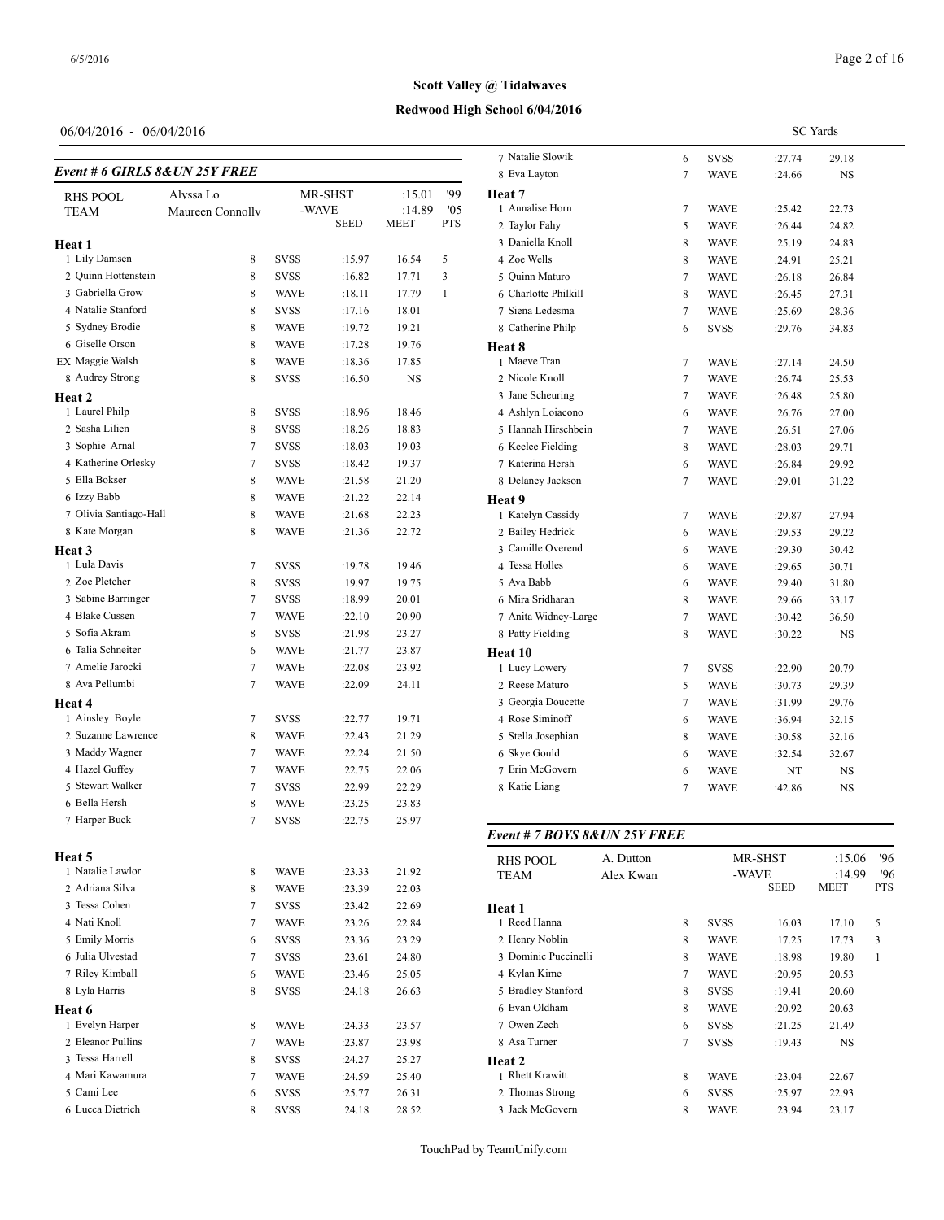**Heat 1**

**Heat 2** 1 Laurel Philp 2 Sasha Lilien 3 Sophie Arnal 4 Katherine Orlesky 5 Ella Bokser

**Heat 3** 1 Lula Davis 2 Zoe Pletcher 3 Sabine Barringer 4 Blake Cussen 5 Sofia Akram 6 Talia Schneiter 7 Amelie Jarocki 8 Ava Pellumbi

**Heat 4**

**Heat 5**

1 Natalie Lawlor 2 Adriana Silva 3 Tessa Cohen 4 Nati Knoll 5 Emily Morris 6 Julia Ulvestad 7 Riley Kimball  $8\,$  Lyla Harris **Heat 6**

4 Mari Kawamura 7 WAVE :24.59 25.40 5 Cami Lee 6 SVSS :25.77 26.31 6 Lucca Dietrich 8 SVSS :24.18 28.52

1 Lily Damsen 2 Quinn Hottenstein 3 Gabriella Grow 4 Natalie Stanford 5 Sydney Brodie 6 Giselle Orson EX Maggie Walsh 8 Audrey Strong

# **Redwood High School 6/04/2016 Scott Valley @ Tidalwaves**

## 06/04/2016 - 06/04/20

## *Event # 6 GIRLS 8&Ul*

| 06/04/2016 - 06/04/2016             |                  |             |             |             |            |                               |           |   |             |             | <b>SC</b> Yards |                   |
|-------------------------------------|------------------|-------------|-------------|-------------|------------|-------------------------------|-----------|---|-------------|-------------|-----------------|-------------------|
|                                     |                  |             |             |             |            | 7 Natalie Slowik              |           | 6 | <b>SVSS</b> | :27.74      | 29.18           |                   |
| vent # 6 GIRLS 8&UN 25Y FREE        |                  |             |             |             |            | 8 Eva Layton                  |           | 7 | <b>WAVE</b> | :24.66      | NS              |                   |
| <b>RHS POOL</b>                     | Alyssa Lo        |             | MR-SHST     | :15.01      | '99        | Heat 7                        |           |   |             |             |                 |                   |
| TEAM                                | Maureen Connolly |             | -WAVE       | :14.89      | '05        | 1 Annalise Horn               |           | 7 | WAVE        | :25.42      | 22.73           |                   |
|                                     |                  |             | <b>SEED</b> | <b>MEET</b> | <b>PTS</b> | 2 Taylor Fahy                 |           | 5 | <b>WAVE</b> | :26.44      | 24.82           |                   |
| eat 1                               |                  |             |             |             |            | 3 Daniella Knoll              |           | 8 | <b>WAVE</b> | :25.19      | 24.83           |                   |
| 1 Lily Damsen                       | 8                | <b>SVSS</b> | :15.97      | 16.54       | 5          | 4 Zoe Wells                   |           | 8 | <b>WAVE</b> | :24.91      | 25.21           |                   |
| 2 Quinn Hottenstein                 | 8                | <b>SVSS</b> | :16.82      | 17.71       | 3          | 5 Quinn Maturo                |           | 7 | <b>WAVE</b> | :26.18      | 26.84           |                   |
| 3 Gabriella Grow                    | 8                | <b>WAVE</b> | :18.11      | 17.79       | -1         | 6 Charlotte Philkill          |           | 8 | <b>WAVE</b> | :26.45      | 27.31           |                   |
| 4 Natalie Stanford                  | 8                | <b>SVSS</b> | :17.16      | 18.01       |            | 7 Siena Ledesma               |           | 7 | WAVE        | :25.69      | 28.36           |                   |
| 5 Sydney Brodie                     | 8                | <b>WAVE</b> | :19.72      | 19.21       |            | 8 Catherine Philp             |           | 6 | <b>SVSS</b> | :29.76      | 34.83           |                   |
| 6 Giselle Orson                     | 8                | <b>WAVE</b> | :17.28      | 19.76       |            | Heat 8                        |           |   |             |             |                 |                   |
| X Maggie Walsh                      | 8                | <b>WAVE</b> | :18.36      | 17.85       |            | 1 Maeve Tran                  |           | 7 | WAVE        | :27.14      | 24.50           |                   |
| 8 Audrey Strong                     | 8                | <b>SVSS</b> | :16.50      | NS          |            | 2 Nicole Knoll                |           | 7 | <b>WAVE</b> | :26.74      | 25.53           |                   |
| eat 2                               |                  |             |             |             |            | 3 Jane Scheuring              |           | 7 | <b>WAVE</b> | :26.48      | 25.80           |                   |
| 1 Laurel Philp                      | 8                | <b>SVSS</b> | :18.96      | 18.46       |            | 4 Ashlyn Loiacono             |           | 6 | <b>WAVE</b> | :26.76      | 27.00           |                   |
| 2 Sasha Lilien                      | 8                | <b>SVSS</b> | :18.26      | 18.83       |            | 5 Hannah Hirschbein           |           | 7 | <b>WAVE</b> | :26.51      | 27.06           |                   |
| 3 Sophie Arnal                      | 7                | <b>SVSS</b> | :18.03      | 19.03       |            | 6 Keelee Fielding             |           | 8 | <b>WAVE</b> | :28.03      | 29.71           |                   |
| 4 Katherine Orlesky                 | 7                | <b>SVSS</b> | :18.42      | 19.37       |            | 7 Katerina Hersh              |           | 6 | <b>WAVE</b> | :26.84      | 29.92           |                   |
| 5 Ella Bokser                       | 8                | <b>WAVE</b> | :21.58      | 21.20       |            | 8 Delaney Jackson             |           | 7 | <b>WAVE</b> | :29.01      | 31.22           |                   |
| 6 Izzy Babb                         | 8                | WAVE        | :21.22      | 22.14       |            | Heat 9                        |           |   |             |             |                 |                   |
| 7 Olivia Santiago-Hall              | 8                | WAVE        | :21.68      | 22.23       |            | 1 Katelyn Cassidy             |           | 7 | <b>WAVE</b> | :29.87      | 27.94           |                   |
| 8 Kate Morgan                       | 8                | <b>WAVE</b> | :21.36      | 22.72       |            | 2 Bailey Hedrick              |           | 6 | <b>WAVE</b> | :29.53      | 29.22           |                   |
|                                     |                  |             |             |             |            | 3 Camille Overend             |           | 6 | <b>WAVE</b> | :29.30      | 30.42           |                   |
| eat 3<br>1 Lula Davis               | 7                | <b>SVSS</b> | :19.78      | 19.46       |            | 4 Tessa Holles                |           | 6 | <b>WAVE</b> | :29.65      | 30.71           |                   |
| 2 Zoe Pletcher                      | 8                | <b>SVSS</b> | :19.97      | 19.75       |            | 5 Ava Babb                    |           |   |             |             |                 |                   |
| 3 Sabine Barringer                  | 7                |             |             |             |            | 6 Mira Sridharan              |           | 6 | WAVE        | :29.40      | 31.80           |                   |
| 4 Blake Cussen                      |                  | <b>SVSS</b> | :18.99      | 20.01       |            |                               |           | 8 | WAVE        | :29.66      | 33.17           |                   |
|                                     | 7                | WAVE        | :22.10      | 20.90       |            | 7 Anita Widney-Large          |           | 7 | <b>WAVE</b> | :30.42      | 36.50           |                   |
| 5 Sofia Akram                       | 8                | <b>SVSS</b> | :21.98      | 23.27       |            | 8 Patty Fielding              |           | 8 | <b>WAVE</b> | :30.22      | <b>NS</b>       |                   |
| 6 Talia Schneiter                   | 6                | <b>WAVE</b> | :21.77      | 23.87       |            | Heat 10                       |           |   |             |             |                 |                   |
| 7 Amelie Jarocki                    | 7                | <b>WAVE</b> | :22.08      | 23.92       |            | 1 Lucy Lowery                 |           | 7 | <b>SVSS</b> | :22.90      | 20.79           |                   |
| 8 Ava Pellumbi                      | 7                | <b>WAVE</b> | :22.09      | 24.11       |            | 2 Reese Maturo                |           | 5 | WAVE        | :30.73      | 29.39           |                   |
| eat 4                               |                  |             |             |             |            | 3 Georgia Doucette            |           | 7 | <b>WAVE</b> | :31.99      | 29.76           |                   |
| 1 Ainsley Boyle                     | 7                | <b>SVSS</b> | :22.77      | 19.71       |            | 4 Rose Siminoff               |           | 6 | <b>WAVE</b> | :36.94      | 32.15           |                   |
| 2 Suzanne Lawrence                  | 8                | WAVE        | :22.43      | 21.29       |            | 5 Stella Josephian            |           | 8 | WAVE        | :30.58      | 32.16           |                   |
| 3 Maddy Wagner                      | 7                | <b>WAVE</b> | :22.24      | 21.50       |            | 6 Skye Gould                  |           | 6 | <b>WAVE</b> | :32.54      | 32.67           |                   |
| 4 Hazel Guffey                      | 7                | WAVE        | :22.75      | 22.06       |            | 7 Erin McGovern               |           | 6 | WAVE        | NT          | NS              |                   |
| 5 Stewart Walker                    | 7                | <b>SVSS</b> | :22.99      | 22.29       |            | 8 Katie Liang                 |           | 7 | <b>WAVE</b> | :42.86      | <b>NS</b>       |                   |
| 6 Bella Hersh                       | 8                | <b>WAVE</b> | :23.25      | 23.83       |            |                               |           |   |             |             |                 |                   |
| 7 Harper Buck                       | $\tau$           | <b>SVSS</b> | :22.75      | 25.97       |            | Event # 7 BOYS 8& UN 25Y FREE |           |   |             |             |                 |                   |
|                                     |                  |             |             |             |            |                               |           |   |             |             |                 |                   |
| eat 5                               |                  |             |             |             |            | <b>RHS POOL</b>               | A. Dutton |   |             | MR-SHST     | :15.06          | 96                |
| 1 Natalie Lawlor<br>2 Adriana Silva | 8                | <b>WAVE</b> | :23.33      | 21.92       |            | TEAM                          | Alex Kwan |   | -WAVE       | <b>SEED</b> | :14.99<br>MEET  | '96<br><b>PTS</b> |
|                                     | 8                | <b>WAVE</b> | :23.39      | 22.03       |            |                               |           |   |             |             |                 |                   |
| 3 Tessa Cohen                       | 7                | <b>SVSS</b> | :23.42      | 22.69       |            | Heat 1                        |           |   |             |             |                 |                   |
| 4 Nati Knoll                        | 7                | WAVE        | :23.26      | 22.84       |            | 1 Reed Hanna                  |           | 8 | <b>SVSS</b> | :16.03      | 17.10           | 5                 |
| 5 Emily Morris                      | 6                | <b>SVSS</b> | :23.36      | 23.29       |            | 2 Henry Noblin                |           | 8 | <b>WAVE</b> | :17.25      | 17.73           | 3                 |
| 6 Julia Ulvestad                    | 7                | <b>SVSS</b> | :23.61      | 24.80       |            | 3 Dominic Puccinelli          |           | 8 | <b>WAVE</b> | :18.98      | 19.80           | -1                |
| 7 Riley Kimball                     | 6                | <b>WAVE</b> | :23.46      | 25.05       |            | 4 Kylan Kime                  |           | 7 | <b>WAVE</b> | :20.95      | 20.53           |                   |
| 8 Lyla Harris                       | 8                | <b>SVSS</b> | :24.18      | 26.63       |            | 5 Bradley Stanford            |           | 8 | <b>SVSS</b> | :19.41      | 20.60           |                   |
| eat 6                               |                  |             |             |             |            | 6 Evan Oldham                 |           | 8 | <b>WAVE</b> | :20.92      | 20.63           |                   |
| 1 Evelyn Harper                     | 8                | WAVE        | :24.33      | 23.57       |            | 7 Owen Zech                   |           | 6 | <b>SVSS</b> | :21.25      | 21.49           |                   |
| 2 Eleanor Pullins                   | 7                | <b>WAVE</b> | :23.87      | 23.98       |            | 8 Asa Turner                  |           | 7 | SVSS        | :19.43      | NS              |                   |
| 3 Tessa Harrell                     | 8                | <b>SVSS</b> | :24.27      | 25.27       |            | Heat 2                        |           |   |             |             |                 |                   |

1 Rhett Krawitt **8** WAVE :23.04 22.67 2 Thomas Strong 6 SVSS :25.97 22.93 3 Jack McGovern 8 WAVE :23.94 23.17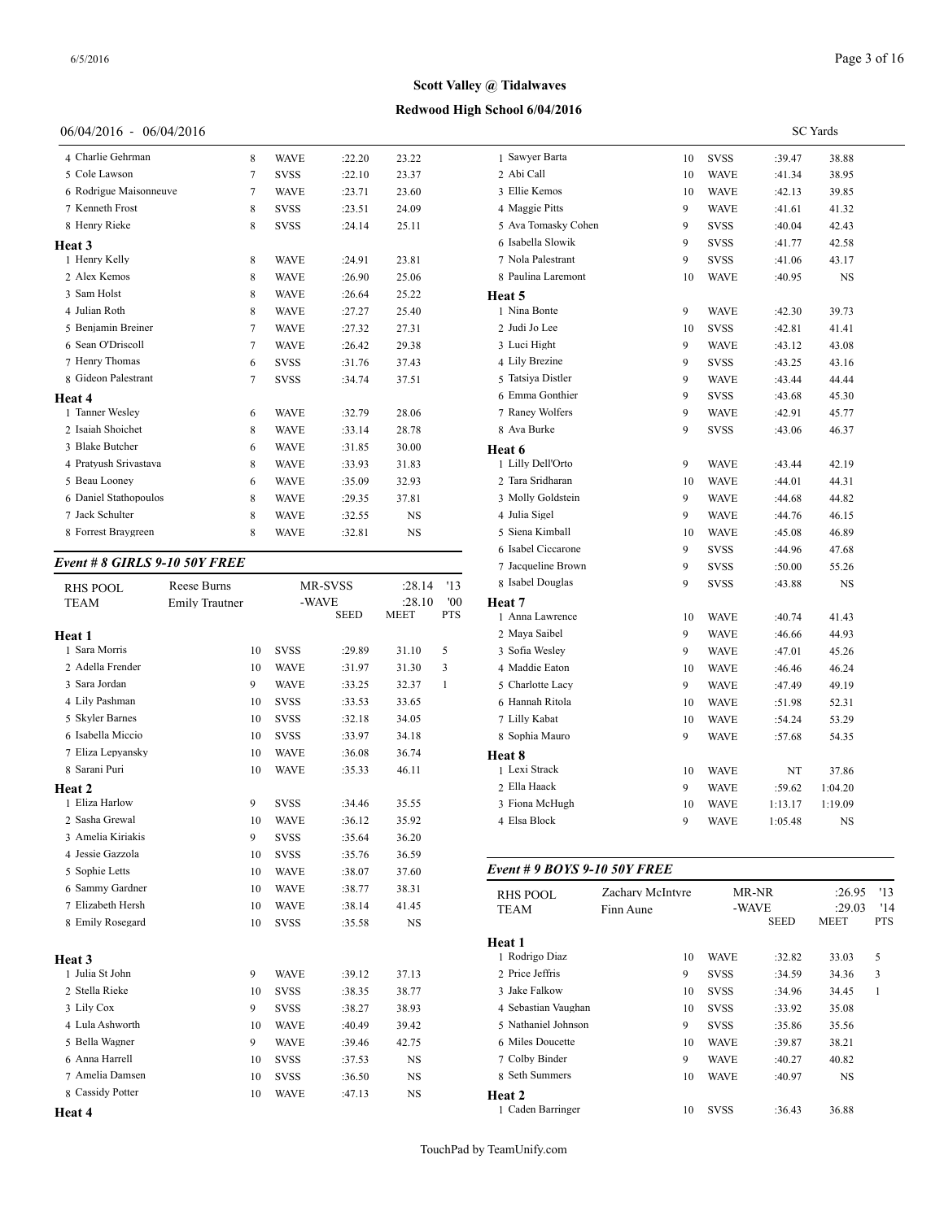## **Redwood High School 6/04/2016**

## 06/04/2016 - 06/04/2016

| 4 Charlie Gehrman      | 8      | <b>WAVE</b> | :22.20 | 23.22     | 1 Sawye   |
|------------------------|--------|-------------|--------|-----------|-----------|
| 5 Cole Lawson          | 7      | <b>SVSS</b> | :22.10 | 23.37     | 2 Abi Ca  |
| 6 Rodrigue Maisonneuve | 7      | <b>WAVE</b> | :23.71 | 23.60     | 3 Ellie K |
| 7 Kenneth Frost        | 8      | <b>SVSS</b> | :23.51 | 24.09     | 4 Maggi   |
| 8 Henry Rieke          | 8      | <b>SVSS</b> | :24.14 | 25.11     | 5 Ava To  |
| Heat 3                 |        |             |        |           | 6 Isabell |
| 1 Henry Kelly          | 8      | <b>WAVE</b> | :24.91 | 23.81     | 7 Nola F  |
| 2 Alex Kemos           | 8      | <b>WAVE</b> | :26.90 | 25.06     | 8 Paulin  |
| 3 Sam Holst            | 8      | <b>WAVE</b> | :26.64 | 25.22     | Heat 5    |
| 4 Julian Roth          | 8      | <b>WAVE</b> | :27.27 | 25.40     | 1 Nina E  |
| 5 Benjamin Breiner     | $\tau$ | <b>WAVE</b> | :27.32 | 27.31     | 2 Judi Jo |
| 6 Sean O'Driscoll      | 7      | <b>WAVE</b> | :26.42 | 29.38     | 3 Luci F  |
| 7 Henry Thomas         | 6      | <b>SVSS</b> | :31.76 | 37.43     | 4 Lily B  |
| 8 Gideon Palestrant    | 7      | <b>SVSS</b> | :34.74 | 37.51     | 5 Tatsiya |
| Heat 4                 |        |             |        |           | 6 Emma    |
| 1 Tanner Wesley        | 6      | <b>WAVE</b> | :32.79 | 28.06     | 7 Raney   |
| 2 Isaiah Shoichet      | 8      | <b>WAVE</b> | :33.14 | 28.78     | 8 Ava B   |
| 3 Blake Butcher        | 6      | <b>WAVE</b> | :31.85 | 30.00     | Heat 6    |
| 4 Pratyush Srivastava  | 8      | <b>WAVE</b> | :33.93 | 31.83     | 1 Lilly I |
| 5 Beau Looney          | 6      | <b>WAVE</b> | :35.09 | 32.93     | 2 Tara S  |
| 6 Daniel Stathopoulos  | 8      | <b>WAVE</b> | :29.35 | 37.81     | 3 Molly   |
| 7 Jack Schulter        | 8      | <b>WAVE</b> | :32.55 | <b>NS</b> | 4 Julia S |
| 8 Forrest Braygreen    | 8      | <b>WAVE</b> | :32.81 | <b>NS</b> | 5 Siena   |
|                        |        |             |        |           |           |

## *Event # 8 GIRLS 9-10 50Y FREE*

| <b>RHS POOL</b>           | Reese Burns           |    |             | MR-SVSS     | :28.14      | '13        | 8 Isabel Douglas  |
|---------------------------|-----------------------|----|-------------|-------------|-------------|------------|-------------------|
| <b>TEAM</b>               | <b>Emily Trautner</b> |    | -WAVE       |             | :28.10      | '00        | Heat 7            |
|                           |                       |    |             | <b>SEED</b> | <b>MEET</b> | <b>PTS</b> | 1 Anna Lawrence   |
| Heat 1                    |                       |    |             |             |             |            | 2 Maya Saibel     |
| 1 Sara Morris             |                       | 10 | <b>SVSS</b> | :29.89      | 31.10       | 5          | 3 Sofia Wesley    |
| 2 Adella Frender          |                       | 10 | <b>WAVE</b> | :31.97      | 31.30       | 3          | 4 Maddie Eaton    |
| 3 Sara Jordan             |                       | 9  | <b>WAVE</b> | :33.25      | 32.37       | 1          | 5 Charlotte Lacy  |
| 4 Lily Pashman            |                       | 10 | <b>SVSS</b> | :33.53      | 33.65       |            | 6 Hannah Ritola   |
| 5 Skyler Barnes           |                       | 10 | <b>SVSS</b> | :32.18      | 34.05       |            | 7 Lilly Kabat     |
| 6 Isabella Miccio         |                       | 10 | <b>SVSS</b> | :33.97      | 34.18       |            | 8 Sophia Mauro    |
| 7 Eliza Lepyansky         |                       | 10 | <b>WAVE</b> | :36.08      | 36.74       |            | Heat 8            |
| 8 Sarani Puri             |                       | 10 | <b>WAVE</b> | :35.33      | 46.11       |            | 1 Lexi Strack     |
| Heat 2                    |                       |    |             |             |             |            | 2 Ella Haack      |
| 1 Eliza Harlow            |                       | 9  | <b>SVSS</b> | :34.46      | 35.55       |            | 3 Fiona McHugh    |
| 2 Sasha Grewal            |                       | 10 | <b>WAVE</b> | :36.12      | 35.92       |            | 4 Elsa Block      |
| 3 Amelia Kiriakis         |                       | 9  | <b>SVSS</b> | :35.64      | 36.20       |            |                   |
| 4 Jessie Gazzola          |                       | 10 | <b>SVSS</b> | :35.76      | 36.59       |            |                   |
| 5 Sophie Letts            |                       | 10 | <b>WAVE</b> | :38.07      | 37.60       |            | Event # 9 BOYS    |
| 6 Sammy Gardner           |                       | 10 | <b>WAVE</b> | :38.77      | 38.31       |            | <b>RHS POOL</b>   |
| 7 Elizabeth Hersh         |                       | 10 | <b>WAVE</b> | :38.14      | 41.45       |            | <b>TEAM</b>       |
| 8 Emily Rosegard          |                       | 10 | <b>SVSS</b> | :35.58      | NS          |            |                   |
|                           |                       |    |             |             |             |            | Heat 1            |
| Heat 3<br>1 Julia St John |                       |    |             |             |             |            | 1 Rodrigo Diaz    |
|                           |                       | 9  | <b>WAVE</b> | :39.12      | 37.13       |            | 2 Price Jeffris   |
| 2 Stella Rieke            |                       | 10 | <b>SVSS</b> | :38.35      | 38.77       |            | 3 Jake Falkow     |
| 3 Lily Cox                |                       | 9  | <b>SVSS</b> | :38.27      | 38.93       |            | 4 Sebastian Vaugh |
| 4 Lula Ashworth           |                       | 10 | <b>WAVE</b> | :40.49      | 39.42       |            | 5 Nathaniel Johns |
| 5 Bella Wagner            |                       | 9  | <b>WAVE</b> | :39.46      | 42.75       |            | 6 Miles Doucette  |
| 6 Anna Harrell            |                       | 10 | <b>SVSS</b> | :37.53      | <b>NS</b>   |            | 7 Colby Binder    |
| 7 Amelia Damsen           |                       | 10 | <b>SVSS</b> | :36.50      | <b>NS</b>   |            | 8 Seth Summers    |
| 8 Cassidy Potter          |                       | 10 | <b>WAVE</b> | :47.13      | <b>NS</b>   |            | Heat 2            |
| Heat 4                    |                       |    |             |             |             |            | 1 Caden Barringer |

|                              |                  |    |             | <b>SC</b> Yards |         |     |
|------------------------------|------------------|----|-------------|-----------------|---------|-----|
| 1 Sawyer Barta               |                  | 10 | <b>SVSS</b> | :39.47          | 38.88   |     |
| 2 Abi Call                   |                  | 10 | <b>WAVE</b> | :41.34          | 38.95   |     |
| 3 Ellie Kemos                |                  | 10 | <b>WAVE</b> | :42.13          | 39.85   |     |
| 4 Maggie Pitts               |                  | 9  | <b>WAVE</b> | :41.61          | 41.32   |     |
| 5 Ava Tomasky Cohen          |                  | 9  | <b>SVSS</b> | :40.04          | 42.43   |     |
| 6 Isabella Slowik            |                  | 9  | <b>SVSS</b> | :41.77          | 42.58   |     |
| 7 Nola Palestrant            |                  | 9  | <b>SVSS</b> | :41.06          | 43.17   |     |
| 8 Paulina Laremont           |                  | 10 | <b>WAVE</b> | :40.95          | NS      |     |
| Heat 5                       |                  |    |             |                 |         |     |
| 1 Nina Bonte                 |                  | 9  | <b>WAVE</b> | :42.30          | 39.73   |     |
| 2 Judi Jo Lee                |                  | 10 | <b>SVSS</b> | :42.81          | 41.41   |     |
| 3 Luci Hight                 |                  | 9  | <b>WAVE</b> | :43.12          | 43.08   |     |
| 4 Lily Brezine               |                  | 9  | <b>SVSS</b> | :43.25          | 43.16   |     |
| 5 Tatsiya Distler            |                  | 9  | <b>WAVE</b> | :43.44          | 44.44   |     |
| 6 Emma Gonthier              |                  | 9  | <b>SVSS</b> | :43.68          | 45.30   |     |
| 7 Raney Wolfers              |                  | 9  | <b>WAVE</b> | :42.91          | 45.77   |     |
| 8 Ava Burke                  |                  | 9  | <b>SVSS</b> | :43.06          | 46.37   |     |
| Heat 6                       |                  |    |             |                 |         |     |
| 1 Lilly Dell'Orto            |                  | 9  | <b>WAVE</b> | :43.44          | 42.19   |     |
| 2 Tara Sridharan             |                  | 10 | <b>WAVE</b> | :44.01          | 44.31   |     |
| 3 Molly Goldstein            |                  | 9  | <b>WAVE</b> | :44.68          | 44.82   |     |
| 4 Julia Sigel                |                  | 9  | <b>WAVE</b> | :44.76          | 46.15   |     |
| 5 Siena Kimball              |                  | 10 | <b>WAVE</b> | :45.08          | 46.89   |     |
| 6 Isabel Ciccarone           |                  | 9  | <b>SVSS</b> | :44.96          | 47.68   |     |
| 7 Jacqueline Brown           |                  | 9  | SVSS        | :50.00          | 55.26   |     |
| 8 Isabel Douglas             |                  | 9  | <b>SVSS</b> | :43.88          | NS      |     |
| Heat 7                       |                  |    |             |                 |         |     |
| 1 Anna Lawrence              |                  | 10 | <b>WAVE</b> | :40.74          | 41.43   |     |
| 2 Maya Saibel                |                  | 9  | <b>WAVE</b> | :46.66          | 44.93   |     |
| 3 Sofia Wesley               |                  | 9  | <b>WAVE</b> | :47.01          | 45.26   |     |
| 4 Maddie Eaton               |                  | 10 | <b>WAVE</b> | :46.46          | 46.24   |     |
| 5 Charlotte Lacy             |                  | 9  | <b>WAVE</b> | :47.49          | 49.19   |     |
| 6 Hannah Ritola              |                  | 10 | <b>WAVE</b> | :51.98          | 52.31   |     |
| 7 Lilly Kabat                |                  | 10 | <b>WAVE</b> | :54.24          | 53.29   |     |
| 8 Sophia Mauro               |                  | 9  | <b>WAVE</b> | :57.68          | 54.35   |     |
| Heat 8                       |                  |    |             |                 |         |     |
| 1 Lexi Strack                |                  | 10 | <b>WAVE</b> | NT              | 37.86   |     |
| 2 Ella Haack                 |                  | 9  | WAVE        | :59.62          | 1:04.20 |     |
| 3 Fiona McHugh               |                  | 10 | <b>WAVE</b> | 1:13.17         | 1:19.09 |     |
| 4 Elsa Block                 |                  | 9  | WAVE        | 1:05.48         | NS      |     |
| Event # 9 BOYS 9-10 50Y FREE |                  |    |             |                 |         |     |
| <b>RHS POOL</b>              | Zachary McIntyre |    |             | MR-NR           | :26.95  | '13 |
| TEAM                         | Finn Aune        |    | -WAVE       |                 | :29.03  | '14 |

| KH3 FUUL            |           |             |             |             |               |  |  |
|---------------------|-----------|-------------|-------------|-------------|---------------|--|--|
| <b>TEAM</b>         | Finn Aune |             | -WAVE       |             | '14<br>:29.03 |  |  |
|                     |           |             | <b>SEED</b> | <b>MEET</b> | <b>PTS</b>    |  |  |
| Heat 1              |           |             |             |             |               |  |  |
| 1 Rodrigo Diaz      | 10        | <b>WAVE</b> | :32.82      | 33.03       | 5             |  |  |
| 2 Price Jeffris     | 9         | <b>SVSS</b> | :34.59      | 34.36       | 3             |  |  |
| 3 Jake Falkow       | 10        | <b>SVSS</b> | :34.96      | 34.45       | 1             |  |  |
| 4 Sebastian Vaughan | 10        | <b>SVSS</b> | :33.92      | 35.08       |               |  |  |
| 5 Nathaniel Johnson | 9         | <b>SVSS</b> | :35.86      | 35.56       |               |  |  |
| 6 Miles Doucette    | 10        | <b>WAVE</b> | :39.87      | 38.21       |               |  |  |
| 7 Colby Binder      | 9         | <b>WAVE</b> | :40.27      | 40.82       |               |  |  |
| 8 Seth Summers      | 10        | <b>WAVE</b> | :40.97      | <b>NS</b>   |               |  |  |
| Heat 2              |           |             |             |             |               |  |  |
| 1 Caden Barringer   | 10        | <b>SVSS</b> | :36.43      | 36.88       |               |  |  |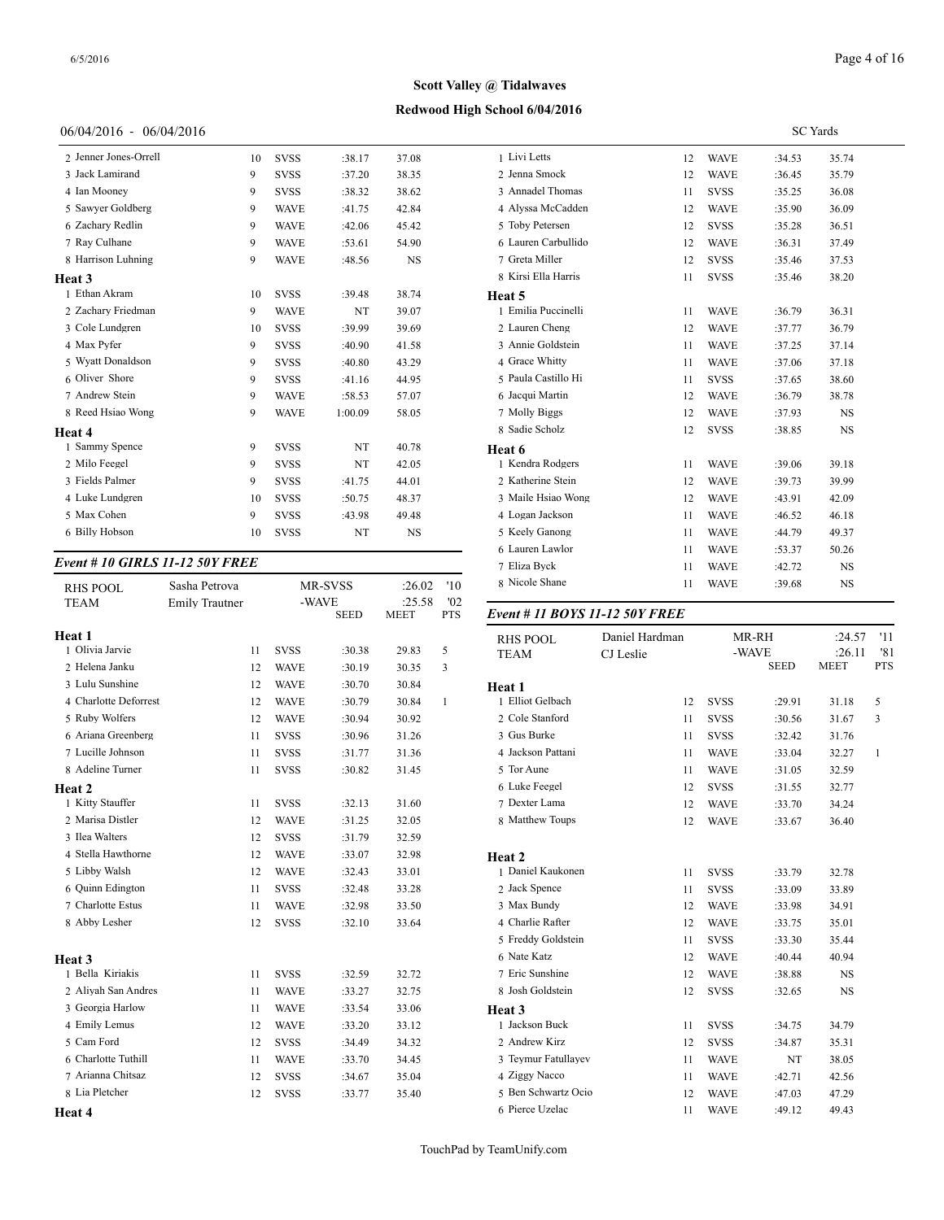## **Redwood High School 6/04/2016**

## 06/04/2016 - 06/04/2016

| 2 Jenner Jones-Orrell | 10 | <b>SVSS</b> | :38.17  | 37.08     | 1 Livi L  |
|-----------------------|----|-------------|---------|-----------|-----------|
| 3 Jack Lamirand       | 9  | <b>SVSS</b> | :37.20  | 38.35     | 2 Jenna   |
| 4 Ian Mooney          | 9  | <b>SVSS</b> | :38.32  | 38.62     | 3 Annad   |
| 5 Sawyer Goldberg     | 9  | <b>WAVE</b> | :41.75  | 42.84     | 4 Alyssa  |
| 6 Zachary Redlin      | 9  | <b>WAVE</b> | :42.06  | 45.42     | 5 Toby I  |
| 7 Ray Culhane         | 9  | <b>WAVE</b> | :53.61  | 54.90     | 6 Laurer  |
| 8 Harrison Luhning    | 9  | <b>WAVE</b> | :48.56  | <b>NS</b> | 7 Greta   |
| Heat 3                |    |             |         |           | 8 Kirsi I |
| 1 Ethan Akram         | 10 | <b>SVSS</b> | :39.48  | 38.74     | Heat 5    |
| 2 Zachary Friedman    | 9  | <b>WAVE</b> | NT      | 39.07     | 1 Emilia  |
| 3 Cole Lundgren       | 10 | <b>SVSS</b> | :39.99  | 39.69     | 2 Laurer  |
| 4 Max Pyfer           | 9  | <b>SVSS</b> | :40.90  | 41.58     | 3 Annie   |
| 5 Wyatt Donaldson     | 9  | <b>SVSS</b> | :40.80  | 43.29     | 4 Grace   |
| 6 Oliver Shore        | 9  | <b>SVSS</b> | :41.16  | 44.95     | 5 Paula   |
| 7 Andrew Stein        | 9  | <b>WAVE</b> | :58.53  | 57.07     | 6 Jacqui  |
| 8 Reed Hsiao Wong     | 9  | <b>WAVE</b> | 1:00.09 | 58.05     | 7 Molly   |
| Heat 4                |    |             |         |           | 8 Sadie   |
| 1 Sammy Spence        | 9  | <b>SVSS</b> | NT      | 40.78     | Heat 6    |
| 2 Milo Feegel         | 9  | <b>SVSS</b> | NT      | 42.05     | 1 Kendr   |
| 3 Fields Palmer       | 9  | <b>SVSS</b> | :41.75  | 44.01     | 2 Kather  |
| 4 Luke Lundgren       | 10 | <b>SVSS</b> | :50.75  | 48.37     | 3 Maile   |
| 5 Max Cohen           | 9  | <b>SVSS</b> | :43.98  | 49.48     | 4 Logan   |
| 6 Billy Hobson        | 10 | <b>SVSS</b> | NT      | <b>NS</b> | 5 Keely   |
|                       |    |             |         |           |           |

## *Event # 10 GIRLS 11-12 50Y FREE*

| <b>RHS POOL</b><br><b>TEAM</b> | Sasha Petrova<br><b>Emily Trautner</b> |    | -WAVE       | MR-SVSS     | :26.02<br>:25.58 | '10<br>'02   | 8 Nicole Shane    |
|--------------------------------|----------------------------------------|----|-------------|-------------|------------------|--------------|-------------------|
|                                |                                        |    |             | <b>SEED</b> | <b>MEET</b>      | <b>PTS</b>   | Event # 11 $BOY$  |
| Heat 1                         |                                        |    |             |             |                  |              | <b>RHS POOL</b>   |
| 1 Olivia Jarvie                |                                        | 11 | <b>SVSS</b> | :30.38      | 29.83            | 5            | <b>TEAM</b>       |
| 2 Helena Janku                 |                                        | 12 | <b>WAVE</b> | :30.19      | 30.35            | 3            |                   |
| 3 Lulu Sunshine                |                                        | 12 | <b>WAVE</b> | :30.70      | 30.84            |              | Heat 1            |
| 4 Charlotte Deforrest          |                                        | 12 | <b>WAVE</b> | :30.79      | 30.84            | $\mathbf{1}$ | 1 Elliot Gelbach  |
| 5 Ruby Wolfers                 |                                        | 12 | <b>WAVE</b> | :30.94      | 30.92            |              | 2 Cole Stanford   |
| 6 Ariana Greenberg             |                                        | 11 | <b>SVSS</b> | :30.96      | 31.26            |              | 3 Gus Burke       |
| 7 Lucille Johnson              |                                        | 11 | <b>SVSS</b> | :31.77      | 31.36            |              | 4 Jackson Pattani |
| 8 Adeline Turner               |                                        | 11 | <b>SVSS</b> | :30.82      | 31.45            |              | 5 Tor Aune        |
| Heat 2                         |                                        |    |             |             |                  |              | 6 Luke Feegel     |
| 1 Kitty Stauffer               |                                        | 11 | <b>SVSS</b> | :32.13      | 31.60            |              | 7 Dexter Lama     |
| 2 Marisa Distler               |                                        | 12 | <b>WAVE</b> | :31.25      | 32.05            |              | 8 Matthew Toups   |
| 3 Ilea Walters                 |                                        | 12 | <b>SVSS</b> | :31.79      | 32.59            |              |                   |
| 4 Stella Hawthorne             |                                        | 12 | <b>WAVE</b> | :33.07      | 32.98            |              | Heat 2            |
| 5 Libby Walsh                  |                                        | 12 | <b>WAVE</b> | :32.43      | 33.01            |              | 1 Daniel Kaukone  |
| 6 Quinn Edington               |                                        | 11 | <b>SVSS</b> | :32.48      | 33.28            |              | 2 Jack Spence     |
| 7 Charlotte Estus              |                                        | 11 | <b>WAVE</b> | :32.98      | 33.50            |              | 3 Max Bundy       |
| 8 Abby Lesher                  |                                        | 12 | <b>SVSS</b> | :32.10      | 33.64            |              | 4 Charlie Rafter  |
|                                |                                        |    |             |             |                  |              | 5 Freddy Goldstei |
| Heat 3                         |                                        |    |             |             |                  |              | 6 Nate Katz       |
| 1 Bella Kiriakis               |                                        | 11 | <b>SVSS</b> | :32.59      | 32.72            |              | 7 Eric Sunshine   |
| 2 Aliyah San Andres            |                                        | 11 | <b>WAVE</b> | :33.27      | 32.75            |              | 8 Josh Goldstein  |
| 3 Georgia Harlow               |                                        | 11 | <b>WAVE</b> | :33.54      | 33.06            |              | Heat 3            |
| 4 Emily Lemus                  |                                        | 12 | <b>WAVE</b> | :33.20      | 33.12            |              | 1 Jackson Buck    |
| 5 Cam Ford                     |                                        | 12 | <b>SVSS</b> | :34.49      | 34.32            |              | 2 Andrew Kirz     |
| 6 Charlotte Tuthill            |                                        | 11 | <b>WAVE</b> | :33.70      | 34.45            |              | 3 Teymur Fatullay |
| 7 Arianna Chitsaz              |                                        | 12 | <b>SVSS</b> | :34.67      | 35.04            |              | 4 Ziggy Nacco     |
| 8 Lia Pletcher                 |                                        | 12 | <b>SVSS</b> | :33.77      | 35.40            |              | 5 Ben Schwartz O  |
| Heat 4                         |                                        |    |             |             |                  |              | 6 Pierce Uzelac   |
|                                |                                        |    |             |             |                  |              |                   |

|                     |    |             | <b>SC</b> Yards |           |  |
|---------------------|----|-------------|-----------------|-----------|--|
| 1 Livi Letts        | 12 | <b>WAVE</b> | :34.53          | 35.74     |  |
| 2 Jenna Smock       | 12 | <b>WAVE</b> | :36.45          | 35.79     |  |
| 3 Annadel Thomas    | 11 | <b>SVSS</b> | :35.25          | 36.08     |  |
| 4 Alyssa McCadden   | 12 | <b>WAVE</b> | :35.90          | 36.09     |  |
| 5 Toby Petersen     | 12 | <b>SVSS</b> | :35.28          | 36.51     |  |
| 6 Lauren Carbullido | 12 | <b>WAVE</b> | :36.31          | 37.49     |  |
| 7 Greta Miller      | 12 | <b>SVSS</b> | :35.46          | 37.53     |  |
| 8 Kirsi Ella Harris | 11 | <b>SVSS</b> | :35.46          | 38.20     |  |
| Heat 5              |    |             |                 |           |  |
| 1 Emilia Puccinelli | 11 | <b>WAVE</b> | :36.79          | 36.31     |  |
| 2 Lauren Cheng      | 12 | <b>WAVE</b> | :37.77          | 36.79     |  |
| 3 Annie Goldstein   | 11 | <b>WAVE</b> | :37.25          | 37.14     |  |
| 4 Grace Whitty      | 11 | <b>WAVE</b> | :37.06          | 37.18     |  |
| 5 Paula Castillo Hi | 11 | <b>SVSS</b> | :37.65          | 38.60     |  |
| 6 Jacqui Martin     | 12 | <b>WAVE</b> | :36.79          | 38.78     |  |
| 7 Molly Biggs       | 12 | <b>WAVE</b> | :37.93          | <b>NS</b> |  |
| 8 Sadie Scholz      | 12 | <b>SVSS</b> | :38.85          | <b>NS</b> |  |
| Heat 6              |    |             |                 |           |  |
| 1 Kendra Rodgers    | 11 | <b>WAVE</b> | :39.06          | 39.18     |  |
| 2 Katherine Stein   | 12 | <b>WAVE</b> | :39.73          | 39.99     |  |
| 3 Maile Hsiao Wong  | 12 | <b>WAVE</b> | :43.91          | 42.09     |  |
| 4 Logan Jackson     | 11 | <b>WAVE</b> | :46.52          | 46.18     |  |
| 5 Keely Ganong      | 11 | <b>WAVE</b> | :44.79          | 49.37     |  |
| 6 Lauren Lawlor     | 11 | <b>WAVE</b> | :53.37          | 50.26     |  |
| 7 Eliza Byck        | 11 | <b>WAVE</b> | :42.72          | NS        |  |
| 8 Nicole Shane      | 11 | <b>WAVE</b> | :39.68          | <b>NS</b> |  |

#### SEED MEET PTS *Event # 11 BOYS 11-12 50Y FREE*

| <b>RHS POOL</b>     | Daniel Hardman |    |             | MR-RH                | :24.57                | '11<br>'81 |
|---------------------|----------------|----|-------------|----------------------|-----------------------|------------|
| <b>TEAM</b>         | CJ Leslie      |    |             | -WAVE<br><b>SEED</b> | :26.11<br><b>MEET</b> | <b>PTS</b> |
| Heat 1              |                |    |             |                      |                       |            |
| 1 Elliot Gelbach    |                | 12 | <b>SVSS</b> | :29.91               | 31.18                 | 5          |
| 2 Cole Stanford     |                | 11 | <b>SVSS</b> | :30.56               | 31.67                 | 3          |
| 3 Gus Burke         |                | 11 | <b>SVSS</b> | :32.42               | 31.76                 |            |
| 4 Jackson Pattani   |                | 11 | <b>WAVE</b> | :33.04               | 32.27                 | 1          |
| 5 Tor Aune          |                | 11 | <b>WAVE</b> | :31.05               | 32.59                 |            |
| 6 Luke Feegel       |                | 12 | <b>SVSS</b> | :31.55               | 32.77                 |            |
| 7 Dexter Lama       |                | 12 | <b>WAVE</b> | :33.70               | 34.24                 |            |
| 8 Matthew Toups     |                | 12 | <b>WAVE</b> | :33.67               | 36.40                 |            |
|                     |                |    |             |                      |                       |            |
| Heat 2              |                |    |             |                      |                       |            |
| 1 Daniel Kaukonen   |                | 11 | <b>SVSS</b> | :33.79               | 32.78                 |            |
| 2 Jack Spence       |                | 11 | <b>SVSS</b> | :33.09               | 33.89                 |            |
| 3 Max Bundy         |                | 12 | <b>WAVE</b> | :33.98               | 34.91                 |            |
| 4 Charlie Rafter    |                | 12 | <b>WAVE</b> | :33.75               | 35.01                 |            |
| 5 Freddy Goldstein  |                | 11 | <b>SVSS</b> | :33.30               | 35.44                 |            |
| 6 Nate Katz         |                | 12 | <b>WAVE</b> | :40.44               | 40.94                 |            |
| 7 Eric Sunshine     |                | 12 | <b>WAVE</b> | :38.88               | NS                    |            |
| 8 Josh Goldstein    |                | 12 | <b>SVSS</b> | :32.65               | NS                    |            |
| Heat 3              |                |    |             |                      |                       |            |
| 1 Jackson Buck      |                | 11 | <b>SVSS</b> | :34.75               | 34.79                 |            |
| 2 Andrew Kirz       |                | 12 | <b>SVSS</b> | :34.87               | 35.31                 |            |
| 3 Teymur Fatullayev |                | 11 | <b>WAVE</b> | NT                   | 38.05                 |            |
| 4 Ziggy Nacco       |                | 11 | <b>WAVE</b> | :42.71               | 42.56                 |            |
| 5 Ben Schwartz Ocio |                | 12 | <b>WAVE</b> | :47.03               | 47.29                 |            |
| 6 Pierce Uzelac     |                | 11 | <b>WAVE</b> | :49.12               | 49.43                 |            |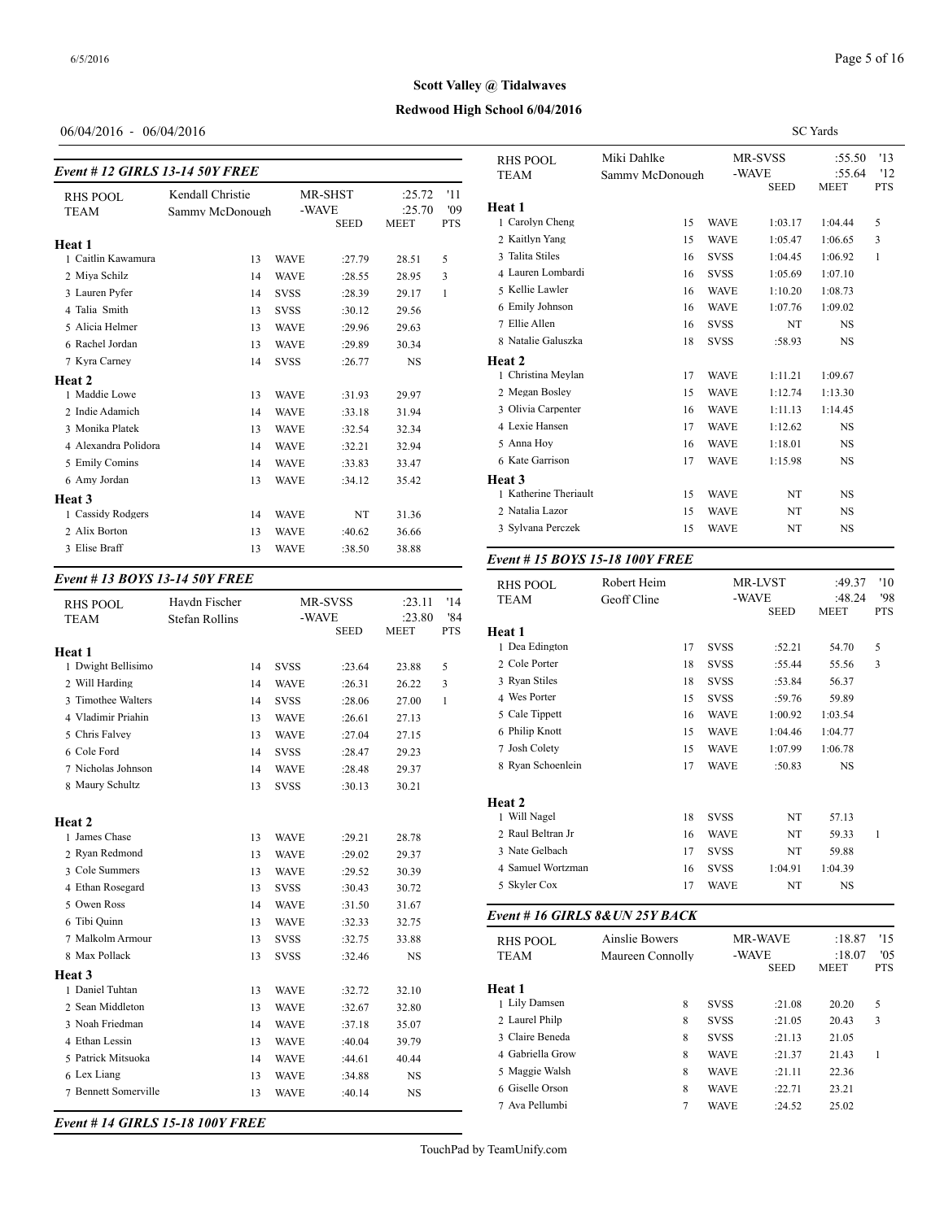# **Redwood High School 6/04/2016 Scott Valley @ Tidalwaves**

## 06/04/2016 - 06/04/2016

#### *Event # 12 GIRLS 13-14 50Y FREE*

|                      |                  |             |             |             |            | 1 TH 7747          |
|----------------------|------------------|-------------|-------------|-------------|------------|--------------------|
| <b>RHS POOL</b>      | Kendall Christie |             | MR-SHST     | :25.72      | '11        |                    |
| <b>TEAM</b>          | Sammy McDonough  |             | -WAVE       | :25.70      | '09        | Heat 1             |
|                      |                  |             | <b>SEED</b> | <b>MEET</b> | <b>PTS</b> | 1 Carolyn Cheng    |
| Heat 1               |                  |             |             |             |            | 2 Kaitlyn Yang     |
| 1 Caitlin Kawamura   | 13               | <b>WAVE</b> | :27.79      | 28.51       | 5          | 3 Talita Stiles    |
| 2 Miya Schilz        | 14               | <b>WAVE</b> | :28.55      | 28.95       | 3          | 4 Lauren Lombard   |
| 3 Lauren Pyfer       | 14               | <b>SVSS</b> | :28.39      | 29.17       | 1          | 5 Kellie Lawler    |
| 4 Talia Smith        | 13               | <b>SVSS</b> | :30.12      | 29.56       |            | 6 Emily Johnson    |
| 5 Alicia Helmer      | 13               | <b>WAVE</b> | :29.96      | 29.63       |            | 7 Ellie Allen      |
| 6 Rachel Jordan      | 13               | <b>WAVE</b> | :29.89      | 30.34       |            | 8 Natalie Galuszk  |
| 7 Kyra Carney        | 14               | <b>SVSS</b> | :26.77      | <b>NS</b>   |            | Heat 2             |
| Heat 2               |                  |             |             |             |            | 1 Christina Meyla  |
| 1 Maddie Lowe        | 13               | <b>WAVE</b> | :31.93      | 29.97       |            | 2 Megan Bosley     |
| 2 Indie Adamich      | 14               | <b>WAVE</b> | :33.18      | 31.94       |            | 3 Olivia Carpenter |
| 3 Monika Platek      | 13               | <b>WAVE</b> | :32.54      | 32.34       |            | 4 Lexie Hansen     |
| 4 Alexandra Polidora | 14               | <b>WAVE</b> | :32.21      | 32.94       |            | 5 Anna Hoy         |
| 5 Emily Comins       | 14               | <b>WAVE</b> | :33.83      | 33.47       |            | 6 Kate Garrison    |
| 6 Amy Jordan         | 13               | <b>WAVE</b> | :34.12      | 35.42       |            | Heat 3             |
| Heat 3               |                  |             |             |             |            | 1 Katherine Theria |
| 1 Cassidy Rodgers    | 14               | <b>WAVE</b> | NT          | 31.36       |            | 2 Natalia Lazor    |
| 2 Alix Borton        | 13               | <b>WAVE</b> | :40.62      | 36.66       |            | 3 Sylvana Perczek  |
| 3 Elise Braff        | 13               | <b>WAVE</b> | :38.50      | 38.88       |            |                    |
|                      |                  |             |             |             |            |                    |

## *Event # 13 BOYS 13-14 50Y FREE*

| <b>RHS POOL</b><br><b>TEAM</b> | Havdn Fischer<br><b>Stefan Rollins</b> |    | -WAVE       | MR-SVSS     | :23.11<br>:23.80 | '14<br>'84 | <b>TEAM</b>            |
|--------------------------------|----------------------------------------|----|-------------|-------------|------------------|------------|------------------------|
|                                |                                        |    |             | <b>SEED</b> | <b>MEET</b>      | <b>PTS</b> | Heat 1                 |
| Heat 1                         |                                        |    |             |             |                  |            | 1 Dea Edington         |
| 1 Dwight Bellisimo             |                                        | 14 | <b>SVSS</b> | :23.64      | 23.88            | 5          | 2 Cole Porter          |
| 2 Will Harding                 |                                        | 14 | <b>WAVE</b> | :26.31      | 26.22            | 3          | 3 Ryan Stiles          |
| 3 Timothee Walters             |                                        | 14 | <b>SVSS</b> | :28.06      | 27.00            | 1          | 4 Wes Porter           |
| 4 Vladimir Priahin             |                                        | 13 | <b>WAVE</b> | :26.61      | 27.13            |            | 5 Cale Tippett         |
| 5 Chris Falvey                 |                                        | 13 | <b>WAVE</b> | :27.04      | 27.15            |            | 6 Philip Knott         |
| 6 Cole Ford                    |                                        | 14 | <b>SVSS</b> | :28.47      | 29.23            |            | 7 Josh Colety          |
| 7 Nicholas Johnson             |                                        | 14 | <b>WAVE</b> | :28.48      | 29.37            |            | 8 Ryan Schoenleir      |
| 8 Maury Schultz                |                                        | 13 | <b>SVSS</b> | :30.13      | 30.21            |            |                        |
| <b>Heat 2</b>                  |                                        |    |             |             |                  |            | Heat 2<br>1 Will Nagel |
| 1 James Chase                  |                                        | 13 | <b>WAVE</b> | :29.21      | 28.78            |            | 2 Raul Beltran Jr      |
| 2 Ryan Redmond                 |                                        | 13 | <b>WAVE</b> | :29.02      | 29.37            |            | 3 Nate Gelbach         |
| 3 Cole Summers                 |                                        | 13 | <b>WAVE</b> | :29.52      | 30.39            |            | 4 Samuel Wortzm        |
| 4 Ethan Rosegard               |                                        | 13 | <b>SVSS</b> | :30.43      | 30.72            |            | 5 Skyler Cox           |
| 5 Owen Ross                    |                                        | 14 | <b>WAVE</b> | :31.50      | 31.67            |            |                        |
| 6 Tibi Ouinn                   |                                        | 13 | <b>WAVE</b> | :32.33      | 32.75            |            | Event # 16 GIRI        |
| 7 Malkolm Armour               |                                        | 13 | <b>SVSS</b> | :32.75      | 33.88            |            | <b>RHS POOL</b>        |
| 8 Max Pollack                  |                                        | 13 | <b>SVSS</b> | :32.46      | NS               |            | <b>TEAM</b>            |
| <b>Heat 3</b>                  |                                        |    |             |             |                  |            |                        |
| 1 Daniel Tuhtan                |                                        | 13 | <b>WAVE</b> | :32.72      | 32.10            |            | Heat 1                 |
| 2 Sean Middleton               |                                        | 13 | <b>WAVE</b> | :32.67      | 32.80            |            | 1 Lily Damsen          |
| 3 Noah Friedman                |                                        | 14 | <b>WAVE</b> | :37.18      | 35.07            |            | 2 Laurel Philp         |
| 4 Ethan Lessin                 |                                        | 13 | <b>WAVE</b> | :40.04      | 39.79            |            | 3 Claire Beneda        |
| 5 Patrick Mitsuoka             |                                        | 14 | <b>WAVE</b> | :44.61      | 40.44            |            | 4 Gabriella Grow       |
| 6 Lex Liang                    |                                        | 13 | <b>WAVE</b> | :34.88      | <b>NS</b>        |            | 5 Maggie Walsh         |
| 7 Bennett Somerville           |                                        | 13 | <b>WAVE</b> | :40.14      | <b>NS</b>        |            | 6 Giselle Orson        |
|                                |                                        |    |             |             |                  |            | 7 Ava Pellumbi         |

|                                      |                  |                            |                      | <b>SC</b> Yards      |            |
|--------------------------------------|------------------|----------------------------|----------------------|----------------------|------------|
| <b>RHS POOL</b>                      | Miki Dahlke      |                            | MR-SVSS              | :55.50               | '13        |
| TEAM                                 | Sammy McDonough  |                            | -WAVE                | :55.64               | '12        |
|                                      |                  |                            | <b>SEED</b>          | <b>MEET</b>          | <b>PTS</b> |
| <b>Heat 1</b>                        |                  |                            |                      |                      |            |
| 1 Carolyn Cheng                      | 15               | <b>WAVE</b>                | 1:03.17              | 1:04.44              | 5          |
| 2 Kaitlyn Yang                       | 15               | <b>WAVE</b>                | 1:05.47              | 1:06.65              | 3          |
| 3 Talita Stiles                      | 16               | <b>SVSS</b>                | 1:04.45              | 1:06.92              | 1          |
| 4 Lauren Lombardi                    | 16               | <b>SVSS</b>                | 1:05.69              | 1:07.10              |            |
| 5 Kellie Lawler                      | 16               | <b>WAVE</b>                | 1:10.20              | 1:08.73              |            |
| 6 Emily Johnson<br>7 Ellie Allen     | 16               | <b>WAVE</b>                | 1:07.76              | 1:09.02              |            |
| 8 Natalie Galuszka                   | 16               | <b>SVSS</b>                | NT                   | NS                   |            |
|                                      | 18               | SVSS                       | :58.93               | NS                   |            |
| Heat 2<br>1 Christina Meylan         |                  |                            |                      |                      |            |
|                                      | 17               | WAVE                       | 1:11.21              | 1:09.67              |            |
| 2 Megan Bosley<br>3 Olivia Carpenter | 15               | WAVE                       | 1:12.74              | 1:13.30              |            |
| 4 Lexie Hansen                       | 16               | <b>WAVE</b><br><b>WAVE</b> | 1:11.13<br>1:12.62   | 1:14.45<br><b>NS</b> |            |
| 5 Anna Hoy                           | 17               |                            |                      |                      |            |
| 6 Kate Garrison                      | 16<br>17         | WAVE<br><b>WAVE</b>        | 1:18.01<br>1:15.98   | NS.<br>NS            |            |
|                                      |                  |                            |                      |                      |            |
| Heat 3<br>1 Katherine Theriault      | 15               | WAVE                       | NT                   | NS                   |            |
| 2 Natalia Lazor                      | 15               | <b>WAVE</b>                | NT                   | NS.                  |            |
| 3 Sylvana Perczek                    | 15               | WAVE                       | NT                   | NS                   |            |
|                                      |                  |                            |                      |                      |            |
| Event #15 BOYS 15-18 100Y FREE       |                  |                            |                      |                      |            |
| <b>RHS POOL</b>                      | Robert Heim      |                            | MR-LVST              | :49.37               | '10        |
| TEAM                                 | Geoff Cline      |                            | -WAVE                | :48.24               | '98        |
|                                      |                  |                            | <b>SEED</b>          | MEET                 | <b>PTS</b> |
| Heat 1<br>1 Dea Edington             | 17               | <b>SVSS</b>                | :52.21               | 54.70                | 5          |
| 2 Cole Porter                        | 18               | SVSS                       | :55.44               | 55.56                | 3          |
| 3 Ryan Stiles                        |                  | SVSS                       | :53.84               | 56.37                |            |
| 4 Wes Porter                         | 18<br>15         | <b>SVSS</b>                | :59.76               | 59.89                |            |
| 5 Cale Tippett                       |                  | <b>WAVE</b>                | 1:00.92              | 1:03.54              |            |
| 6 Philip Knott                       | 16               | <b>WAVE</b>                | 1:04.46              | 1:04.77              |            |
|                                      | 15               |                            |                      |                      |            |
| 7 Josh Colety<br>8 Ryan Schoenlein   | 15               | <b>WAVE</b>                | 1:07.99              | 1:06.78              |            |
|                                      | 17               | WAVE                       | :50.83               | NS                   |            |
| Heat 2                               |                  |                            |                      |                      |            |
| 1 Will Nagel                         | 18               | svss                       | NT                   | 57.13                |            |
| 2 Raul Beltran Jr                    | 16               | WAVE                       | NT                   | 59.33                | 1          |
| 3 Nate Gelbach                       | 17               | <b>SVSS</b>                | NT                   | 59.88                |            |
| 4 Samuel Wortzman                    | 16               | svss                       | 1:04.91              | 1:04.39              |            |
| 5 Skyler Cox                         | 17               | WAVE                       | NT                   | NS                   |            |
| Event # 16 GIRLS 8&UN 25Y BACK       |                  |                            |                      |                      |            |
|                                      |                  |                            |                      |                      |            |
| <b>RHS POOL</b>                      | Ainslie Bowers   |                            | MR-WAVE              | :18.87               | '15        |
| <b>TEAM</b>                          | Maureen Connolly |                            | -WAVE<br><b>SEED</b> | :18.07<br>MEET       | '05<br>PTS |
| Heat 1                               |                  |                            |                      |                      |            |
| 1 Lily Damsen                        | 8                | <b>SVSS</b>                | :21.08               | 20.20                | 5          |
| 2 Laurel Philp                       | 8                | SVSS                       | :21.05               | 20.43                | 3          |
| 3 Claire Beneda                      | 8                | SVSS                       | :21.13               | 21.05                |            |
| 4 Gabriella Grow                     | 8                | WAVE                       | :21.37               | 21.43                | 1          |
| 5 Maggie Walsh                       | 8                | WAVE                       | :21.11               | 22.36                |            |
| 6 Giselle Orson                      | 8                | WAVE                       | :22.71               | 23.21                |            |
| 7 Ava Pellumbi                       | 7                | <b>WAVE</b>                | :24.52               | 25.02                |            |

*Event # 14 GIRLS 15-18 100Y FREE*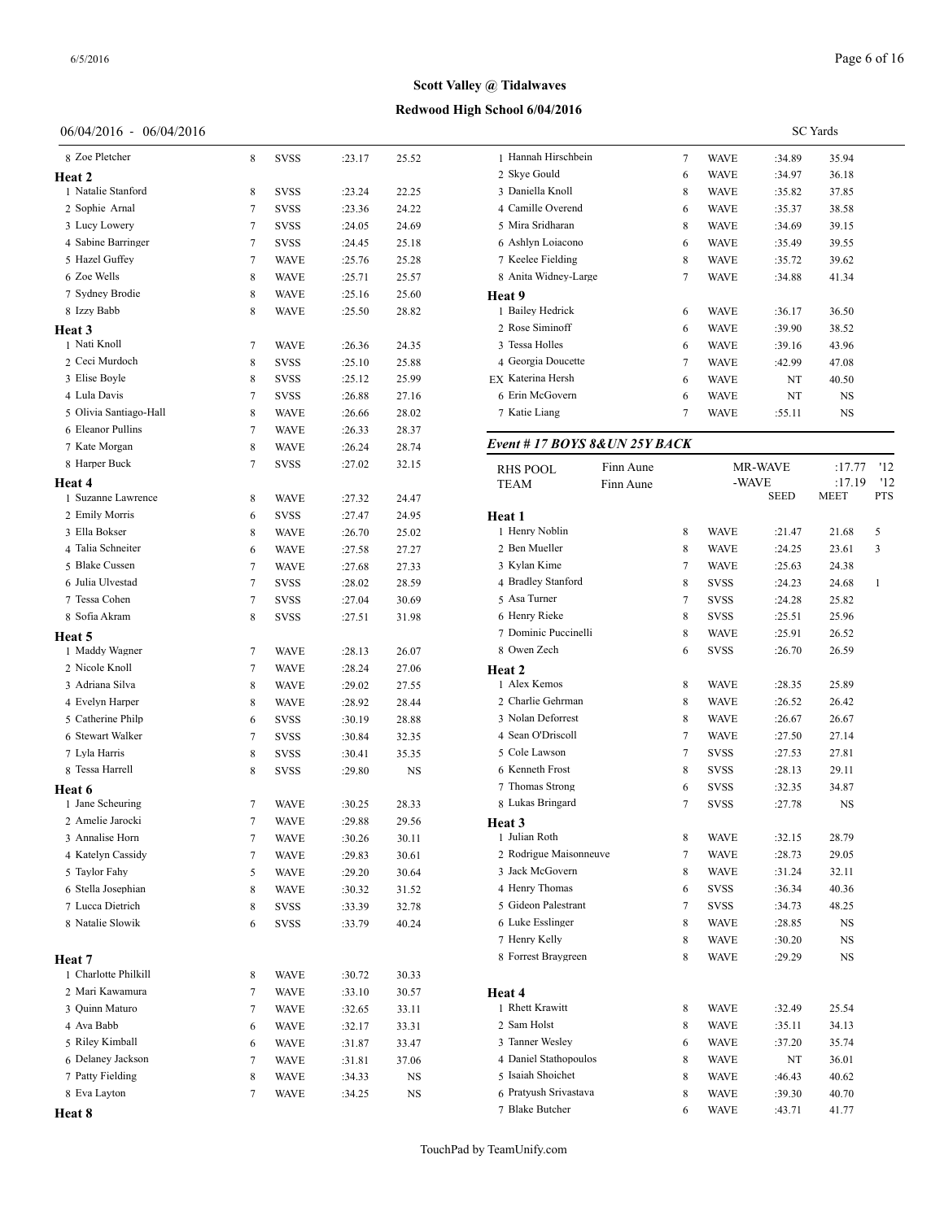## **Redwood High School 6/04/2016**

## 06/04/2016 - 06/04/2016

| 8 Zoe Pletcher                       | 8 | <b>SVSS</b> | :23.17 | 25.52 | 1 Hanna                   |
|--------------------------------------|---|-------------|--------|-------|---------------------------|
| Heat 2                               |   |             |        |       | 2 Skye (                  |
| 1 Natalie Stanford                   | 8 | <b>SVSS</b> | :23.24 | 22.25 | 3 Daniel                  |
| 2 Sophie Arnal                       | 7 | <b>SVSS</b> | :23.36 | 24.22 | 4 Camil                   |
| 3 Lucy Lowery                        | 7 | SVSS        | :24.05 | 24.69 | 5 Mira S                  |
| 4 Sabine Barringer                   | 7 | <b>SVSS</b> | :24.45 | 25.18 | 6 Ashlyi                  |
| 5 Hazel Guffey                       | 7 | <b>WAVE</b> | :25.76 | 25.28 | 7 Keelee                  |
| 6 Zoe Wells                          | 8 | <b>WAVE</b> | :25.71 | 25.57 | 8 Anita                   |
| 7 Sydney Brodie                      | 8 | <b>WAVE</b> | :25.16 | 25.60 | Heat 9                    |
| 8 Izzy Babb                          | 8 | <b>WAVE</b> | :25.50 | 28.82 | 1 Bailey<br>2 Rose S      |
| Heat 3<br>1 Nati Knoll               |   | <b>WAVE</b> |        |       | 3 Tessa                   |
| 2 Ceci Murdoch                       | 7 |             | :26.36 | 24.35 | 4 Georg                   |
| 3 Elise Boyle                        | 8 | <b>SVSS</b> | :25.10 | 25.88 | EX Kateri                 |
| 4 Lula Davis                         | 8 | SVSS        | :25.12 | 25.99 | 6 Erin M                  |
| 5 Olivia Santiago-Hall               | 7 | SVSS        | :26.88 | 27.16 |                           |
| 6 Eleanor Pullins                    | 8 | <b>WAVE</b> | :26.66 | 28.02 | 7 Katie l                 |
|                                      | 7 | <b>WAVE</b> | :26.33 | 28.37 | Event #                   |
| 7 Kate Morgan                        | 8 | <b>WAVE</b> | :26.24 | 28.74 |                           |
| 8 Harper Buck                        | 7 | SVSS        | :27.02 | 32.15 | <b>RHS PC</b>             |
| Heat 4                               |   |             |        |       | TEAM                      |
| 1 Suzanne Lawrence                   | 8 | <b>WAVE</b> | :27.32 | 24.47 |                           |
| 2 Emily Morris                       | 6 | <b>SVSS</b> | :27.47 | 24.95 | Heat 1                    |
| 3 Ella Bokser                        | 8 | <b>WAVE</b> | :26.70 | 25.02 | 1 Henry                   |
| 4 Talia Schneiter                    | 6 | <b>WAVE</b> | :27.58 | 27.27 | 2 Ben M                   |
| 5 Blake Cussen                       | 7 | <b>WAVE</b> | :27.68 | 27.33 | 3 Kylan                   |
| 6 Julia Ulvestad                     | 7 | <b>SVSS</b> | :28.02 | 28.59 | 4 Bradle                  |
| 7 Tessa Cohen                        | 7 | SVSS        | :27.04 | 30.69 | 5 Asa Tu                  |
| 8 Sofia Akram                        | 8 | <b>SVSS</b> | :27.51 | 31.98 | 6 Henry                   |
| Heat 5                               |   |             |        |       | 7 Domir                   |
| 1 Maddy Wagner                       | 7 | <b>WAVE</b> | :28.13 | 26.07 | 8 Owen                    |
| 2 Nicole Knoll                       | 7 | <b>WAVE</b> | :28.24 | 27.06 | Heat 2                    |
| 3 Adriana Silva                      | 8 | <b>WAVE</b> | :29.02 | 27.55 | 1 Alex F                  |
| 4 Evelyn Harper                      | 8 | <b>WAVE</b> | :28.92 | 28.44 | 2 Charli                  |
| 5 Catherine Philp                    | 6 | SVSS        | :30.19 | 28.88 | 3 Nolan<br>4 Sean O       |
| 6 Stewart Walker                     | 7 | <b>SVSS</b> | :30.84 | 32.35 | 5 Cole L                  |
| 7 Lyla Harris                        | 8 | <b>SVSS</b> | :30.41 | 35.35 |                           |
| 8 Tessa Harrell                      | 8 | <b>SVSS</b> | :29.80 | NS    | 6 Kenne                   |
| Heat 6                               |   |             |        |       | 7 Thoma                   |
| 1 Jane Scheuring<br>2 Amelie Jarocki | 7 | <b>WAVE</b> | :30.25 | 28.33 | 8 Lukas                   |
|                                      | 7 | WAVE        | :29.88 | 29.56 | <b>Heat 3</b><br>1 Julian |
| 3 Annalise Horn                      | 7 | WAVE        | :30.26 | 30.11 | 2 Rodrig                  |
| 4 Katelyn Cassidy                    | 7 | WAVE        | :29.83 | 30.61 | 3 Jack M                  |
| 5 Taylor Fahy                        | 5 | WAVE        | :29.20 | 30.64 |                           |
| 6 Stella Josephian                   | 8 | WAVE        | :30.32 | 31.52 | 4 Henry                   |
| 7 Lucca Dietrich                     | 8 | <b>SVSS</b> | :33.39 | 32.78 | 5 Gideo                   |
| 8 Natalie Slowik                     | 6 | SVSS        | :33.79 | 40.24 | 6 Luke I                  |
|                                      |   |             |        |       | 7 Henry<br>8 Forres       |
| Heat 7                               |   |             |        |       |                           |
| 1 Charlotte Philkill                 | 8 | WAVE        | :30.72 | 30.33 |                           |
| 2 Mari Kawamura                      | 7 | WAVE        | :33.10 | 30.57 | Heat 4                    |
| 3 Quinn Maturo                       | 7 | WAVE        | :32.65 | 33.11 | 1 Rhett 1                 |
| 4 Ava Babb                           | 6 | WAVE        | :32.17 | 33.31 | 2 Sam H                   |
| 5 Riley Kimball                      | 6 | WAVE        | :31.87 | 33.47 | 3 Tanner                  |
| 6 Delaney Jackson                    | 7 | <b>WAVE</b> | :31.81 | 37.06 | 4 Daniel                  |
| 7 Patty Fielding                     | 8 | WAVE        | :34.33 | NS    | 5 Isaiah                  |
| 8 Eva Layton                         | 7 | WAVE        | :34.25 | NS    | 6 Pratyu                  |
| Heat 8                               |   |             |        |       | 7 Blake                   |

|                               |           |             |         | <b>SC</b> Yards |            |
|-------------------------------|-----------|-------------|---------|-----------------|------------|
| 1 Hannah Hirschbein           | 7         | <b>WAVE</b> | :34.89  | 35.94           |            |
| 2 Skye Gould                  | 6         | WAVE        | :34.97  | 36.18           |            |
| 3 Daniella Knoll              | 8         | WAVE        | :35.82  | 37.85           |            |
| 4 Camille Overend             | 6         | WAVE        | :35.37  | 38.58           |            |
| 5 Mira Sridharan              | 8         | WAVE        | :34.69  | 39.15           |            |
| 6 Ashlyn Loiacono             | 6         | WAVE        | :35.49  | 39.55           |            |
| 7 Keelee Fielding             | 8         | WAVE        | :35.72  | 39.62           |            |
| 8 Anita Widney-Large          | 7         | WAVE        | :34.88  | 41.34           |            |
| Heat 9                        |           |             |         |                 |            |
| 1 Bailey Hedrick              | 6         | WAVE        | :36.17  | 36.50           |            |
| 2 Rose Siminoff               | 6         | <b>WAVE</b> | :39.90  | 38.52           |            |
| 3 Tessa Holles                | 6         | WAVE        | :39.16  | 43.96           |            |
| 4 Georgia Doucette            | 7         | WAVE        | :42.99  | 47.08           |            |
| EX Katerina Hersh             | 6         | WAVE        | NT      | 40.50           |            |
| 6 Erin McGovern               | 6         | WAVE        | NT      | NS              |            |
| 7 Katie Liang                 | 7         | WAVE        | :55.11  | NS              |            |
| Event # 17 BOYS 8&UN 25Y BACK |           |             |         |                 |            |
| <b>RHS POOL</b>               | Finn Aune |             | MR-WAVE | :17.77          | '12        |
| <b>TEAM</b>                   | Finn Aune |             | -WAVE   | :17.19          | '12        |
|                               |           |             | SEED    | MEET            | <b>PTS</b> |
| Heat 1                        |           |             |         |                 |            |
| 1 Henry Noblin                | 8         | WAVE        | :21.47  | 21.68           | 5          |
| 2 Ben Mueller                 | 8         | WAVE        | :24.25  | 23.61           | 3          |
| 3 Kylan Kime                  | 7         | WAVE        | :25.63  | 24.38           |            |
| 4 Bradley Stanford            | 8         | SVSS        | :24.23  | 24.68           | 1          |
| 5 Asa Turner                  | 7         | <b>SVSS</b> | :24.28  | 25.82           |            |
| 6 Henry Rieke                 | 8         | <b>SVSS</b> | :25.51  | 25.96           |            |
| 7 Dominic Puccinelli          | 8         | WAVE        | :25.91  | 26.52           |            |
| 8 Owen Zech                   | 6         | SVSS        | :26.70  | 26.59           |            |
| Heat 2                        |           |             |         |                 |            |
| 1 Alex Kemos                  | 8         | <b>WAVE</b> | :28.35  | 25.89           |            |
| 2 Charlie Gehrman             | 8         | WAVE        | :26.52  | 26.42           |            |
| 3 Nolan Deforrest             | 8         | WAVE        | :26.67  | 26.67           |            |
| 4 Sean O'Driscoll             | 7         | WAVE        | :27.50  | 27.14           |            |
| 5 Cole Lawson                 | 7         | SVSS        | :27.53  | 27.81           |            |
| 6 Kenneth Frost               | 8         | <b>SVSS</b> | :28.13  | 29.11           |            |
| 7 Thomas Strong               | 6         | SVSS        | :32.35  | 34.87           |            |
| 8 Lukas Bringard              | $\tau$    | SVSS        | :27.78  | NS              |            |
| Heat 3                        |           |             |         |                 |            |
| 1 Julian Roth                 | 8         | WAVE        | :32.15  | 28.79           |            |
| 2 Rodrigue Maisonneuve        | $\tau$    | WAVE        | :28.73  | 29.05           |            |
| 3 Jack McGovern               | 8         | WAVE        | :31.24  | 32.11           |            |
| 4 Henry Thomas                | 6         | SVSS        | :36.34  | 40.36           |            |
| 5 Gideon Palestrant           | $\tau$    | SVSS        | :34.73  | 48.25           |            |
| 6 Luke Esslinger              | 8         | WAVE        | :28.85  | NS              |            |
| 7 Henry Kelly                 | 8         | <b>WAVE</b> | :30.20  | NS              |            |
| 8 Forrest Braygreen           | 8         | WAVE        | :29.29  | NS              |            |
| Heat 4                        |           |             |         |                 |            |
| 1 Rhett Krawitt               | 8         | WAVE        | :32.49  | 25.54           |            |
| 2 Sam Holst                   | 8         | WAVE        | :35.11  | 34.13           |            |
| 3 Tanner Wesley               | 6         | WAVE        | :37.20  | 35.74           |            |
| 4 Daniel Stathopoulos         | 8         | WAVE        | NT      | 36.01           |            |
| 5 Isaiah Shoichet             | 8         | WAVE        | :46.43  | 40.62           |            |
| 6 Pratyush Srivastava         | 8         | WAVE        | :39.30  | 40.70           |            |
| 7 Blake Butcher               | 6         | <b>WAVE</b> | :43.71  | 41.77           |            |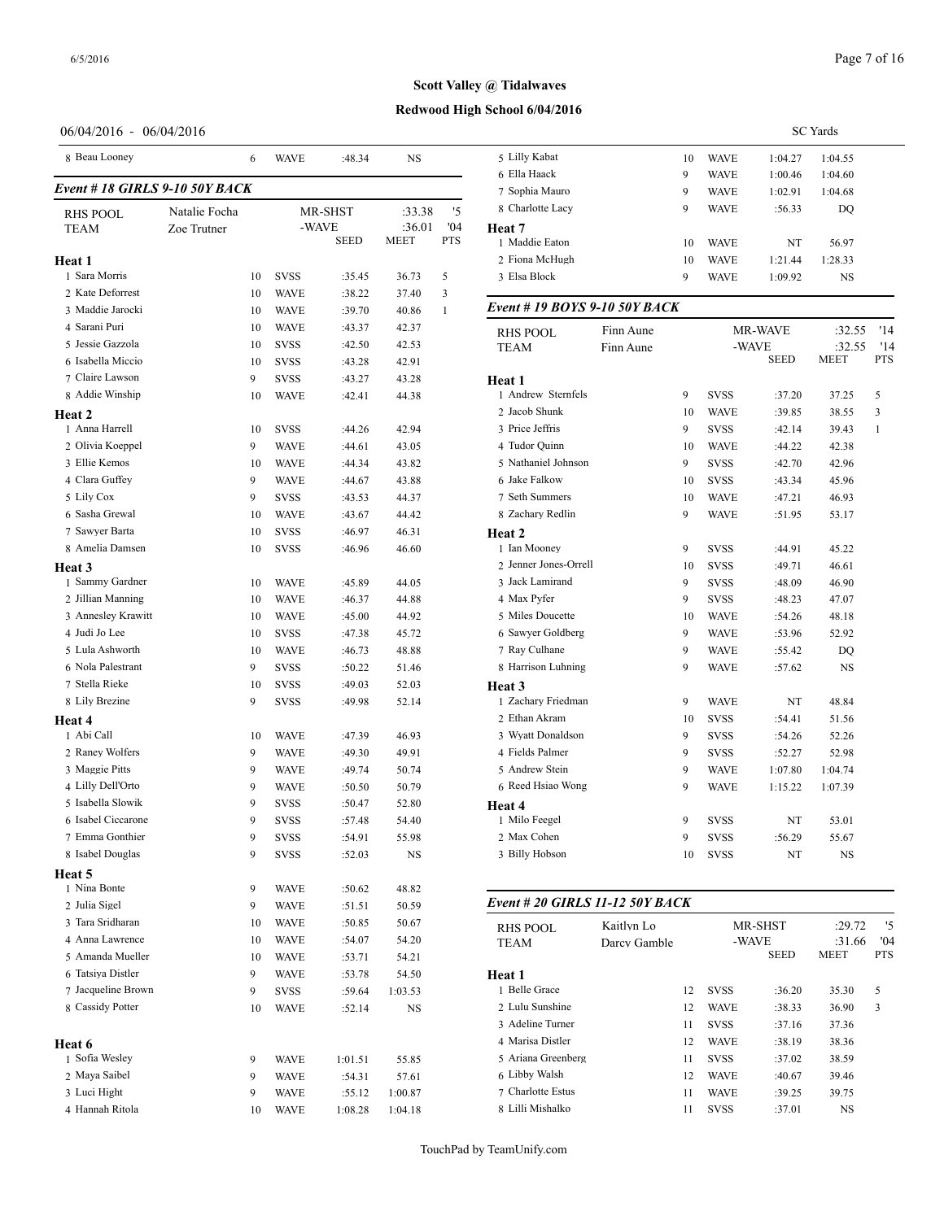## **Redwood High School 6/04/2016**

## 06/04/2016 - 06/04/2016

| 8 Beau Looney                 |               | 6  | WAVE        | :48.34      | NS             |            | 5 Lilly Kabat                  |
|-------------------------------|---------------|----|-------------|-------------|----------------|------------|--------------------------------|
| Event #18 GIRLS 9-10 50Y BACK |               |    |             |             |                |            | 6 Ella Haack<br>7 Sophia Mauro |
| <b>RHS POOL</b>               | Natalie Focha |    |             | MR-SHST     | :33.38         | '5         | 8 Charlotte Lacy               |
| <b>TEAM</b>                   | Zoe Trutner   |    | -WAVE       | <b>SEED</b> | :36.01<br>MEET | '04<br>PTS | Heat 7<br>1 Maddie Eaton       |
| Heat 1                        |               |    |             |             |                |            | 2 Fiona McHugh                 |
| 1 Sara Morris                 |               | 10 | <b>SVSS</b> | :35.45      | 36.73          | 5          | 3 Elsa Block                   |
| 2 Kate Deforrest              |               | 10 | WAVE        | :38.22      | 37.40          | 3          |                                |
| 3 Maddie Jarocki              |               | 10 | <b>WAVE</b> | :39.70      | 40.86          | 1          | Event # 19 $BOY$               |
| 4 Sarani Puri                 |               | 10 | <b>WAVE</b> | :43.37      | 42.37          |            |                                |
| 5 Jessie Gazzola              |               | 10 | SVSS        | :42.50      | 42.53          |            | <b>RHS POOL</b>                |
| 6 Isabella Miccio             |               | 10 | <b>SVSS</b> | :43.28      | 42.91          |            | TEAM                           |
| 7 Claire Lawson               |               | 9  | SVSS        | :43.27      | 43.28          |            | <b>Heat 1</b>                  |
| 8 Addie Winship               |               | 10 | WAVE        | :42.41      | 44.38          |            | 1 Andrew Sternfe               |
| Heat 2                        |               |    |             |             |                |            | 2 Jacob Shunk                  |
| 1 Anna Harrell                |               | 10 | SVSS        | :44.26      | 42.94          |            | 3 Price Jeffris                |
| 2 Olivia Koeppel              |               | 9  | <b>WAVE</b> | :44.61      | 43.05          |            | 4 Tudor Quinn                  |
| 3 Ellie Kemos                 |               | 10 | <b>WAVE</b> | :44.34      | 43.82          |            | 5 Nathaniel Johns              |
| 4 Clara Guffey                |               | 9  | WAVE        | :44.67      | 43.88          |            | 6 Jake Falkow                  |
| 5 Lily Cox                    |               | 9  | <b>SVSS</b> | :43.53      | 44.37          |            | 7 Seth Summers                 |
| 6 Sasha Grewal                |               | 10 | <b>WAVE</b> | :43.67      | 44.42          |            | 8 Zachary Redlin               |
| 7 Sawyer Barta                |               | 10 | SVSS        | :46.97      | 46.31          |            | Heat 2                         |
| 8 Amelia Damsen               |               | 10 | <b>SVSS</b> | :46.96      | 46.60          |            | 1 Ian Mooney                   |
| Heat 3                        |               |    |             |             |                |            | 2 Jenner Jones-Or              |
| 1 Sammy Gardner               |               | 10 | <b>WAVE</b> | :45.89      | 44.05          |            | 3 Jack Lamirand                |
| 2 Jillian Manning             |               | 10 | <b>WAVE</b> | :46.37      | 44.88          |            | 4 Max Pyfer                    |
| 3 Annesley Krawitt            |               | 10 | <b>WAVE</b> | :45.00      | 44.92          |            | 5 Miles Doucette               |
| 4 Judi Jo Lee                 |               | 10 | <b>SVSS</b> | :47.38      | 45.72          |            | 6 Sawyer Goldber               |
| 5 Lula Ashworth               |               | 10 | <b>WAVE</b> | :46.73      | 48.88          |            | 7 Ray Culhane                  |
| 6 Nola Palestrant             |               | 9  | <b>SVSS</b> | :50.22      | 51.46          |            | 8 Harrison Luhnir              |
| 7 Stella Rieke                |               | 10 | SVSS        | :49.03      | 52.03          |            |                                |
| 8 Lily Brezine                |               | 9  | svss        | :49.98      | 52.14          |            | Heat 3<br>1 Zachary Friedm     |
|                               |               |    |             |             |                |            | 2 Ethan Akram                  |
| Heat 4<br>1 Abi Call          |               | 10 | <b>WAVE</b> | :47.39      | 46.93          |            | 3 Wyatt Donaldso               |
| 2 Raney Wolfers               |               | 9  | <b>WAVE</b> | :49.30      | 49.91          |            | 4 Fields Palmer                |
| 3 Maggie Pitts                |               | 9  | <b>WAVE</b> | :49.74      | 50.74          |            | 5 Andrew Stein                 |
| 4 Lilly Dell'Orto             |               | 9  | <b>WAVE</b> | :50.50      | 50.79          |            | 6 Reed Hsiao Wor               |
| 5 Isabella Slowik             |               | 9  | <b>SVSS</b> | :50.47      | 52.80          |            | Heat 4                         |
| 6 Isabel Ciccarone            |               | 9  | <b>SVSS</b> | :57.48      | 54.40          |            | 1 Milo Feegel                  |
| 7 Emma Gonthier               |               | 9  | <b>SVSS</b> | :54.91      | 55.98          |            | 2 Max Cohen                    |
| 8 Isabel Douglas              |               | 9  | SVSS        | :52.03      | NS             |            | 3 Billy Hobson                 |
| Heat 5                        |               |    |             |             |                |            |                                |
| 1 Nina Bonte                  |               | 9  | WAVE        | :50.62      | 48.82          |            |                                |
| 2 Julia Sigel                 |               | 9  | WAVE        | :51.51      | 50.59          |            | Event # 20 GIRI                |
| 3 Tara Sridharan              |               | 10 | WAVE        | :50.85      | 50.67          |            |                                |
| 4 Anna Lawrence               |               | 10 | WAVE        | :54.07      | 54.20          |            | <b>RHS POOL</b><br><b>TEAM</b> |
| 5 Amanda Mueller              |               | 10 | WAVE        | :53.71      | 54.21          |            |                                |
| 6 Tatsiya Distler             |               | 9  | <b>WAVE</b> | :53.78      | 54.50          |            | Heat 1                         |
| 7 Jacqueline Brown            |               | 9  | SVSS        | :59.64      | 1:03.53        |            | 1 Belle Grace                  |
| 8 Cassidy Potter              |               | 10 | WAVE        | :52.14      | NS             |            | 2 Lulu Sunshine                |
|                               |               |    |             |             |                |            | 3 Adeline Turner               |
| Heat 6                        |               |    |             |             |                |            | 4 Marisa Distler               |
| 1 Sofia Wesley                |               | 9  | WAVE        | 1:01.51     | 55.85          |            | 5 Ariana Greenber              |
| 2 Maya Saibel                 |               | 9  | WAVE        | :54.31      | 57.61          |            | 6 Libby Walsh                  |
| 3 Luci Hight                  |               | 9  | WAVE        | :55.12      | 1:00.87        |            | 7 Charlotte Estus              |
| 4 Hannah Ritola               |               | 10 | WAVE        | 1:08.28     | 1:04.18        |            | 8 Lilli Mishalko               |
|                               |               |    |             |             |                |            |                                |

|                                      |              |    |             |         | <b>SC</b> Yards |            |
|--------------------------------------|--------------|----|-------------|---------|-----------------|------------|
| 5 Lilly Kabat                        |              | 10 | WAVE        | 1:04.27 | 1:04.55         |            |
| 6 Ella Haack                         |              | 9  | WAVE        | 1:00.46 | 1:04.60         |            |
| 7 Sophia Mauro                       |              | 9  | WAVE        | 1:02.91 | 1:04.68         |            |
| 8 Charlotte Lacy                     |              | 9  | <b>WAVE</b> | :56.33  | DQ              |            |
| Heat 7                               |              |    |             |         |                 |            |
| 1 Maddie Eaton                       |              | 10 | <b>WAVE</b> | NT      | 56.97           |            |
| 2 Fiona McHugh                       |              | 10 | <b>WAVE</b> | 1:21.44 | 1:28.33         |            |
| 3 Elsa Block                         |              | 9  | WAVE        | 1:09.92 | NS              |            |
| Event # 19 BOYS 9-10 50Y BACK        |              |    |             |         |                 |            |
| <b>RHS POOL</b>                      | Finn Aune    |    |             | MR-WAVE | :32.55          | '14        |
| <b>TEAM</b>                          | Finn Aune    |    | -WAVE       |         | :32.55          | '14        |
|                                      |              |    |             | SEED    | MEET            | <b>PTS</b> |
| Heat 1                               |              |    |             |         |                 |            |
| 1 Andrew Sternfels                   |              | 9  | <b>SVSS</b> | :37.20  | 37.25           | 5          |
| 2 Jacob Shunk                        |              | 10 | <b>WAVE</b> | :39.85  | 38.55           | 3          |
| 3 Price Jeffris                      |              | 9  | <b>SVSS</b> | :42.14  | 39.43           | 1          |
| 4 Tudor Quinn                        |              | 10 | <b>WAVE</b> | :44.22  | 42.38           |            |
| 5 Nathaniel Johnson                  |              | 9  | <b>SVSS</b> | :42.70  | 42.96           |            |
| 6 Jake Falkow                        |              | 10 | <b>SVSS</b> | :43.34  | 45.96           |            |
| 7 Seth Summers                       |              | 10 | <b>WAVE</b> | :47.21  | 46.93           |            |
| 8 Zachary Redlin                     |              | 9  | WAVE        | :51.95  | 53.17           |            |
| <b>Heat 2</b>                        |              |    |             |         |                 |            |
| 1 Ian Mooney                         |              | 9  | <b>SVSS</b> | :44.91  | 45.22           |            |
| 2 Jenner Jones-Orrell                |              | 10 | <b>SVSS</b> | :49.71  | 46.61           |            |
| 3 Jack Lamirand                      |              | 9  | <b>SVSS</b> | :48.09  | 46.90           |            |
| 4 Max Pyfer                          |              | 9  | <b>SVSS</b> | :48.23  | 47.07           |            |
| 5 Miles Doucette                     |              | 10 | <b>WAVE</b> | :54.26  | 48.18           |            |
| 6 Sawyer Goldberg                    |              | 9  | <b>WAVE</b> | :53.96  | 52.92           |            |
| 7 Ray Culhane                        |              | 9  | WAVE        | :55.42  | DQ              |            |
| 8 Harrison Luhning                   |              | 9  | WAVE        | :57.62  | NS              |            |
| Heat 3                               |              |    |             |         |                 |            |
| 1 Zachary Friedman                   |              | 9  | <b>WAVE</b> | NT      | 48.84           |            |
| 2 Ethan Akram                        |              | 10 | <b>SVSS</b> | :54.41  | 51.56           |            |
| 3 Wyatt Donaldson<br>4 Fields Palmer |              | 9  | <b>SVSS</b> | :54.26  | 52.26           |            |
|                                      |              | 9  | SVSS        | :52.27  | 52.98           |            |
| 5 Andrew Stein                       |              | 9  | <b>WAVE</b> | 1:07.80 | 1:04.74         |            |
| 6 Reed Hsiao Wong                    |              | 9  | WAVE        | 1:15.22 | 1:07.39         |            |
| Heat 4                               |              |    |             |         |                 |            |
| 1 Milo Feegel<br>2 Max Cohen         |              | 9  | SVSS        | NT      | 53.01           |            |
| 3 Billy Hobson                       |              | 9  | SVSS        | :56.29  | 55.67           |            |
|                                      |              | 10 | <b>SVSS</b> | NT      | NS              |            |
| Event # 20 GIRLS 11-12 50Y BACK      |              |    |             |         |                 |            |
| <b>RHS POOL</b>                      | Kaitlyn Lo   |    |             | MR-SHST | :29.72          | '5         |
| <b>TEAM</b>                          | Darcy Gamble |    | -WAVE       |         | :31.66          | '04        |
|                                      |              |    |             |         |                 |            |

| TEAM               | Darcy Gamble |    | -WAVE       |             | : 1.66      | '04        |
|--------------------|--------------|----|-------------|-------------|-------------|------------|
|                    |              |    |             | <b>SEED</b> | <b>MEET</b> | <b>PTS</b> |
| Heat 1             |              |    |             |             |             |            |
| 1 Belle Grace      |              | 12 | <b>SVSS</b> | :36.20      | 35.30       | 5          |
| 2 Lulu Sunshine    |              | 12 | <b>WAVE</b> | :38.33      | 36.90       | 3          |
| 3 Adeline Turner   |              | 11 | <b>SVSS</b> | :37.16      | 37.36       |            |
| 4 Marisa Distler   |              | 12 | <b>WAVE</b> | :38.19      | 38.36       |            |
| 5 Ariana Greenberg |              | 11 | <b>SVSS</b> | :37.02      | 38.59       |            |
| 6 Libby Walsh      |              | 12 | <b>WAVE</b> | :40.67      | 39.46       |            |
| 7 Charlotte Estus  |              | 11 | <b>WAVE</b> | :39.25      | 39.75       |            |
| 8 Lilli Mishalko   |              | 11 | <b>SVSS</b> | :37.01      | NS          |            |
|                    |              |    |             |             |             |            |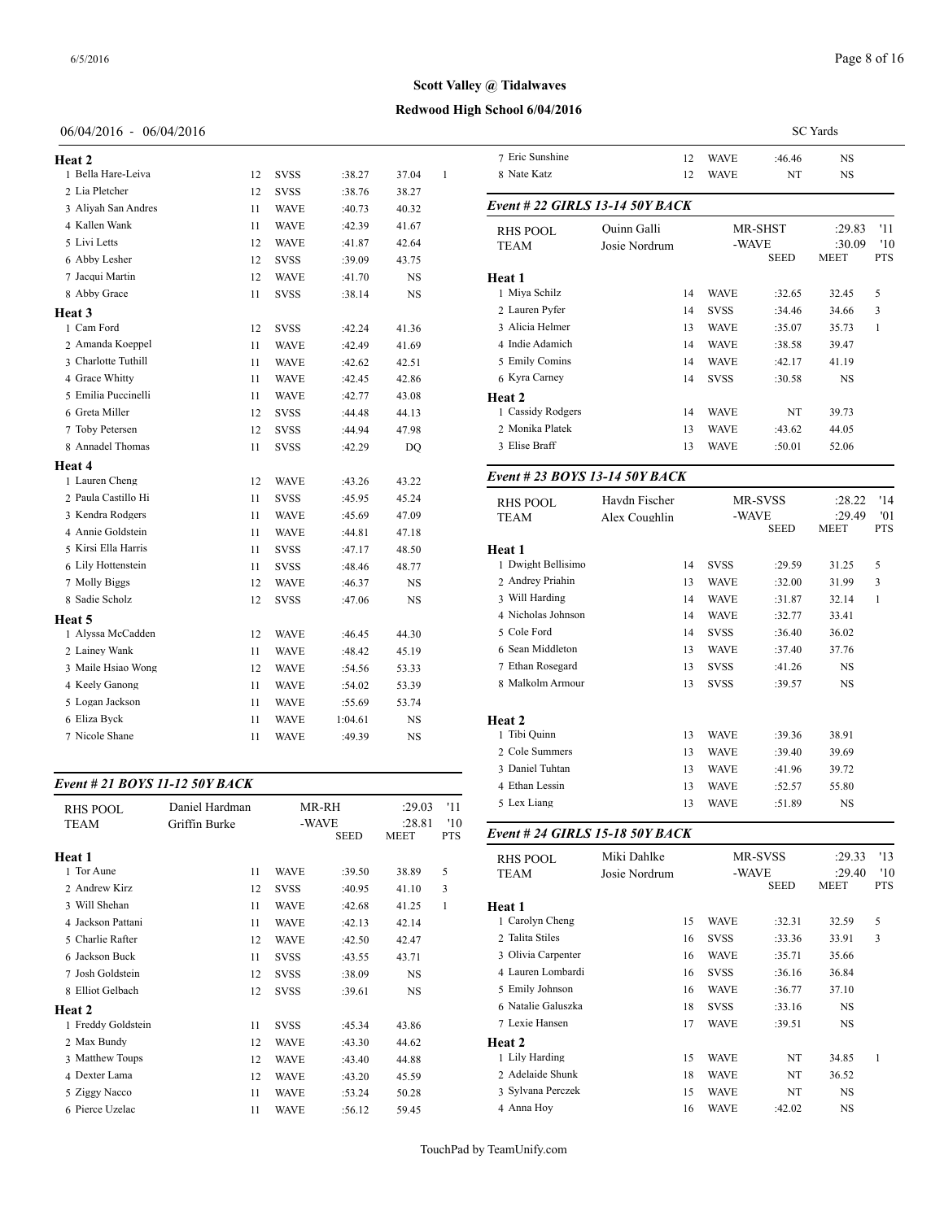#### **Redwood High School 6/04/2016**

#### 06/04/2016 - 06/04/2016

| Heat 2              |    |             |         |           |   | 7 Eric Sunshine |
|---------------------|----|-------------|---------|-----------|---|-----------------|
| 1 Bella Hare-Leiva  | 12 | <b>SVSS</b> | :38.27  | 37.04     | 1 | 8 Nate Katz     |
| 2 Lia Pletcher      | 12 | <b>SVSS</b> | :38.76  | 38.27     |   |                 |
| 3 Aliyah San Andres | 11 | <b>WAVE</b> | :40.73  | 40.32     |   | Event # 22 GII  |
| 4 Kallen Wank       | 11 | <b>WAVE</b> | :42.39  | 41.67     |   | <b>RHS POOL</b> |
| 5 Livi Letts        | 12 | <b>WAVE</b> | :41.87  | 42.64     |   | <b>TEAM</b>     |
| 6 Abby Lesher       | 12 | <b>SVSS</b> | :39.09  | 43.75     |   |                 |
| 7 Jacqui Martin     | 12 | <b>WAVE</b> | :41.70  | <b>NS</b> |   | Heat 1          |
| 8 Abby Grace        | 11 | <b>SVSS</b> | :38.14  | <b>NS</b> |   | 1 Miya Schilz   |
| Heat 3              |    |             |         |           |   | 2 Lauren Pyfer  |
| 1 Cam Ford          | 12 | <b>SVSS</b> | :42.24  | 41.36     |   | 3 Alicia Helmer |
| 2 Amanda Koeppel    | 11 | <b>WAVE</b> | :42.49  | 41.69     |   | 4 Indie Adamich |
| 3 Charlotte Tuthill | 11 | <b>WAVE</b> | :42.62  | 42.51     |   | 5 Emily Comins  |
| 4 Grace Whitty      | 11 | <b>WAVE</b> | :42.45  | 42.86     |   | 6 Kyra Carney   |
| 5 Emilia Puccinelli | 11 | <b>WAVE</b> | :42.77  | 43.08     |   | Heat 2          |
| 6 Greta Miller      | 12 | <b>SVSS</b> | :44.48  | 44.13     |   | 1 Cassidy Rodge |
| 7 Toby Petersen     | 12 | <b>SVSS</b> | :44.94  | 47.98     |   | 2 Monika Platek |
| 8 Annadel Thomas    | 11 | <b>SVSS</b> | :42.29  | DQ        |   | 3 Elise Braff   |
| Heat 4              |    |             |         |           |   |                 |
| 1 Lauren Cheng      | 12 | <b>WAVE</b> | :43.26  | 43.22     |   | Event # 23 $BO$ |
| 2 Paula Castillo Hi | 11 | <b>SVSS</b> | :45.95  | 45.24     |   | <b>RHS POOL</b> |
| 3 Kendra Rodgers    | 11 | <b>WAVE</b> | :45.69  | 47.09     |   | <b>TEAM</b>     |
| 4 Annie Goldstein   | 11 | <b>WAVE</b> | :44.81  | 47.18     |   |                 |
| 5 Kirsi Ella Harris | 11 | <b>SVSS</b> | :47.17  | 48.50     |   | Heat 1          |
| 6 Lily Hottenstein  | 11 | <b>SVSS</b> | :48.46  | 48.77     |   | 1 Dwight Bellis |
| 7 Molly Biggs       | 12 | <b>WAVE</b> | :46.37  | NS        |   | 2 Andrey Priahi |
| 8 Sadie Scholz      | 12 | <b>SVSS</b> | :47.06  | <b>NS</b> |   | 3 Will Harding  |
| Heat 5              |    |             |         |           |   | 4 Nicholas John |
| 1 Alyssa McCadden   | 12 | <b>WAVE</b> | :46.45  | 44.30     |   | 5 Cole Ford     |
| 2 Lainey Wank       | 11 | <b>WAVE</b> | :48.42  | 45.19     |   | 6 Sean Middleto |
| 3 Maile Hsiao Wong  | 12 | <b>WAVE</b> | :54.56  | 53.33     |   | 7 Ethan Rosegar |
| 4 Keely Ganong      | 11 | WAVE        | :54.02  | 53.39     |   | 8 Malkolm Arm   |
| 5 Logan Jackson     | 11 | <b>WAVE</b> | :55.69  | 53.74     |   |                 |
| 6 Eliza Byck        | 11 | <b>WAVE</b> | 1:04.61 | NS        |   | Heat 2          |
| 7 Nicole Shane      | 11 | <b>WAVE</b> | :49.39  | <b>NS</b> |   | 1 Tibi Quinn    |
|                     |    |             |         |           |   |                 |

#### *Event # 21 BOYS 11-12 50Y BACK*

| <b>RHS POOL</b>    | Daniel Hardman |             | MR-RH                | :29.03                | '11               | 5 Lex Liang        |
|--------------------|----------------|-------------|----------------------|-----------------------|-------------------|--------------------|
| <b>TEAM</b>        | Griffin Burke  |             | -WAVE<br><b>SEED</b> | :28.81<br><b>MEET</b> | '10<br><b>PTS</b> | Event # 24 GIRI    |
| Heat 1             |                |             |                      |                       |                   | <b>RHS POOL</b>    |
| 1 Tor Aune         | 11             | <b>WAVE</b> | :39.50               | 38.89                 | 5                 | <b>TEAM</b>        |
| 2 Andrew Kirz      | 12             | <b>SVSS</b> | :40.95               | 41.10                 | 3                 |                    |
| 3 Will Shehan      | 11             | <b>WAVE</b> | :42.68               | 41.25                 | 1                 | <b>Heat 1</b>      |
| 4 Jackson Pattani  | 11             | <b>WAVE</b> | :42.13               | 42.14                 |                   | 1 Carolyn Cheng    |
| 5 Charlie Rafter   | 12             | <b>WAVE</b> | :42.50               | 42.47                 |                   | 2 Talita Stiles    |
| 6 Jackson Buck     | 11             | <b>SVSS</b> | :43.55               | 43.71                 |                   | 3 Olivia Carpenter |
| 7 Josh Goldstein   | 12             | <b>SVSS</b> | :38.09               | <b>NS</b>             |                   | 4 Lauren Lombard   |
| 8 Elliot Gelbach   | 12             | <b>SVSS</b> | :39.61               | <b>NS</b>             |                   | 5 Emily Johnson    |
| Heat 2             |                |             |                      |                       |                   | 6 Natalie Galuszk  |
| 1 Freddy Goldstein | 11             | <b>SVSS</b> | :45.34               | 43.86                 |                   | 7 Lexie Hansen     |
| 2 Max Bundy        | 12             | <b>WAVE</b> | :43.30               | 44.62                 |                   | Heat 2             |
| 3 Matthew Toups    | 12             | <b>WAVE</b> | :43.40               | 44.88                 |                   | 1 Lily Harding     |
| 4 Dexter Lama      | 12             | <b>WAVE</b> | :43.20               | 45.59                 |                   | 2 Adelaide Shunk   |
| 5 Ziggy Nacco      | 11             | <b>WAVE</b> | :53.24               | 50.28                 |                   | 3 Sylvana Perczek  |
| 6 Pierce Uzelac    | 11             | <b>WAVE</b> | :56.12               | 59.45                 |                   | 4 Anna Hoy         |
|                    |                |             |                      |                       |                   |                    |

|                                 |               |    |                      |         | <b>SC</b> Yards       |                   |  |
|---------------------------------|---------------|----|----------------------|---------|-----------------------|-------------------|--|
| 7 Eric Sunshine                 |               | 12 | <b>WAVE</b>          | :46.46  | <b>NS</b>             |                   |  |
| 8 Nate Katz                     |               | 12 | <b>WAVE</b>          | NT      | <b>NS</b>             |                   |  |
| Event # 22 GIRLS 13-14 50Y BACK |               |    |                      |         |                       |                   |  |
| RHS POOL                        | Quinn Galli   |    | MR-SHST              |         | :29.83                | '11               |  |
| TEAM                            | Josie Nordrum |    | -WAVE<br><b>SEED</b> |         | :30.09<br><b>MEET</b> | '10<br><b>PTS</b> |  |
| Heat 1                          |               |    |                      |         |                       |                   |  |
| 1 Miya Schilz                   |               | 14 | <b>WAVE</b>          | :32.65  | 32.45                 | 5                 |  |
| 2 Lauren Pyfer                  |               | 14 | <b>SVSS</b>          | :34.46  | 34.66                 | 3                 |  |
| 3 Alicia Helmer                 |               | 13 | <b>WAVE</b>          | :35.07  | 35.73                 | 1                 |  |
| 4 Indie Adamich                 |               | 14 | <b>WAVE</b>          | :38.58  | 39.47                 |                   |  |
| 5 Emily Comins                  |               | 14 | <b>WAVE</b>          | :42.17  | 41.19                 |                   |  |
| 6 Kyra Carney                   |               | 14 | <b>SVSS</b>          | :30.58  | <b>NS</b>             |                   |  |
| Heat 2                          |               |    |                      |         |                       |                   |  |
| 1 Cassidy Rodgers               |               | 14 | <b>WAVE</b>          | NT      | 39.73                 |                   |  |
| 2 Monika Platek                 |               | 13 | <b>WAVE</b>          | :43.62  | 44.05                 |                   |  |
| 3 Elise Braff                   |               | 13 | <b>WAVE</b>          | :50.01  | 52.06                 |                   |  |
| Event # 23 BOYS 13-14 50Y BACK  |               |    |                      |         |                       |                   |  |
| <b>RHS POOL</b>                 | Haydn Fischer |    |                      | MR-SVSS | :28.22                | '14               |  |

| 10119 I OOL        |               |    |             |             |             |            |
|--------------------|---------------|----|-------------|-------------|-------------|------------|
| TEAM               | Alex Coughlin |    | -WAVE       |             | :29.49      | '01        |
|                    |               |    |             | <b>SEED</b> | <b>MEET</b> | <b>PTS</b> |
| <b>Heat 1</b>      |               |    |             |             |             |            |
| 1 Dwight Bellisimo |               | 14 | <b>SVSS</b> | :29.59      | 31.25       | 5          |
| 2 Andrey Priahin   |               | 13 | <b>WAVE</b> | :32.00      | 31.99       | 3          |
| 3 Will Harding     |               | 14 | <b>WAVE</b> | :31.87      | 32.14       | 1          |
| 4 Nicholas Johnson |               | 14 | <b>WAVE</b> | :32.77      | 33.41       |            |
| 5 Cole Ford        |               | 14 | <b>SVSS</b> | :36.40      | 36.02       |            |
| 6 Sean Middleton   |               | 13 | <b>WAVE</b> | :37.40      | 37.76       |            |
| 7 Ethan Rosegard   |               | 13 | <b>SVSS</b> | :41.26      | NS          |            |
| 8 Malkolm Armour   |               | 13 | <b>SVSS</b> | :39.57      | <b>NS</b>   |            |
|                    |               |    |             |             |             |            |
| <b>Heat 2</b>      |               |    |             |             |             |            |
| 1 Tibi Quinn       |               | 13 | <b>WAVE</b> | :39.36      | 38.91       |            |
| 2 Cole Summers     |               | 13 | <b>WAVE</b> | :39.40      | 39.69       |            |
| 3 Daniel Tuhtan    |               | 13 | <b>WAVE</b> | :41.96      | 39.72       |            |
| 4 Ethan Lessin     |               | 13 | <b>WAVE</b> | :52.57      | 55.80       |            |
| 5 Lex Liang        |               | 13 | <b>WAVE</b> | :51.89      | NS          |            |
|                    |               |    |             |             |             |            |

## SEED MEET PTS *Event # 24 GIRLS 15-18 50Y BACK* RHS POOL Miki Dahlke MR-SVSS :29.33 '13<br>TEAM Josie Nordrum -WAVE :29.40 '10 TEAM Josie Nordrum -WAVE :29.40 '10<br>SEED MEET PTS **MEET Heat 1** Carolyn Cheng 15 WAVE :32.31 32.59 5 Talita Stiles 16 SVSS :33.36 33.91 3 Olivia Carpenter 16 WAVE :35.71 35.66 Lauren Lombardi 16 SVSS :36.16 36.84 Emily Johnson 16 WAVE :36.77 37.10 Natalie Galuszka 18 SVSS :33.16 NS Lexie Hansen 17 WAVE :39.51 NS **Heat 2** Lily Harding 15 WAVE NT 34.85 1 2 Adelaide Shunk 18 WAVE NT 36.52 3 Sylvana Perczek 15 WAVE NT NS Anna Hoy 16 WAVE :42.02 NS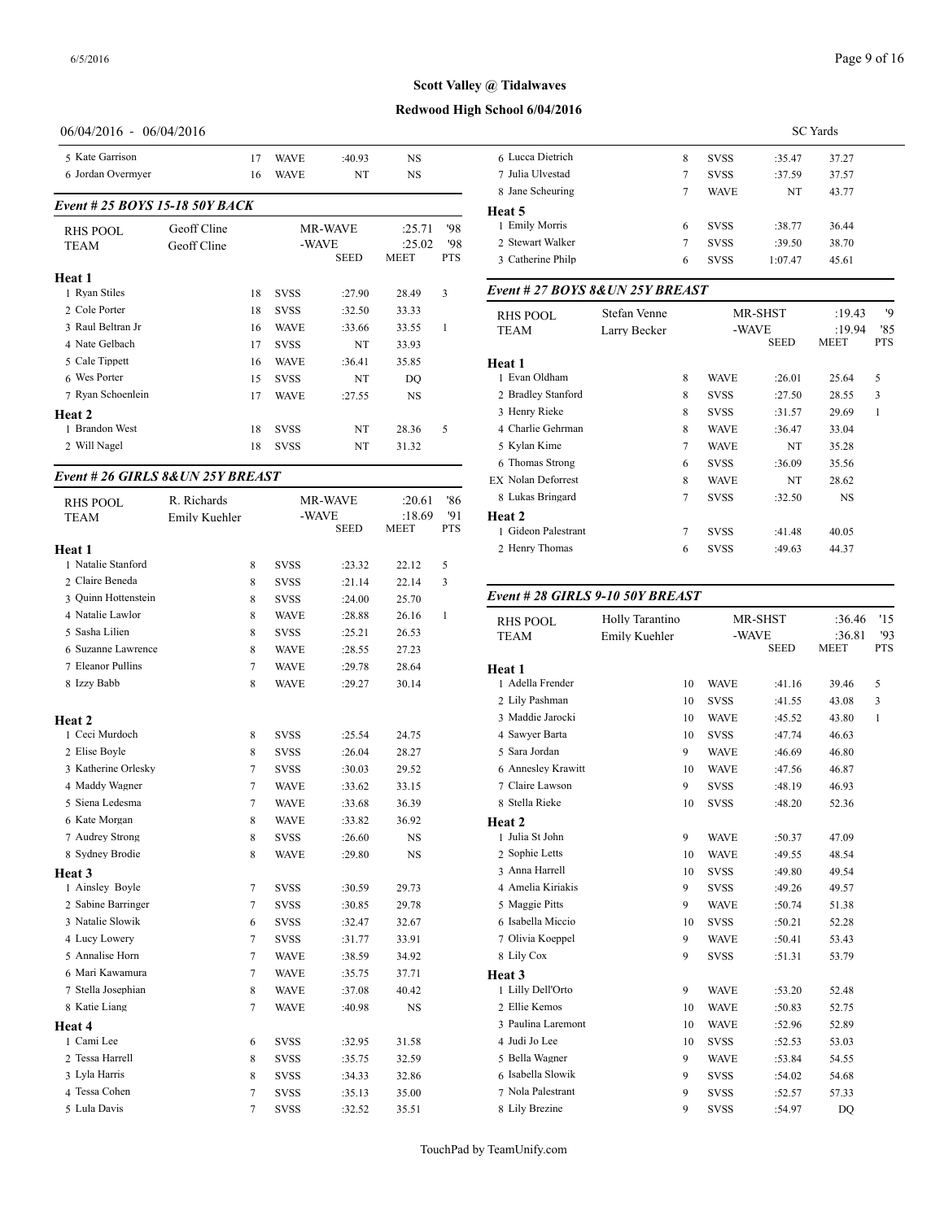## **Redwood High School 6/04/2016**

## 06/04/2016 - 06/04/2016

| 5 Kate Garrison                |             | 17 | <b>WAVE</b> | :40.93      | <b>NS</b>   |            | 6 Lucca Dietrich                 |              | 8              | <b>SVSS</b> | :35.47      | 37.27       |
|--------------------------------|-------------|----|-------------|-------------|-------------|------------|----------------------------------|--------------|----------------|-------------|-------------|-------------|
| 6 Jordan Overmyer              |             | 16 | <b>WAVE</b> | NT          | <b>NS</b>   |            | 7 Julia Ulvestad                 |              | 7              | <b>SVSS</b> | :37.59      | 37.57       |
|                                |             |    |             |             |             |            | 8 Jane Scheuring                 |              | $\overline{7}$ | <b>WAVE</b> | NT          | 43.77       |
| Event # 25 BOYS 15-18 50Y BACK |             |    |             |             |             |            | Heat 5                           |              |                |             |             |             |
| <b>RHS POOL</b>                | Geoff Cline |    |             | MR-WAVE     | :25.71      | '98        | 1 Emily Morris                   |              | 6              | <b>SVSS</b> | :38.77      | 36.44       |
| <b>TEAM</b>                    | Geoff Cline |    |             | -WAVE       | :25.02      | '98        | 2 Stewart Walker                 |              | 7              | <b>SVSS</b> | :39.50      | 38.70       |
|                                |             |    |             | <b>SEED</b> | <b>MEET</b> | <b>PTS</b> | 3 Catherine Philp                |              | 6              | <b>SVSS</b> | 1:07.47     | 45.61       |
| Heat 1                         |             |    |             |             |             |            |                                  |              |                |             |             |             |
| 1 Ryan Stiles                  |             | 18 | <b>SVSS</b> | :27.90      | 28.49       | 3          | Event # 27 BOYS 8& UN 25Y BREAST |              |                |             |             |             |
| 2 Cole Porter                  |             | 18 | <b>SVSS</b> | :32.50      | 33.33       |            | <b>RHS POOL</b>                  | Stefan Venne |                |             | MR-SHST     | :19.43      |
| 3 Raul Beltran Jr              |             | 16 | <b>WAVE</b> | :33.66      | 33.55       |            | <b>TEAM</b>                      | Larry Becker |                |             | -WAVE       | :19.94      |
| 4 Nate Gelbach                 |             | 17 | <b>SVSS</b> | NT          | 33.93       |            |                                  |              |                |             | <b>SEED</b> | <b>MEET</b> |
| 5 Cale Tippett                 |             | 16 | <b>WAVE</b> | :36.41      | 35.85       |            | Heat 1                           |              |                |             |             |             |
| 6 Wes Porter                   |             | 15 | <b>SVSS</b> | NT          | DQ          |            | 1 Evan Oldham                    |              | 8              | <b>WAVE</b> | :26.01      | 25.64       |
| 7 Ryan Schoenlein              |             | 17 | <b>WAVE</b> | :27.55      | <b>NS</b>   |            | 2 Bradley Stanford               |              | 8              | <b>SVSS</b> | :27.50      | 28.55       |
| Heat 2                         |             |    |             |             |             |            | 3 Henry Rieke                    |              | 8              | <b>SVSS</b> | :31.57      | 29.69       |
| 1 Brandon West                 |             | 18 | <b>SVSS</b> | NT          | 28.36       | 5          | 4 Charlie Gehrman                |              | 8              | <b>WAVE</b> | :36.47      | 33.04       |
| 2 Will Nagel                   |             | 18 | <b>SVSS</b> | NT          | 31.32       |            | 5 Kylan Kime                     |              | $\overline{7}$ | <b>WAVE</b> | NT          | 35.28       |
|                                |             |    |             |             |             |            | C. Thomas Strong                 |              | $\epsilon$     | CITCO       | 2000        | 25.56       |

## *Event # 26 GIRLS 8&UN 25Y BREAST*

| <b>RHS POOL</b>     | R. Richards   |                |             | <b>MR-WAVE</b> | :20.61                | '86              | 8 Lukas Bringard            |
|---------------------|---------------|----------------|-------------|----------------|-----------------------|------------------|-----------------------------|
| <b>TEAM</b>         | Emily Kuehler |                | -WAVE       | <b>SEED</b>    | :18.69<br><b>MEET</b> | 91<br><b>PTS</b> | Heat 2<br>1 Gideon Palestra |
| Heat 1              |               |                |             |                |                       |                  | 2 Henry Thomas              |
| 1 Natalie Stanford  |               | 8              | <b>SVSS</b> | :23.32         | 22.12                 | 5                |                             |
| 2 Claire Beneda     |               | 8              | <b>SVSS</b> | : 21.14        | 22.14                 | 3                |                             |
| 3 Ouinn Hottenstein |               | 8              | <b>SVSS</b> | :24.00         | 25.70                 |                  | Event # 28 GIRI             |
| 4 Natalie Lawlor    |               | 8              | <b>WAVE</b> | :28.88         | 26.16                 | $\mathbf{1}$     | <b>RHS POOL</b>             |
| 5 Sasha Lilien      |               | 8              | <b>SVSS</b> | :25.21         | 26.53                 |                  | <b>TEAM</b>                 |
| 6 Suzanne Lawrence  |               | 8              | <b>WAVE</b> | :28.55         | 27.23                 |                  |                             |
| 7 Eleanor Pullins   |               | $\tau$         | <b>WAVE</b> | :29.78         | 28.64                 |                  | Heat 1                      |
| 8 Izzy Babb         |               | 8              | <b>WAVE</b> | :29.27         | 30.14                 |                  | 1 Adella Frender            |
|                     |               |                |             |                |                       |                  | 2 Lily Pashman              |
| Heat 2              |               |                |             |                |                       |                  | 3 Maddie Jarocki            |
| 1 Ceci Murdoch      |               | 8              | <b>SVSS</b> | :25.54         | 24.75                 |                  | 4 Sawyer Barta              |
| 2 Elise Boyle       |               | 8              | <b>SVSS</b> | :26.04         | 28.27                 |                  | 5 Sara Jordan               |
| 3 Katherine Orlesky |               | 7              | <b>SVSS</b> | :30.03         | 29.52                 |                  | 6 Annesley Krawi            |
| 4 Maddy Wagner      |               | $\tau$         | <b>WAVE</b> | :33.62         | 33.15                 |                  | 7 Claire Lawson             |
| 5 Siena Ledesma     |               | $\tau$         | <b>WAVE</b> | :33.68         | 36.39                 |                  | 8 Stella Rieke              |
| 6 Kate Morgan       |               | 8              | <b>WAVE</b> | :33.82         | 36.92                 |                  | Heat 2                      |
| 7 Audrey Strong     |               | $\,$ 8 $\,$    | <b>SVSS</b> | :26.60         | NS                    |                  | 1 Julia St John             |
| 8 Sydney Brodie     |               | 8              | <b>WAVE</b> | :29.80         | NS                    |                  | 2 Sophie Letts              |
| Heat 3              |               |                |             |                |                       |                  | 3 Anna Harrell              |
| 1 Ainsley Boyle     |               | $\tau$         | <b>SVSS</b> | :30.59         | 29.73                 |                  | 4 Amelia Kiriakis           |
| 2 Sabine Barringer  |               | $\tau$         | <b>SVSS</b> | :30.85         | 29.78                 |                  | 5 Maggie Pitts              |
| 3 Natalie Slowik    |               | 6              | <b>SVSS</b> | :32.47         | 32.67                 |                  | 6 Isabella Miccio           |
| 4 Lucy Lowery       |               | $\tau$         | <b>SVSS</b> | :31.77         | 33.91                 |                  | 7 Olivia Koeppel            |
| 5 Annalise Horn     |               | $\tau$         | <b>WAVE</b> | :38.59         | 34.92                 |                  | 8 Lily Cox                  |
| 6 Mari Kawamura     |               | $\tau$         | <b>WAVE</b> | :35.75         | 37.71                 |                  | Heat 3                      |
| 7 Stella Josephian  |               | 8              | <b>WAVE</b> | :37.08         | 40.42                 |                  | 1 Lilly Dell'Orto           |
| 8 Katie Liang       |               | 7              | <b>WAVE</b> | :40.98         | NS                    |                  | 2 Ellie Kemos               |
| Heat 4              |               |                |             |                |                       |                  | 3 Paulina Laremor           |
| 1 Cami Lee          |               | 6              | <b>SVSS</b> | :32.95         | 31.58                 |                  | 4 Judi Jo Lee               |
| 2 Tessa Harrell     |               | 8              | <b>SVSS</b> | :35.75         | 32.59                 |                  | 5 Bella Wagner              |
| 3 Lyla Harris       |               | 8              | <b>SVSS</b> | :34.33         | 32.86                 |                  | 6 Isabella Slowik           |
| 4 Tessa Cohen       |               | $\tau$         | <b>SVSS</b> | :35.13         | 35.00                 |                  | 7 Nola Palestrant           |
| 5 Lula Davis        |               | $\overline{7}$ | <b>SVSS</b> | :32.52         | 35.51                 |                  | 8 Lily Brezine              |

|                   |   |             | <b>SC</b> Yards |       |
|-------------------|---|-------------|-----------------|-------|
| 6 Lucca Dietrich  | 8 | <b>SVSS</b> | :35.47          | 37.27 |
| 7 Julia Ulvestad  | 7 | <b>SVSS</b> | :37.59          | 37.57 |
| 8 Jane Scheuring  |   | <b>WAVE</b> | NT              | 43.77 |
| Heat 5            |   |             |                 |       |
| 1 Emily Morris    | 6 | <b>SVSS</b> | :38.77          | 36.44 |
| 2 Stewart Walker  | 7 | <b>SVSS</b> | :39.50          | 38.70 |
| 3 Catherine Philp | 6 | <b>SVSS</b> | 1:07.47         | 45.61 |
|                   |   |             |                 |       |

| RHS POOL<br><b>TEAM</b> | Stefan Venne<br>Larry Becker |                |             | MR-SHST<br>-WAVE | :19.43<br>:19.94 | '9<br>'85 |
|-------------------------|------------------------------|----------------|-------------|------------------|------------------|-----------|
|                         |                              |                |             | SEED             | <b>MEET</b>      |           |
| Heat 1                  |                              |                |             |                  |                  |           |
| 1 Evan Oldham           |                              | 8              | <b>WAVE</b> | :26.01           | 25.64            | 5         |
| 2 Bradley Stanford      |                              | 8              | <b>SVSS</b> | :27.50           | 28.55            | 3         |
| 3 Henry Rieke           |                              | 8              | <b>SVSS</b> | :31.57           | 29.69            | 1         |
| 4 Charlie Gehrman       |                              | 8              | <b>WAVE</b> | :36.47           | 33.04            |           |
| 5 Kylan Kime            |                              | $\tau$         | <b>WAVE</b> | NT               | 35.28            |           |
| 6 Thomas Strong         |                              | 6              | <b>SVSS</b> | :36.09           | 35.56            |           |
| EX Nolan Deforrest      |                              | 8              | <b>WAVE</b> | NT               | 28.62            |           |
| 8 Lukas Bringard        |                              | 7              | <b>SVSS</b> | :32.50           | <b>NS</b>        |           |
| <b>Heat 2</b>           |                              |                |             |                  |                  |           |
| 1 Gideon Palestrant     |                              | $\overline{7}$ | <b>SVSS</b> | :41.48           | 40.05            |           |
| 2 Henry Thomas          |                              | 6              | <b>SVSS</b> | :49.63           | 44.37            |           |
|                         |                              |                |             |                  |                  |           |

## *Event # 28 GIRLS 9-10 50Y BREAST*

| <b>RHS POOL</b>    | Holly Tarantino |             | <b>MR-SHST</b>       | :36.46                | '15               |
|--------------------|-----------------|-------------|----------------------|-----------------------|-------------------|
| <b>TEAM</b>        | Emily Kuehler   |             | -WAVE<br><b>SEED</b> | :36.81<br><b>MEET</b> | '93<br><b>PTS</b> |
| Heat 1             |                 |             |                      |                       |                   |
| 1 Adella Frender   | 10              | <b>WAVE</b> | :41.16               | 39.46                 | 5                 |
| 2 Lily Pashman     | 10              | <b>SVSS</b> | :41.55               | 43.08                 | 3                 |
| 3 Maddie Jarocki   | 10              | <b>WAVE</b> | :45.52               | 43.80                 | $\mathbf{1}$      |
| 4 Sawyer Barta     | 10              | <b>SVSS</b> | :47.74               | 46.63                 |                   |
| 5 Sara Jordan      | 9               | <b>WAVE</b> | :46.69               | 46.80                 |                   |
| 6 Annesley Krawitt | 10              | <b>WAVE</b> | :47.56               | 46.87                 |                   |
| 7 Claire Lawson    | 9               | <b>SVSS</b> | :48.19               | 46.93                 |                   |
| 8 Stella Rieke     | 10              | <b>SVSS</b> | :48.20               | 52.36                 |                   |
| Heat 2             |                 |             |                      |                       |                   |
| 1 Julia St John    | 9               | <b>WAVE</b> | :50.37               | 47.09                 |                   |
| 2 Sophie Letts     | 10              | <b>WAVE</b> | :49.55               | 48.54                 |                   |
| 3 Anna Harrell     | 10              | <b>SVSS</b> | :49.80               | 49.54                 |                   |
| 4 Amelia Kiriakis  | 9               | <b>SVSS</b> | :49.26               | 49.57                 |                   |
| 5 Maggie Pitts     | 9               | <b>WAVE</b> | :50.74               | 51.38                 |                   |
| 6 Isabella Miccio  | 10              | <b>SVSS</b> | :50.21               | 52.28                 |                   |
| 7 Olivia Koeppel   | 9               | <b>WAVE</b> | :50.41               | 53.43                 |                   |
| 8 Lily Cox         | 9               | <b>SVSS</b> | :51.31               | 53.79                 |                   |
| Heat 3             |                 |             |                      |                       |                   |
| 1 Lilly Dell'Orto  | 9               | <b>WAVE</b> | :53.20               | 52.48                 |                   |
| 2 Ellie Kemos      | 10              | <b>WAVE</b> | :50.83               | 52.75                 |                   |
| 3 Paulina Laremont | 10              | <b>WAVE</b> | :52.96               | 52.89                 |                   |
| 4 Judi Jo Lee      | 10              | <b>SVSS</b> | :52.53               | 53.03                 |                   |
| 5 Bella Wagner     | 9               | <b>WAVE</b> | :53.84               | 54.55                 |                   |
| 6 Isabella Slowik  | 9               | <b>SVSS</b> | :54.02               | 54.68                 |                   |
| 7 Nola Palestrant  | 9               | <b>SVSS</b> | :52.57               | 57.33                 |                   |
| 8 Lily Brezine     | 9               | <b>SVSS</b> | :54.97               | <b>DO</b>             |                   |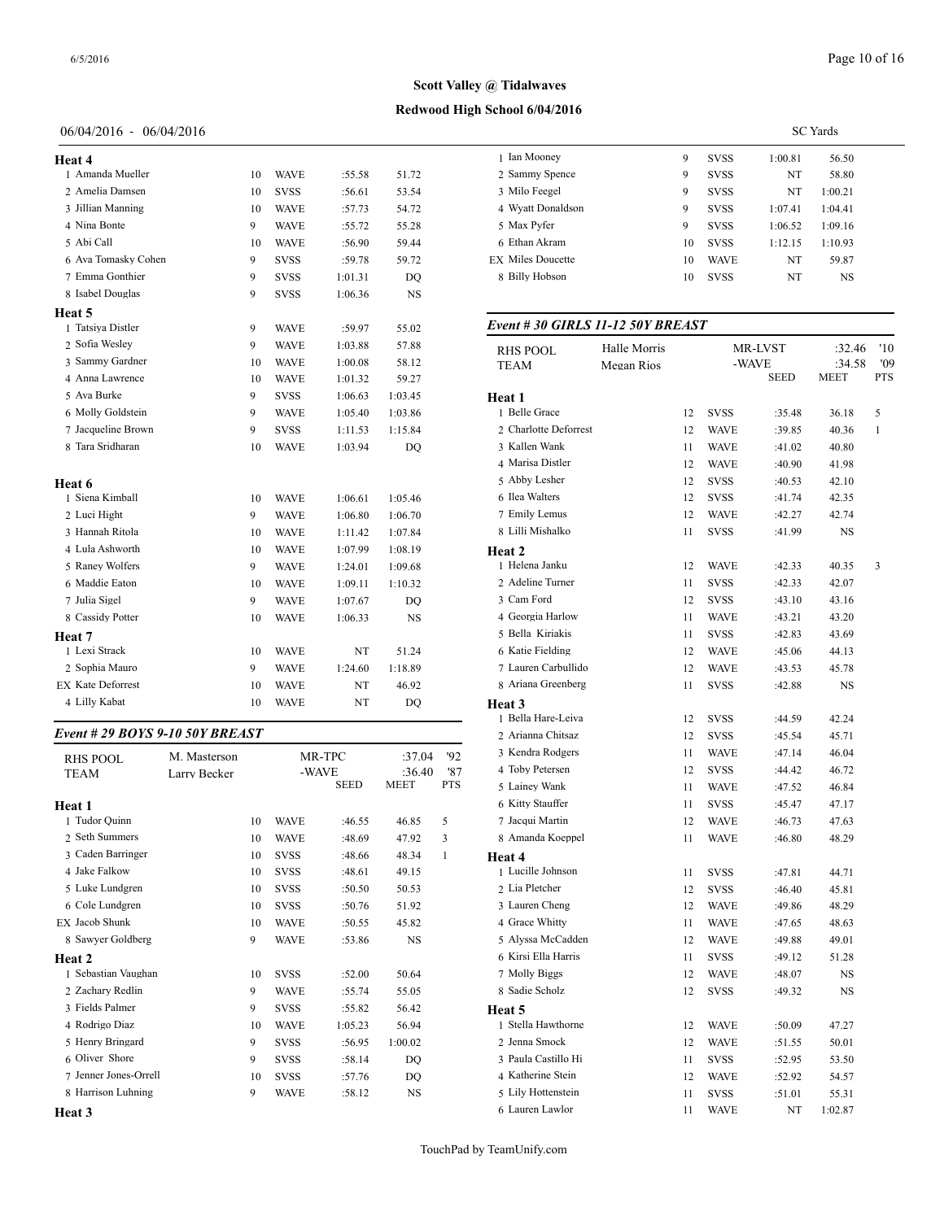| Heat 4                          |    |             |         |           | 1 Ian Mooney            |
|---------------------------------|----|-------------|---------|-----------|-------------------------|
| 1 Amanda Mueller                | 10 | <b>WAVE</b> | :55.58  | 51.72     | 2 Sammy Spenc           |
| 2 Amelia Damsen                 | 10 | <b>SVSS</b> | :56.61  | 53.54     | 3 Milo Feegel           |
| 3 Jillian Manning               | 10 | <b>WAVE</b> | :57.73  | 54.72     | 4 Wyatt Donald:         |
| 4 Nina Bonte                    | 9  | <b>WAVE</b> | :55.72  | 55.28     | 5 Max Pyfer             |
| 5 Abi Call                      | 10 | <b>WAVE</b> | :56.90  | 59.44     | 6 Ethan Akram           |
| 6 Ava Tomasky Cohen             | 9  | <b>SVSS</b> | :59.78  | 59.72     | <b>EX Miles Doucett</b> |
| 7 Emma Gonthier                 | 9  | <b>SVSS</b> | 1:01.31 | DQ        | 8 Billy Hobson          |
| 8 Isabel Douglas                | 9  | <b>SVSS</b> | 1:06.36 | <b>NS</b> |                         |
| Heat 5                          |    |             |         |           |                         |
| 1 Tatsiya Distler               | 9  | <b>WAVE</b> | :59.97  | 55.02     | Event # 30 GII          |
| 2 Sofia Wesley                  | 9  | <b>WAVE</b> | 1:03.88 | 57.88     | <b>RHS POOL</b>         |
| 3 Sammy Gardner                 | 10 | <b>WAVE</b> | 1:00.08 | 58.12     | <b>TEAM</b>             |
| 4 Anna Lawrence                 | 10 | <b>WAVE</b> | 1:01.32 | 59.27     |                         |
| 5 Ava Burke                     | 9  | <b>SVSS</b> | 1:06.63 | 1:03.45   | Heat 1                  |
| 6 Molly Goldstein               | 9  | <b>WAVE</b> | 1:05.40 | 1:03.86   | 1 Belle Grace           |
| 7 Jacqueline Brown              | 9  | <b>SVSS</b> | 1:11.53 | 1:15.84   | 2 Charlotte Defo        |
| 8 Tara Sridharan                | 10 | WAVE        | 1:03.94 | DQ        | 3 Kallen Wank           |
|                                 |    |             |         |           | 4 Marisa Distler        |
| Heat 6                          |    |             |         |           | 5 Abby Lesher           |
| 1 Siena Kimball                 | 10 | <b>WAVE</b> | 1:06.61 | 1:05.46   | 6 Ilea Walters          |
| 2 Luci Hight                    | 9  | <b>WAVE</b> | 1:06.80 | 1:06.70   | 7 Emily Lemus           |
| 3 Hannah Ritola                 | 10 | <b>WAVE</b> | 1:11.42 | 1:07.84   | 8 Lilli Mishalko        |
| 4 Lula Ashworth                 | 10 | <b>WAVE</b> | 1:07.99 | 1:08.19   | Heat 2                  |
| 5 Raney Wolfers                 | 9  | <b>WAVE</b> | 1:24.01 | 1:09.68   | 1 Helena Janku          |
| 6 Maddie Eaton                  | 10 | <b>WAVE</b> | 1:09.11 | 1:10.32   | 2 Adeline Turne         |
| 7 Julia Sigel                   | 9  | <b>WAVE</b> | 1:07.67 | DO        | 3 Cam Ford              |
| 8 Cassidy Potter                | 10 | <b>WAVE</b> | 1:06.33 | <b>NS</b> | 4 Georgia Harlo         |
| <b>Heat</b> 7                   |    |             |         |           | 5 Bella Kiriakis        |
| 1 Lexi Strack                   | 10 | <b>WAVE</b> | NT      | 51.24     | 6 Katie Fielding        |
| 2 Sophia Mauro                  | 9  | <b>WAVE</b> | 1:24.60 | 1:18.89   | 7 Lauren Carbul         |
| <b>EX Kate Deforrest</b>        | 10 | <b>WAVE</b> | NT      | 46.92     | 8 Ariana Greenb         |
| 4 Lilly Kabat                   | 10 | WAVE        | NT      | DQ        | Heat <sub>3</sub>       |
| Event # 29 BOYS 9-10 50Y BREAST |    |             |         |           | 1 Bella Hare-Le         |
|                                 |    |             |         |           | 2 Arianna Chits:        |

## *Event # 29 BOYS 9-10 50Y BREAST*

| <b>RHS POOL</b>       | M. Masterson |    |             | MR-TPC      | :37.04      | 92         | 3 Kendra Rodgers    |
|-----------------------|--------------|----|-------------|-------------|-------------|------------|---------------------|
| <b>TEAM</b>           | Larry Becker |    |             | -WAVE       | :36.40      | '87        | 4 Toby Petersen     |
|                       |              |    |             | <b>SEED</b> | <b>MEET</b> | <b>PTS</b> | 5 Lainey Wank       |
| Heat 1                |              |    |             |             |             |            | 6 Kitty Stauffer    |
| 1 Tudor Quinn         |              | 10 | <b>WAVE</b> | :46.55      | 46.85       | 5          | 7 Jacqui Martin     |
| 2 Seth Summers        |              | 10 | <b>WAVE</b> | :48.69      | 47.92       | 3          | 8 Amanda Koeppe     |
| 3 Caden Barringer     |              | 10 | <b>SVSS</b> | :48.66      | 48.34       | 1          | Heat 4              |
| 4 Jake Falkow         |              | 10 | <b>SVSS</b> | :48.61      | 49.15       |            | 1 Lucille Johnson   |
| 5 Luke Lundgren       |              | 10 | <b>SVSS</b> | :50.50      | 50.53       |            | 2 Lia Pletcher      |
| 6 Cole Lundgren       |              | 10 | <b>SVSS</b> | :50.76      | 51.92       |            | 3 Lauren Cheng      |
| <b>EX Jacob Shunk</b> |              | 10 | <b>WAVE</b> | :50.55      | 45.82       |            | 4 Grace Whitty      |
| 8 Sawyer Goldberg     |              | 9  | <b>WAVE</b> | :53.86      | <b>NS</b>   |            | 5 Alyssa McCadd     |
| Heat 2                |              |    |             |             |             |            | 6 Kirsi Ella Harris |
| 1 Sebastian Vaughan   |              | 10 | <b>SVSS</b> | :52.00      | 50.64       |            | 7 Molly Biggs       |
| 2 Zachary Redlin      |              | 9  | <b>WAVE</b> | :55.74      | 55.05       |            | 8 Sadie Scholz      |
| 3 Fields Palmer       |              | 9  | <b>SVSS</b> | :55.82      | 56.42       |            | Heat 5              |
| 4 Rodrigo Diaz        |              | 10 | <b>WAVE</b> | 1:05.23     | 56.94       |            | 1 Stella Hawthorn   |
| 5 Henry Bringard      |              | 9  | <b>SVSS</b> | :56.95      | 1:00.02     |            | 2 Jenna Smock       |
| 6 Oliver Shore        |              | 9  | <b>SVSS</b> | :58.14      | DO          |            | 3 Paula Castillo H  |
| 7 Jenner Jones-Orrell |              | 10 | <b>SVSS</b> | :57.76      | DO          |            | 4 Katherine Stein   |
| 8 Harrison Luhning    |              | 9  | <b>WAVE</b> | :58.12      | <b>NS</b>   |            | 5 Lily Hottenstein  |
| Heat 3                |              |    |             |             |             |            | 6 Lauren Lawlor     |
|                       |              |    |             |             |             |            |                     |

|                          |    |             |         | <b>SC</b> Yards |
|--------------------------|----|-------------|---------|-----------------|
| 1 Ian Mooney             | 9  | <b>SVSS</b> | 1:00.81 | 56.50           |
| 2 Sammy Spence           | 9  | <b>SVSS</b> | NT      | 58.80           |
| 3 Milo Feegel            | 9  | <b>SVSS</b> | NT      | 1:00.21         |
| 4 Wyatt Donaldson        | 9  | <b>SVSS</b> | 1:07.41 | 1:04.41         |
| 5 Max Pyfer              | 9  | <b>SVSS</b> | 1:06.52 | 1:09.16         |
| 6 Ethan Akram            | 10 | <b>SVSS</b> | 1:12.15 | 1:10.93         |
| <b>EX Miles Doucette</b> | 10 | <b>WAVE</b> | NT      | 59.87           |
| 8 Billy Hobson           | 10 | <b>SVSS</b> | NT      | <b>NS</b>       |
|                          |    |             |         |                 |

| Event # 30 GIRLS 11-12 50Y BREAST |                            |    |                                 |        |                          |                   |
|-----------------------------------|----------------------------|----|---------------------------------|--------|--------------------------|-------------------|
| <b>RHS POOL</b><br>TEAM           | Halle Morris<br>Megan Rios |    | MR-LVST<br>-WAVE<br><b>SEED</b> |        | :32.46<br>:34.58<br>MEET | '10<br>'09<br>PTS |
| Heat 1                            |                            |    |                                 |        |                          |                   |
| 1 Belle Grace                     |                            | 12 | SVSS                            | :35.48 | 36.18                    | 5                 |
| 2 Charlotte Deforrest             |                            | 12 | WAVE                            | :39.85 | 40.36                    | 1                 |
| 3 Kallen Wank                     |                            | 11 | WAVE                            | :41.02 | 40.80                    |                   |
| 4 Marisa Distler                  |                            | 12 | WAVE                            | :40.90 | 41.98                    |                   |
| 5 Abby Lesher                     |                            | 12 | <b>SVSS</b>                     | :40.53 | 42.10                    |                   |
| 6 Ilea Walters                    |                            | 12 | SVSS                            | :41.74 | 42.35                    |                   |
| 7 Emily Lemus                     |                            | 12 | WAVE                            | :42.27 | 42.74                    |                   |
| 8 Lilli Mishalko                  |                            | 11 | SVSS                            | :41.99 | NS                       |                   |
| Heat 2                            |                            |    |                                 |        |                          |                   |
| 1 Helena Janku                    |                            | 12 | WAVE                            | :42.33 | 40.35                    | 3                 |
| 2 Adeline Turner                  |                            | 11 | SVSS                            | :42.33 | 42.07                    |                   |
| 3 Cam Ford                        |                            | 12 | SVSS                            | :43.10 | 43.16                    |                   |
| 4 Georgia Harlow                  |                            | 11 | WAVE                            | :43.21 | 43.20                    |                   |
| 5 Bella Kiriakis                  |                            | 11 | SVSS                            | :42.83 | 43.69                    |                   |
| 6 Katie Fielding                  |                            | 12 | WAVE                            | :45.06 | 44.13                    |                   |
| 7 Lauren Carbullido               |                            | 12 | <b>WAVE</b>                     | :43.53 | 45.78                    |                   |
| 8 Ariana Greenberg                |                            | 11 | <b>SVSS</b>                     | :42.88 | NS                       |                   |
| Heat 3                            |                            |    |                                 |        |                          |                   |
| 1 Bella Hare-Leiva                |                            | 12 | SVSS                            | :44.59 | 42.24                    |                   |
| 2 Arianna Chitsaz                 |                            | 12 | <b>SVSS</b>                     | :45.54 | 45.71                    |                   |
| 3 Kendra Rodgers                  |                            | 11 | WAVE                            | :47.14 | 46.04                    |                   |
| 4 Toby Petersen                   |                            | 12 | SVSS                            | :44.42 | 46.72                    |                   |
| 5 Lainey Wank                     |                            | 11 | WAVE                            | :47.52 | 46.84                    |                   |
| 6 Kitty Stauffer                  |                            | 11 | SVSS                            | :45.47 | 47.17                    |                   |
| 7 Jacqui Martin                   |                            | 12 | WAVE                            | :46.73 | 47.63                    |                   |
| 8 Amanda Koeppel                  |                            | 11 | WAVE                            | :46.80 | 48.29                    |                   |
| Heat 4                            |                            |    |                                 |        |                          |                   |
| 1 Lucille Johnson                 |                            | 11 | SVSS                            | :47.81 | 44.71                    |                   |
| 2 Lia Pletcher                    |                            | 12 | SVSS                            | :46.40 | 45.81                    |                   |
| 3 Lauren Cheng                    |                            | 12 | WAVE                            | :49.86 | 48.29                    |                   |
| 4 Grace Whitty                    |                            | 11 | WAVE                            | :47.65 | 48.63                    |                   |
| 5 Alyssa McCadden                 |                            | 12 | WAVE                            | :49.88 | 49.01                    |                   |
| 6 Kirsi Ella Harris               |                            | 11 | SVSS                            | :49.12 | 51.28                    |                   |
| 7 Molly Biggs                     |                            | 12 | WAVE                            | :48.07 | NS                       |                   |
| 8 Sadie Scholz                    |                            | 12 | <b>SVSS</b>                     | :49.32 | NS                       |                   |
| Heat 5                            |                            |    |                                 |        |                          |                   |
| 1 Stella Hawthorne                |                            | 12 | WAVE                            | :50.09 | 47.27                    |                   |
| 2 Jenna Smock                     |                            | 12 | <b>WAVE</b>                     | :51.55 | 50.01                    |                   |
| 3 Paula Castillo Hi               |                            | 11 | <b>SVSS</b>                     | :52.95 | 53.50                    |                   |
| 4 Katherine Stein                 |                            | 12 | WAVE                            | :52.92 | 54.57                    |                   |
| 5 Lily Hottenstein                |                            | 11 | SVSS                            | :51.01 | 55.31                    |                   |
| 6 Lauren Lawlor                   |                            | 11 | <b>WAVE</b>                     | NT     | 1:02.87                  |                   |

**Redwood High School 6/04/2016 Scott Valley @ Tidalwaves**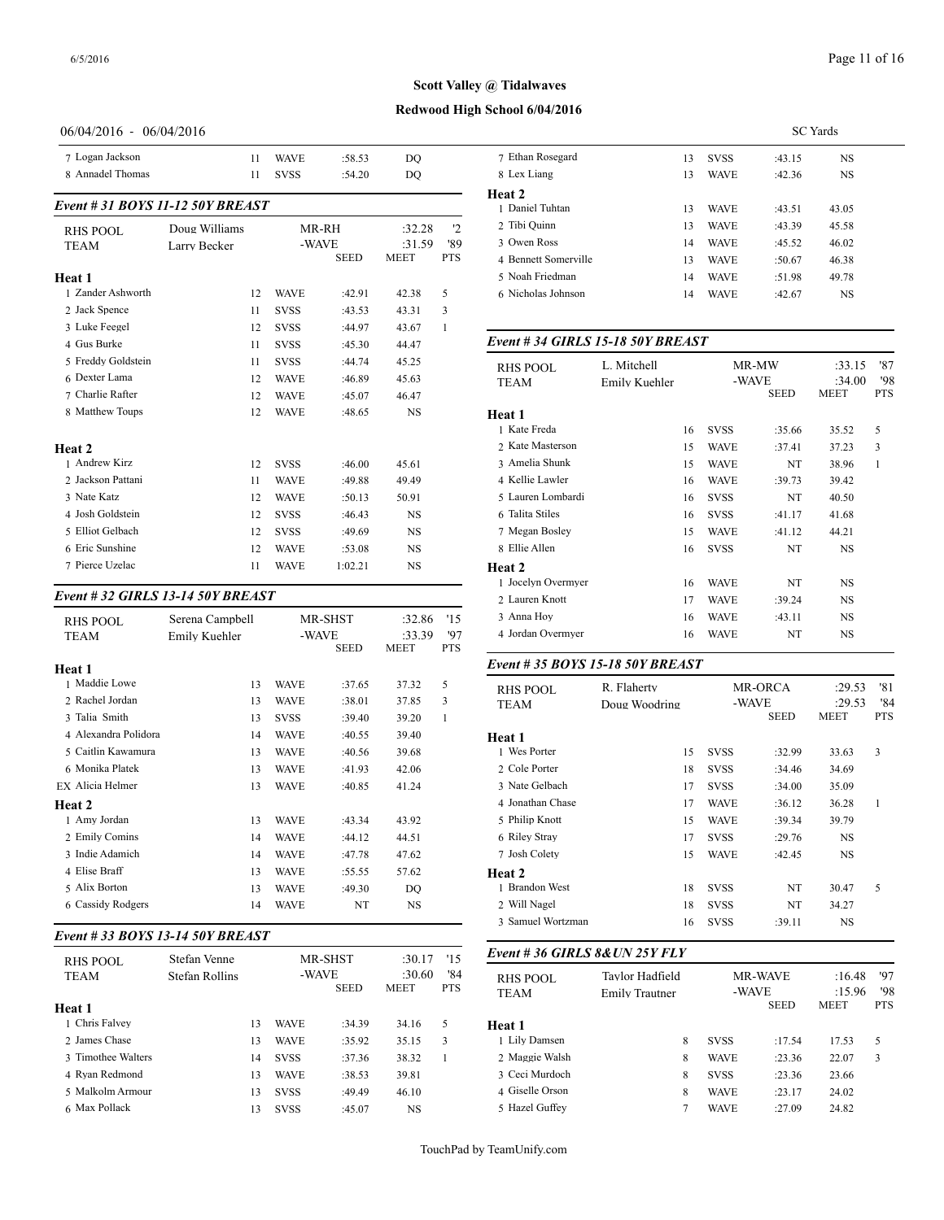## **Redwood High School 6/04/2016**

### 06/04/2016 - 06/04/2016

| 7 Logan Jackson                  |               | 11 | <b>WAVE</b> | :58.53      | DO          |            | 7 Ethan Rosegard          |
|----------------------------------|---------------|----|-------------|-------------|-------------|------------|---------------------------|
| 8 Annadel Thomas                 |               | 11 | <b>SVSS</b> | :54.20      | DO          |            | 8 Lex Liang               |
| Event # 31 BOYS 11-12 50Y BREAST |               |    |             |             |             |            | Heat 2<br>1 Daniel Tuhtan |
| <b>RHS POOL</b>                  | Doug Williams |    | MR-RH       |             | :32.28      | 12         | 2 Tibi Quinn              |
| <b>TEAM</b>                      | Larry Becker  |    | -WAVE       |             | :31.59      | '89        | 3 Owen Ross               |
|                                  |               |    |             | <b>SEED</b> | <b>MEET</b> | <b>PTS</b> | 4 Bennett Somerv          |
| Heat 1                           |               |    |             |             |             |            | 5 Noah Friedman           |
| 1 Zander Ashworth                |               | 12 | <b>WAVE</b> | :42.91      | 42.38       | 5          | 6 Nicholas Johnso         |
| 2 Jack Spence                    |               | 11 | <b>SVSS</b> | :43.53      | 43.31       | 3          |                           |
| 3 Luke Feegel                    |               | 12 | <b>SVSS</b> | :44.97      | 43.67       | 1          |                           |
| 4 Gus Burke                      |               | 11 | <b>SVSS</b> | :45.30      | 44.47       |            | Event # 34 GIRI           |
| 5 Freddy Goldstein               |               | 11 | <b>SVSS</b> | :44.74      | 45.25       |            | RHS POOL                  |
| 6 Dexter Lama                    |               | 12 | <b>WAVE</b> | :46.89      | 45.63       |            | <b>TEAM</b>               |
| 7 Charlie Rafter                 |               | 12 | <b>WAVE</b> | :45.07      | 46.47       |            |                           |
| 8 Matthew Toups                  |               | 12 | <b>WAVE</b> | :48.65      | <b>NS</b>   |            | Heat 1<br>1 Kate Freda    |
| Heat 2                           |               |    |             |             |             |            | 2 Kate Masterson          |
| 1 Andrew Kirz                    |               | 12 | <b>SVSS</b> | :46.00      | 45.61       |            | 3 Amelia Shunk            |
| 2 Jackson Pattani                |               | 11 | <b>WAVE</b> | :49.88      | 49.49       |            | 4 Kellie Lawler           |
| 3 Nate Katz                      |               | 12 | <b>WAVE</b> | :50.13      | 50.91       |            | 5 Lauren Lombard          |
| 4 Josh Goldstein                 |               | 12 | <b>SVSS</b> | :46.43      | <b>NS</b>   |            | 6 Talita Stiles           |
| 5 Elliot Gelbach                 |               | 12 | <b>SVSS</b> | :49.69      | <b>NS</b>   |            | 7 Megan Bosley            |
| 6 Eric Sunshine                  |               | 12 | <b>WAVE</b> | :53.08      | <b>NS</b>   |            | 8 Ellie Allen             |
| 7 Pierce Uzelac                  |               | 11 | <b>WAVE</b> | 1:02.21     | <b>NS</b>   |            | Heat 2                    |

## *Event # 32 GIRLS 13-14 50Y BREAST*

| <b>RHS POOL</b><br><b>TEAM</b> | Serena Campbell<br>Emily Kuehler |             | MR-SHST<br>-WAVE<br><b>SEED</b> | :32.86<br>:33.39<br>MEET | '15<br>97<br><b>PTS</b> | 3 Anna Hoy<br>4 Jordan Overmye |
|--------------------------------|----------------------------------|-------------|---------------------------------|--------------------------|-------------------------|--------------------------------|
| Heat 1                         |                                  |             |                                 |                          |                         | Event # 35 $BOY$               |
| 1 Maddie Lowe                  | 13                               | <b>WAVE</b> | :37.65                          | 37.32                    | 5                       | <b>RHS POOL</b>                |
| 2 Rachel Jordan                | 13                               | <b>WAVE</b> | :38.01                          | 37.85                    | 3                       | <b>TEAM</b>                    |
| 3 Talia Smith                  | 13                               | <b>SVSS</b> | :39.40                          | 39.20                    | 1                       |                                |
| 4 Alexandra Polidora           | 14                               | <b>WAVE</b> | :40.55                          | 39.40                    |                         | Heat 1                         |
| 5 Caitlin Kawamura             | 13                               | <b>WAVE</b> | :40.56                          | 39.68                    |                         | 1 Wes Porter                   |
| 6 Monika Platek                | 13                               | <b>WAVE</b> | :41.93                          | 42.06                    |                         | 2 Cole Porter                  |
| EX Alicia Helmer               | 13                               | <b>WAVE</b> | :40.85                          | 41.24                    |                         | 3 Nate Gelbach                 |
| Heat 2                         |                                  |             |                                 |                          |                         | 4 Jonathan Chase               |
| 1 Amy Jordan                   | 13                               | <b>WAVE</b> | :43.34                          | 43.92                    |                         | 5 Philip Knott                 |
| 2 Emily Comins                 | 14                               | <b>WAVE</b> | :44.12                          | 44.51                    |                         | 6 Riley Stray                  |
| 3 Indie Adamich                | 14                               | <b>WAVE</b> | :47.78                          | 47.62                    |                         | 7 Josh Colety                  |
| 4 Elise Braff                  | 13                               | <b>WAVE</b> | :55.55                          | 57.62                    |                         | Heat 2                         |
| 5 Alix Borton                  | 13                               | <b>WAVE</b> | :49.30                          | DQ                       |                         | 1 Brandon West                 |
| 6 Cassidy Rodgers              | 14                               | <b>WAVE</b> | NT                              | <b>NS</b>                |                         | 2 Will Nagel                   |
|                                |                                  |             |                                 |                          |                         |                                |

## *Event # 33 BOYS 13-14 50Y BREAST*

| RHS POOL           | Stefan Venne   |    |             | <b>MR-SHST</b> | :30.17                | '15               | Event #36 GIRI          |
|--------------------|----------------|----|-------------|----------------|-----------------------|-------------------|-------------------------|
| <b>TEAM</b>        | Stefan Rollins |    | -WAVE       | <b>SEED</b>    | :30.60<br><b>MEET</b> | '84<br><b>PTS</b> | RHS POOL<br><b>TEAM</b> |
| Heat 1             |                |    |             |                |                       |                   |                         |
| 1 Chris Falvey     |                | 13 | <b>WAVE</b> | :34.39         | 34.16                 | 5                 | <b>Heat 1</b>           |
| 2 James Chase      |                | 13 | <b>WAVE</b> | :35.92         | 35.15                 | 3                 | 1 Lily Damsen           |
| 3 Timothee Walters |                | 14 | <b>SVSS</b> | :37.36         | 38.32                 |                   | 2 Maggie Walsh          |
| 4 Ryan Redmond     |                | 13 | <b>WAVE</b> | :38.53         | 39.81                 |                   | 3 Ceci Murdoch          |
| 5 Malkolm Armour   |                | 13 | <b>SVSS</b> | :49.49         | 46.10                 |                   | 4 Giselle Orson         |
| 6 Max Pollack      |                | 13 | <b>SVSS</b> | :45.07         | <b>NS</b>             |                   | 5 Hazel Guffey          |
|                    |                |    |             |                |                       |                   |                         |

|                      | <b>SC</b> Yards |             |        |       |  |  |  |  |  |
|----------------------|-----------------|-------------|--------|-------|--|--|--|--|--|
| 7 Ethan Rosegard     | 13              | <b>SVSS</b> | :43.15 | NS    |  |  |  |  |  |
| 8 Lex Liang          | 13              | <b>WAVE</b> | :42.36 | NS    |  |  |  |  |  |
| Heat 2               |                 |             |        |       |  |  |  |  |  |
| 1 Daniel Tuhtan      | 13              | <b>WAVE</b> | :43.51 | 43.05 |  |  |  |  |  |
| 2 Tibi Quinn         | 13              | <b>WAVE</b> | :43.39 | 45.58 |  |  |  |  |  |
| 3 Owen Ross          | 14              | <b>WAVE</b> | :45.52 | 46.02 |  |  |  |  |  |
| 4 Bennett Somerville | 13              | <b>WAVE</b> | :50.67 | 46.38 |  |  |  |  |  |
| 5 Noah Friedman      | 14              | <b>WAVE</b> | :51.98 | 49.78 |  |  |  |  |  |
| 6 Nicholas Johnson   | 14              | <b>WAVE</b> | :42.67 | NS    |  |  |  |  |  |
|                      |                 |             |        |       |  |  |  |  |  |

#### *Event # 34 GIRLS 15-18 50Y BREAST*

| <b>RHS POOL</b>    | L. Mitchell   |             | MR-MW                | :33.15         | '87               |
|--------------------|---------------|-------------|----------------------|----------------|-------------------|
| <b>TEAM</b>        | Emily Kuehler |             | -WAVE<br><b>SEED</b> | :34.00<br>MEET | '98<br><b>PTS</b> |
| Heat 1             |               |             |                      |                |                   |
| 1 Kate Freda       | 16            | <b>SVSS</b> | :35.66               | 35.52          | 5                 |
| 2 Kate Masterson   | 15            | <b>WAVE</b> | :37.41               | 37.23          | 3                 |
| 3 Amelia Shunk     | 15            | <b>WAVE</b> | NT                   | 38.96          | $\mathbf{1}$      |
| 4 Kellie Lawler    | 16            | <b>WAVE</b> | :39.73               | 39.42          |                   |
| 5 Lauren Lombardi  | 16            | <b>SVSS</b> | NT                   | 40.50          |                   |
| 6 Talita Stiles    | 16            | <b>SVSS</b> | :41.17               | 41.68          |                   |
| 7 Megan Bosley     | 15            | <b>WAVE</b> | :41.12               | 44.21          |                   |
| 8 Ellie Allen      | 16            | <b>SVSS</b> | NT                   | NS             |                   |
| Heat 2             |               |             |                      |                |                   |
| 1 Jocelyn Overmyer | 16            | <b>WAVE</b> | NT                   | <b>NS</b>      |                   |
| 2 Lauren Knott     | 17            | <b>WAVE</b> | :39.24               | NS             |                   |
| 3 Anna Hoy         | 16            | <b>WAVE</b> | :43.11               | NS.            |                   |
| 4 Jordan Overmyer  | 16            | <b>WAVE</b> | NT                   | <b>NS</b>      |                   |
|                    |               |             |                      |                |                   |

#### *Event # 35 BOYS 15-18 50Y BREAST*

| <b>RHS POOL</b>   | R. Flaherty   |             | <b>MR-ORCA</b> | :29.53      | '81        |  |
|-------------------|---------------|-------------|----------------|-------------|------------|--|
| <b>TEAM</b>       | Doug Woodring | -WAVE       |                | :29.53      | '84        |  |
|                   |               |             | <b>SEED</b>    | <b>MEET</b> | <b>PTS</b> |  |
| Heat 1            |               |             |                |             |            |  |
| 1 Wes Porter      | 15            | <b>SVSS</b> | :32.99         | 33.63       | 3          |  |
| 2 Cole Porter     | 18            | <b>SVSS</b> | :34.46         | 34.69       |            |  |
| 3 Nate Gelbach    | 17            | <b>SVSS</b> | :34.00         | 35.09       |            |  |
| 4 Jonathan Chase  | 17            | <b>WAVE</b> | :36.12         | 36.28       | 1          |  |
| 5 Philip Knott    | 15            | <b>WAVE</b> | :39.34         | 39.79       |            |  |
| 6 Riley Stray     | 17            | <b>SVSS</b> | :29.76         | <b>NS</b>   |            |  |
| 7 Josh Colety     | 15            | <b>WAVE</b> | :42.45         | <b>NS</b>   |            |  |
| <b>Heat 2</b>     |               |             |                |             |            |  |
| 1 Brandon West    | 18            | <b>SVSS</b> | NT             | 30.47       | 5          |  |
| 2 Will Nagel      | 18            | <b>SVSS</b> | NT             | 34.27       |            |  |
| 3 Samuel Wortzman | 16            | <b>SVSS</b> | :39.11         | <b>NS</b>   |            |  |

#### *Event # 36 GIRLS 8&UN 25Y FLY*

| <b>RHS POOL</b><br><b>TEAM</b> | Tavlor Hadfield<br>Emily Trautner |             | <b>MR-WAVE</b><br>-WAVE<br><b>SEED</b> |       | '97<br>:16.48<br>'98<br>:15.96<br><b>MEET</b><br><b>PTS</b> |  |
|--------------------------------|-----------------------------------|-------------|----------------------------------------|-------|-------------------------------------------------------------|--|
| Heat 1                         |                                   |             |                                        |       |                                                             |  |
| 1 Lily Damsen                  | 8                                 | <b>SVSS</b> | :17.54                                 | 17.53 | 5                                                           |  |
| 2 Maggie Walsh                 | 8                                 | <b>WAVE</b> | :23.36                                 | 22.07 | 3                                                           |  |
| 3 Ceci Murdoch                 | 8                                 | <b>SVSS</b> | :23.36                                 | 23.66 |                                                             |  |
| 4 Giselle Orson                | 8                                 | <b>WAVE</b> | :23.17                                 | 24.02 |                                                             |  |
| 5 Hazel Guffey                 |                                   | <b>WAVE</b> | :27.09                                 | 24.82 |                                                             |  |
|                                |                                   |             |                                        |       |                                                             |  |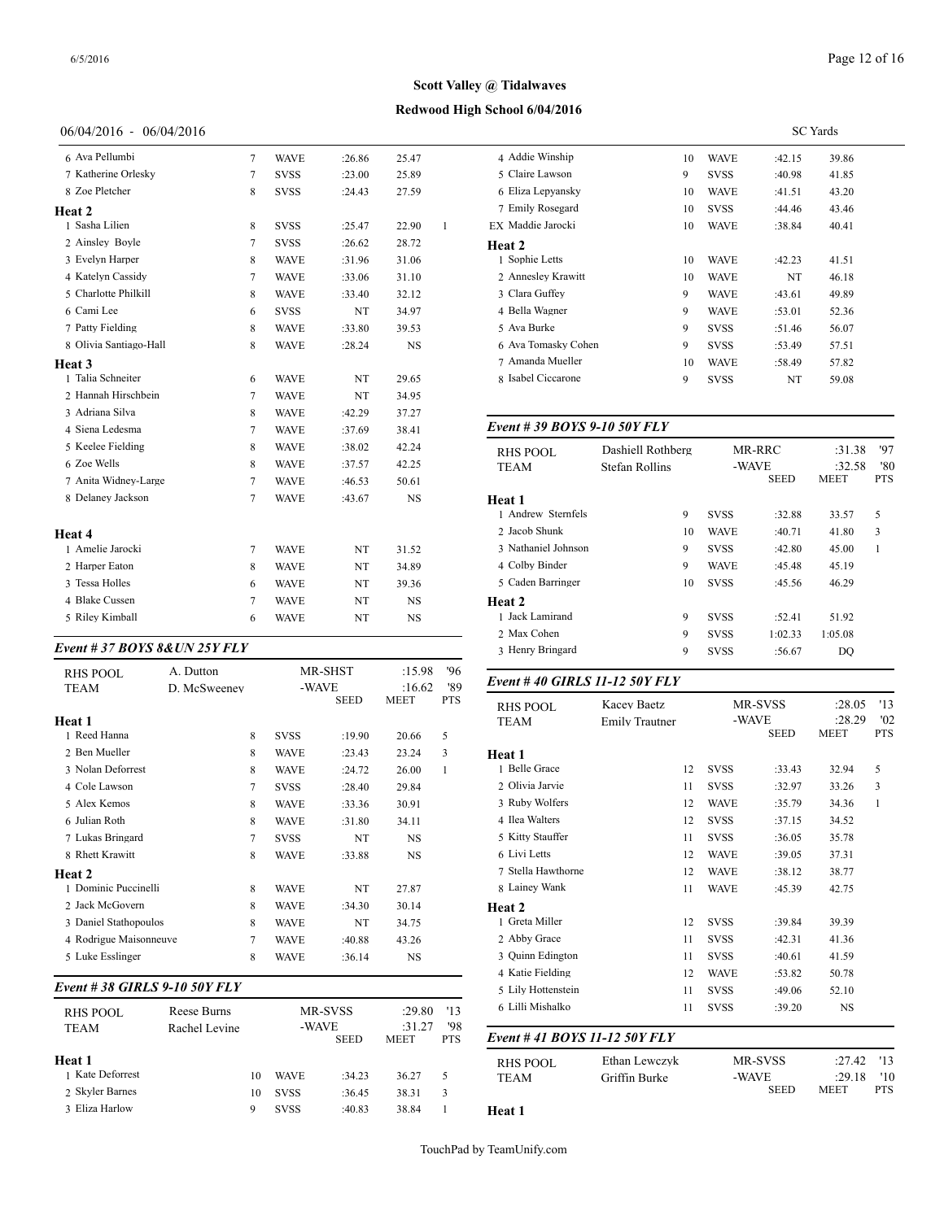## **Redwood High School 6/04/2016**

## 06/04/2016 - 06/04/2016

| 6 Ava Pellumbi         | $\overline{7}$ | <b>WAVE</b> | :26.86 | 25.47     |   | 4 Addie Wi           |
|------------------------|----------------|-------------|--------|-----------|---|----------------------|
| 7 Katherine Orlesky    | $\tau$         | <b>SVSS</b> | :23.00 | 25.89     |   | 5 Claire La          |
| 8 Zoe Pletcher         | 8              | <b>SVSS</b> | :24.43 | 27.59     |   | 6 Eliza Lep          |
| Heat 2                 |                |             |        |           |   | 7 Emily Ro           |
| 1 Sasha Lilien         | 8              | <b>SVSS</b> | :25.47 | 22.90     | 1 | EX Maddie Ja         |
| 2 Ainsley Boyle        | 7              | <b>SVSS</b> | :26.62 | 28.72     |   | Heat 2               |
| 3 Evelyn Harper        | 8              | <b>WAVE</b> | :31.96 | 31.06     |   | 1 Sophie Le          |
| 4 Katelyn Cassidy      | 7              | <b>WAVE</b> | :33.06 | 31.10     |   | 2 Annesley           |
| 5 Charlotte Philkill   | 8              | <b>WAVE</b> | :33.40 | 32.12     |   | 3 Clara Guf          |
| 6 Cami Lee             | 6              | <b>SVSS</b> | NT     | 34.97     |   | 4 Bella Was          |
| 7 Patty Fielding       | 8              | <b>WAVE</b> | :33.80 | 39.53     |   | 5 Ava Burk           |
| 8 Olivia Santiago-Hall | 8              | <b>WAVE</b> | :28.24 | NS        |   | 6 Ava Toma           |
| Heat 3                 |                |             |        |           |   | 7 Amanda l           |
| 1 Talia Schneiter      | 6              | <b>WAVE</b> | NT     | 29.65     |   | 8 Isabel Cio         |
| 2 Hannah Hirschbein    | 7              | <b>WAVE</b> | NT     | 34.95     |   |                      |
| 3 Adriana Silva        | 8              | <b>WAVE</b> | :42.29 | 37.27     |   |                      |
| 4 Siena Ledesma        | 7              | <b>WAVE</b> | :37.69 | 38.41     |   | Event $#39$          |
| 5 Keelee Fielding      | 8              | <b>WAVE</b> | :38.02 | 42.24     |   | <b>RHS POO</b>       |
| 6 Zoe Wells            | 8              | <b>WAVE</b> | :37.57 | 42.25     |   | <b>TEAM</b>          |
| 7 Anita Widney-Large   | $\overline{7}$ | <b>WAVE</b> | :46.53 | 50.61     |   |                      |
| 8 Delaney Jackson      | 7              | <b>WAVE</b> | :43.67 | NS        |   | Heat 1<br>1 Andrew : |
| Heat 4                 |                |             |        |           |   | 2 Jacob Shu          |
| 1 Amelie Jarocki       | 7              | <b>WAVE</b> | NT     | 31.52     |   | 3 Nathaniel          |
| 2 Harper Eaton         | 8              | <b>WAVE</b> | NT     | 34.89     |   | 4 Colby Bir          |
| 3 Tessa Holles         | 6              | <b>WAVE</b> | NT     | 39.36     |   | 5 Caden Ba           |
| 4 Blake Cussen         | 7              | <b>WAVE</b> | NT     | <b>NS</b> |   | Heat 2               |
| 5 Riley Kimball        | 6              | <b>WAVE</b> | NT     | <b>NS</b> |   | 1 Jack Lam           |

#### *Event # 37 BOYS 8&UN 25Y FLY*

| RHS POOL               | A. Dutton    |             | MR-SHST<br>-WAVE | :15.98<br>:16.62 | '96<br>'89 | Event # 40 GIR          |
|------------------------|--------------|-------------|------------------|------------------|------------|-------------------------|
| <b>TEAM</b><br>Heat 1  | D. McSweenev |             | <b>SEED</b>      | <b>MEET</b>      | <b>PTS</b> | RHS POOL<br><b>TEAM</b> |
| 1 Reed Hanna           | 8            | <b>SVSS</b> | :19.90           | 20.66            | 5          |                         |
| 2 Ben Mueller          | 8            | WAVE        | :23.43           | 23.24            | 3          | Heat 1                  |
| 3 Nolan Deforrest      | 8            | <b>WAVE</b> | :24.72           | 26.00            | 1          | 1 Belle Grace           |
| 4 Cole Lawson          | 7            | <b>SVSS</b> | :28.40           | 29.84            |            | 2 Olivia Jarvie         |
| 5 Alex Kemos           | 8            | <b>WAVE</b> | :33.36           | 30.91            |            | 3 Ruby Wolfers          |
| 6 Julian Roth          | 8            | <b>WAVE</b> | :31.80           | 34.11            |            | 4 Ilea Walters          |
| 7 Lukas Bringard       | 7            | <b>SVSS</b> | NT               | <b>NS</b>        |            | 5 Kitty Stauffer        |
| 8 Rhett Krawitt        | 8            | <b>WAVE</b> | :33.88           | <b>NS</b>        |            | 6 Livi Letts            |
| Heat 2                 |              |             |                  |                  |            | 7 Stella Hawthorn       |
| 1 Dominic Puccinelli   | 8            | <b>WAVE</b> | NT               | 27.87            |            | 8 Lainey Wank           |
| 2 Jack McGovern        | 8            | <b>WAVE</b> | :34.30           | 30.14            |            | Heat 2                  |
| 3 Daniel Stathopoulos  | 8            | <b>WAVE</b> | NT               | 34.75            |            | 1 Greta Miller          |
| 4 Rodrigue Maisonneuve | 7            | <b>WAVE</b> | :40.88           | 43.26            |            | 2 Abby Grace            |
| 5 Luke Esslinger       | 8            | <b>WAVE</b> | :36.14           | <b>NS</b>        |            | 3 Ouinn Edington        |
|                        |              |             |                  |                  |            |                         |

#### *Event # 38 GIRLS 9-10 50Y FLY*

| RHS POOL         | Reese Burns   |    |             | MR-SVSS     | :29.80                | '13               | 6 Lilli Mishalko |
|------------------|---------------|----|-------------|-------------|-----------------------|-------------------|------------------|
| <b>TEAM</b>      | Rachel Levine |    | -WAVE       | <b>SEED</b> | :31.27<br><b>MEET</b> | '98<br><b>PTS</b> | Event #41 BOY.   |
| Heat 1           |               |    |             |             |                       |                   | RHS POOL         |
| 1 Kate Deforrest |               | 10 | <b>WAVE</b> | :34.23      | 36.27                 | 5                 | <b>TEAM</b>      |
| 2 Skyler Barnes  |               | 10 | <b>SVSS</b> | :36.45      | 38.31                 | 3                 |                  |
| 3 Eliza Harlow   |               | 9  | <b>SVSS</b> | :40.83      | 38.84                 |                   | Heat 1           |

|                     |    | <b>SC</b> Yards |        |       |  |  |
|---------------------|----|-----------------|--------|-------|--|--|
| 4 Addie Winship     | 10 | <b>WAVE</b>     | :42.15 | 39.86 |  |  |
| 5 Claire Lawson     | 9  | <b>SVSS</b>     | :40.98 | 41.85 |  |  |
| 6 Eliza Lepyansky   | 10 | <b>WAVE</b>     | :41.51 | 43.20 |  |  |
| 7 Emily Rosegard    | 10 | <b>SVSS</b>     | :44.46 | 43.46 |  |  |
| EX Maddie Jarocki   | 10 | <b>WAVE</b>     | :38.84 | 40.41 |  |  |
| Heat 2              |    |                 |        |       |  |  |
| 1 Sophie Letts      | 10 | <b>WAVE</b>     | :42.23 | 41.51 |  |  |
| 2 Anneslev Krawitt  | 10 | <b>WAVE</b>     | NT     | 46.18 |  |  |
| 3 Clara Guffey      | 9  | <b>WAVE</b>     | :43.61 | 49.89 |  |  |
| 4 Bella Wagner      | 9  | <b>WAVE</b>     | :53.01 | 52.36 |  |  |
| 5 Ava Burke         | 9  | <b>SVSS</b>     | :51.46 | 56.07 |  |  |
| 6 Ava Tomasky Cohen | 9  | <b>SVSS</b>     | :53.49 | 57.51 |  |  |
| 7 Amanda Mueller    | 10 | <b>WAVE</b>     | :58.49 | 57.82 |  |  |
| 8 Isabel Ciccarone  | 9  | <b>SVSS</b>     | NT     | 59.08 |  |  |
|                     |    |                 |        |       |  |  |

## *Event # 39 BOYS 9-10 50Y FLY*

| RHS POOL<br><b>TEAM</b> | Dashiell Rothberg<br>Stefan Rollins | MR-RRC<br>-WAVE |             | :31.38<br>:32.58 | '97<br>'80 |
|-------------------------|-------------------------------------|-----------------|-------------|------------------|------------|
|                         |                                     |                 | <b>SEED</b> | <b>MEET</b>      | <b>PTS</b> |
| Heat 1                  |                                     |                 |             |                  |            |
| 1 Andrew Sternfels      | 9                                   | <b>SVSS</b>     | :32.88      | 33.57            | 5          |
| 2 Jacob Shunk           | 10                                  | <b>WAVE</b>     | :40.71      | 41.80            | 3          |
| 3 Nathaniel Johnson     | 9                                   | <b>SVSS</b>     | :42.80      | 45.00            | 1          |
| 4 Colby Binder          | 9                                   | <b>WAVE</b>     | :45.48      | 45.19            |            |
| 5 Caden Barringer       | 10                                  | <b>SVSS</b>     | :45.56      | 46.29            |            |
| <b>Heat 2</b>           |                                     |                 |             |                  |            |
| 1 Jack Lamirand         | 9                                   | <b>SVSS</b>     | :52.41      | 51.92            |            |
| 2 Max Cohen             | 9                                   | <b>SVSS</b>     | 1:02.33     | 1:05.08          |            |
| 3 Henry Bringard        | 9                                   | <b>SVSS</b>     | :56.67      | DO               |            |

## *Event # 40 GIRLS 11-12 50Y FLY*

| <b>RHS POOL</b><br><b>TEAM</b> | Kacev Baetz<br><b>Emily Trautner</b> |             | MR-SVSS<br>-WAVE<br><b>SEED</b> |             | '13<br>:28.05<br>'02<br>:28.29<br><b>PTS</b><br><b>MEET</b> |  |
|--------------------------------|--------------------------------------|-------------|---------------------------------|-------------|-------------------------------------------------------------|--|
| Heat 1                         |                                      |             |                                 |             |                                                             |  |
| 1 Belle Grace                  | 12                                   | <b>SVSS</b> | :33.43                          | 32.94       | 5                                                           |  |
| 2 Olivia Jarvie                | 11                                   | <b>SVSS</b> | :32.97                          | 33.26       | 3                                                           |  |
| 3 Ruby Wolfers                 | 12                                   | <b>WAVE</b> | :35.79                          | 34.36       | 1                                                           |  |
| 4 Ilea Walters                 | 12                                   | <b>SVSS</b> | :37.15                          | 34.52       |                                                             |  |
| 5 Kitty Stauffer               | 11                                   | <b>SVSS</b> | :36.05                          | 35.78       |                                                             |  |
| 6 Livi Letts                   | 12                                   | <b>WAVE</b> | :39.05                          | 37.31       |                                                             |  |
| 7 Stella Hawthorne             | 12                                   | <b>WAVE</b> | :38.12                          | 38.77       |                                                             |  |
| 8 Lainey Wank                  | 11                                   | <b>WAVE</b> | :45.39                          | 42.75       |                                                             |  |
| Heat 2                         |                                      |             |                                 |             |                                                             |  |
| 1 Greta Miller                 | 12                                   | <b>SVSS</b> | :39.84                          | 39.39       |                                                             |  |
| 2 Abby Grace                   | 11                                   | <b>SVSS</b> | :42.31                          | 41.36       |                                                             |  |
| 3 Ouinn Edington               | 11                                   | <b>SVSS</b> | :40.61                          | 41.59       |                                                             |  |
| 4 Katie Fielding               | 12                                   | <b>WAVE</b> | :53.82                          | 50.78       |                                                             |  |
| 5 Lily Hottenstein             | 11                                   | <b>SVSS</b> | :49.06                          | 52.10       |                                                             |  |
| 6 Lilli Mishalko               | 11                                   | <b>SVSS</b> | :39.20                          | <b>NS</b>   |                                                             |  |
| Event #41 BOYS 11-12 50Y FLY   |                                      |             |                                 |             |                                                             |  |
| <b>RHS POOL</b>                | Ethan Lewczyk                        |             | MR-SVSS                         | :27.42      | '13                                                         |  |
| <b>TEAM</b>                    | Griffin Burke                        | -WAVE       |                                 | :29.18      | '10                                                         |  |
|                                |                                      |             | <b>SEED</b>                     | <b>MEET</b> | <b>PTS</b>                                                  |  |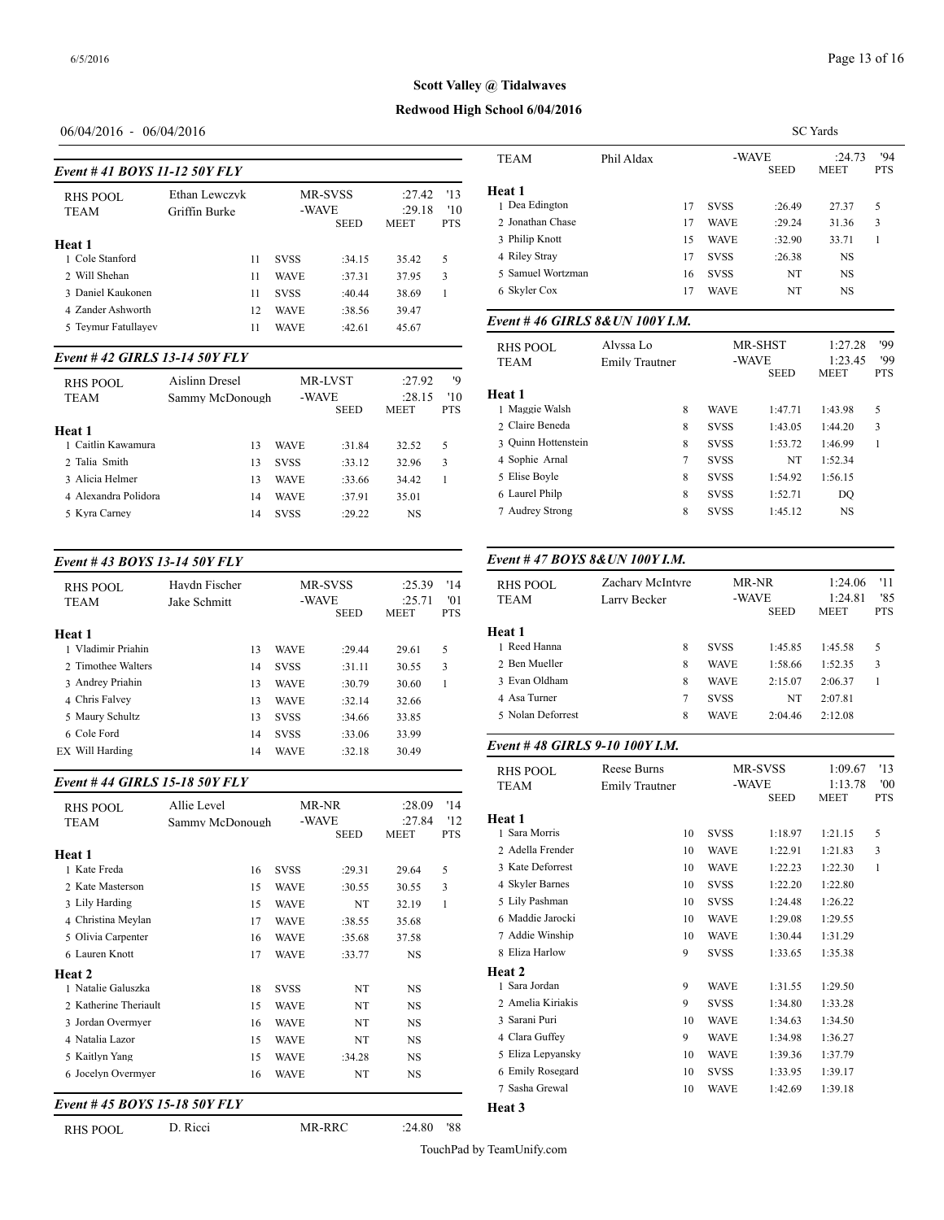SC Yards

# **Scott Valley @ Tidalwaves**

#### **Redwood High School 6/04/2016**

## 06/04/2016 - 06/04/2016

| Event #41 BOYS 11-12 50Y FLY |                                |             |                                        |                                 |                          | IEAM                                         |
|------------------------------|--------------------------------|-------------|----------------------------------------|---------------------------------|--------------------------|----------------------------------------------|
| RHS POOL<br><b>TEAM</b>      | Ethan Lewczyk<br>Griffin Burke |             | <b>MR-SVSS</b><br>-WAVE<br><b>SEED</b> | :27.42<br>:29.18<br><b>MEET</b> | '13<br>'10<br><b>PTS</b> | Heat 1<br>1 Dea Edington<br>2 Jonathan Chase |
| Heat 1                       |                                |             |                                        |                                 |                          | 3 Philip Knott                               |
| 1 Cole Stanford              | 11                             | <b>SVSS</b> | :34.15                                 | 35.42                           | 5                        | 4 Riley Stray                                |
| 2 Will Shehan                | 11                             | <b>WAVE</b> | :37.31                                 | 37.95                           | 3                        | 5 Samuel Wortzm                              |
| 3 Daniel Kaukonen            | 11                             | <b>SVSS</b> | :40.44                                 | 38.69                           | 1                        | 6 Skyler Cox                                 |
| 4 Zander Ashworth            | 12                             | <b>WAVE</b> | :38.56                                 | 39.47                           |                          |                                              |
| 5 Teymur Fatullayev          | 11                             | <b>WAVE</b> | :42.61                                 | 45.67                           |                          | Event #46 GIRI                               |
|                              |                                |             |                                        |                                 |                          | <b>DITC DOOT</b>                             |

#### *Event # 42 GIRLS 13-14 50Y FLY*

| RHS POOL<br><b>TEAM</b> | Aislinn Dresel<br>Sammy McDonough | <b>MR-LVST</b><br>-WAVE | <b>SEED</b> | :27.92<br>:28.15<br><b>MEET</b> | '9<br>'10<br><b>PTS</b> | <b>Heat 1</b><br>1 Maggie Walsh |
|-------------------------|-----------------------------------|-------------------------|-------------|---------------------------------|-------------------------|---------------------------------|
| Heat 1                  |                                   |                         |             |                                 |                         | 2 Claire Beneda                 |
| 1 Caitlin Kawamura      | 13                                | <b>WAVE</b>             | :31.84      | 32.52                           | .5                      | 3 Ouinn Hottenste               |
| 2 Talia Smith           | 13                                | <b>SVSS</b>             | :33.12      | 32.96                           | 3                       | 4 Sophie Arnal                  |
| 3 Alicia Helmer         | 13                                | <b>WAVE</b>             | :33.66      | 34.42                           |                         | 5 Elise Boyle                   |
| 4 Alexandra Polidora    | 14                                | <b>WAVE</b>             | :37.91      | 35.01                           |                         | 6 Laurel Philp                  |
| 5 Kvra Carney           | 14                                | <b>SVSS</b>             | :29.22      | <b>NS</b>                       |                         | 7 Audrey Strong                 |
|                         |                                   |                         |             |                                 |                         |                                 |

#### *Event # 43 BOYS 13-14 50Y FLY*

| RHS POOL<br><b>TEAM</b>      | Havdn Fischer<br>Jake Schmitt |    | <b>MR-SVSS</b><br>-WAVE | <b>SEED</b> | :25.39<br>:25.71<br><b>MEET</b> | '14<br>'01<br><b>PTS</b> | RHS POOL<br><b>TEAM</b>       |
|------------------------------|-------------------------------|----|-------------------------|-------------|---------------------------------|--------------------------|-------------------------------|
| Heat 1<br>1 Vladimir Priahin |                               | 13 | <b>WAVE</b>             | :29.44      | 29.61                           | 5                        | <b>Heat 1</b><br>1 Reed Hanna |
| 2. Timothee Walters          |                               | 14 | <b>SVSS</b>             | :31.11      | 30.55                           | 3                        | 2 Ben Mueller                 |
| 3 Andrey Priahin             |                               | 13 | <b>WAVE</b>             | :30.79      | 30.60                           |                          | 3 Evan Oldham                 |
| 4 Chris Falvey               |                               | 13 | <b>WAVE</b>             | :32.14      | 32.66                           |                          | 4 Asa Turner                  |
| 5 Maury Schultz              |                               | 13 | <b>SVSS</b>             | :34.66      | 33.85                           |                          | 5 Nolan Deforrest             |
| 6 Cole Ford                  |                               | 14 | <b>SVSS</b>             | :33.06      | 33.99                           |                          |                               |
| EX Will Harding              |                               | 14 | <b>WAVE</b>             | :32.18      | 30.49                           |                          | Event #48 GIRI                |

#### *Event # 44 GIRLS 15-18 50Y FLY*

|                               |                 |             |             |             |              | 1 EANI            |
|-------------------------------|-----------------|-------------|-------------|-------------|--------------|-------------------|
| <b>RHS POOL</b>               | Allie Level     |             | MR-NR       | :28.09      | '14          |                   |
| <b>TEAM</b>                   | Sammy McDonough | -WAVE       |             | :27.84      | '12          | <b>Heat 1</b>     |
|                               |                 |             | <b>SEED</b> | <b>MEET</b> | <b>PTS</b>   | 1 Sara Morris     |
| Heat 1                        |                 |             |             |             |              | 2 Adella Frender  |
| 1 Kate Freda                  | 16              | <b>SVSS</b> | :29.31      | 29.64       | 5            | 3 Kate Deforrest  |
| 2 Kate Masterson              | 15              | <b>WAVE</b> | :30.55      | 30.55       | 3            | 4 Skyler Barnes   |
| 3 Lily Harding                | 15              | <b>WAVE</b> | NT          | 32.19       | $\mathbf{1}$ | 5 Lily Pashman    |
| 4 Christina Meylan            | 17              | <b>WAVE</b> | :38.55      | 35.68       |              | 6 Maddie Jarocki  |
| 5 Olivia Carpenter            | 16              | <b>WAVE</b> | :35.68      | 37.58       |              | 7 Addie Winship   |
| 6 Lauren Knott                | 17              | <b>WAVE</b> | :33.77      | <b>NS</b>   |              | 8 Eliza Harlow    |
| <b>Heat 2</b>                 |                 |             |             |             |              | Heat 2            |
| 1 Natalie Galuszka            | 18              | <b>SVSS</b> | NT          | <b>NS</b>   |              | 1 Sara Jordan     |
| 2 Katherine Theriault         | 15              | <b>WAVE</b> | NT          | <b>NS</b>   |              | 2 Amelia Kiriakis |
| 3 Jordan Overmyer             | 16              | <b>WAVE</b> | NT          | <b>NS</b>   |              | 3 Sarani Puri     |
| 4 Natalia Lazor               | 15              | <b>WAVE</b> | NT          | <b>NS</b>   |              | 4 Clara Guffey    |
| 5 Kaitlyn Yang                | 15              | <b>WAVE</b> | :34.28      | <b>NS</b>   |              | 5 Eliza Lepyansky |
| 6 Jocelyn Overmyer            | 16              | <b>WAVE</b> | NT          | NS          |              | 6 Emily Rosegard  |
|                               |                 |             |             |             |              | 7 Sasha Grewal    |
| Event # 45 BOYS 15-18 50Y FLY |                 |             |             |             |              | Heat 3            |

RHS POOL D. Ricci MR-RRC :24.80 '88

| TEAM                            | Phil Aldax            |    |             | -WAVE<br><b>SEED</b> | :24.73<br><b>MEET</b>  | 94<br><b>PTS</b>  |
|---------------------------------|-----------------------|----|-------------|----------------------|------------------------|-------------------|
| Heat 1                          |                       |    |             |                      |                        |                   |
| 1 Dea Edington                  |                       | 17 | <b>SVSS</b> | :26.49               | 27.37                  | 5                 |
| 2 Jonathan Chase                |                       | 17 | <b>WAVE</b> | :29.24               | 31.36                  | 3                 |
| 3 Philip Knott                  |                       | 15 | <b>WAVE</b> | :32.90               | 33.71                  | 1                 |
| 4 Riley Stray                   |                       | 17 | <b>SVSS</b> | :26.38               | <b>NS</b>              |                   |
| 5 Samuel Wortzman               |                       | 16 | <b>SVSS</b> | NT                   | NS                     |                   |
| 6 Skyler Cox                    |                       | 17 | <b>WAVE</b> | NT                   | <b>NS</b>              |                   |
| Event #46 GIRLS 8& UN 100Y I.M. |                       |    |             |                      |                        |                   |
| <b>RHS POOL</b>                 | Alyssa Lo             |    |             | MR-SHST              | 1:27.28                | '99               |
| <b>TEAM</b>                     | <b>Emily Trautner</b> |    |             | -WAVE<br><b>SEED</b> | 1:23.45<br><b>MEET</b> | '99<br><b>PTS</b> |
| Heat 1                          |                       |    |             |                      |                        |                   |
| 1 Maggie Walsh                  |                       | 8  | <b>WAVE</b> | 1:47.71              | 1:43.98                | 5                 |
| 2 Claire Beneda                 |                       | 8  | <b>SVSS</b> | 1:43.05              | 1:44.20                | 3                 |
| 3 Ouinn Hottenstein             |                       | 8  | <b>SVSS</b> | 1:53.72              | 1:46.99                | $\mathbf{1}$      |
| 4 Sophie Arnal                  |                       | 7  | <b>SVSS</b> | NT                   | 1:52.34                |                   |
| 5 Elise Boyle                   |                       | 8  | <b>SVSS</b> | 1:54.92              | 1:56.15                |                   |
| 6 Laurel Philp                  |                       | 8  | <b>SVSS</b> | 1:52.71              | DO                     |                   |
|                                 |                       |    |             |                      |                        |                   |

#### RHS POOL<br>TEAM *Event # 47 BOYS 8&UN 100Y I.M.* RHS POOL Zachary McIntyre MR-NR 1:24.06 '11 Example 20 Larry Becker -WAVE 1:24.81 '85 MEET<sup>1</sup> **Heat 1** 1 Reed Hanna 1 8 SVSS 1:45.85 1:45.58 5 2 Ben Mueller 8 WAVE 1:58.66 1:52.35 3 3 Evan Oldham 8 WAVE 2:15.07 2:06.37 1 4 Asa Turner 7 SVSS NT 2:07.81 5 Nolan Deforrest 8 WAVE 2:04.46 2:12.08

## *Event # 48 GIRLS 9-10 100Y I.M.*

| <b>RHS POOL</b>   | Reese Burns           |             | MR-SVSS              | 1:09.67 | '13               |
|-------------------|-----------------------|-------------|----------------------|---------|-------------------|
| TEAM              | <b>Emily Trautner</b> |             | -WAVE<br><b>SEED</b> |         | 00'<br><b>PTS</b> |
| Heat 1            |                       |             |                      |         |                   |
| 1 Sara Morris     | 10                    | <b>SVSS</b> | 1:18.97              | 1:21.15 | 5                 |
| 2 Adella Frender  | 10                    | <b>WAVE</b> | 1:22.91              | 1:21.83 | 3                 |
| 3 Kate Deforrest  | 10                    | <b>WAVE</b> | 1:22.23              | 1:22.30 | 1                 |
| 4 Skyler Barnes   | 10                    | <b>SVSS</b> | 1:22.20              | 1:22.80 |                   |
| 5 Lily Pashman    | 10                    | <b>SVSS</b> | 1:24.48              | 1:26.22 |                   |
| 6 Maddie Jarocki  | 10                    | <b>WAVE</b> | 1:29.08              | 1:29.55 |                   |
| 7 Addie Winship   | 10                    | <b>WAVE</b> | 1:30.44              | 1:31.29 |                   |
| 8 Eliza Harlow    | 9                     | <b>SVSS</b> | 1:33.65              | 1:35.38 |                   |
| Heat 2            |                       |             |                      |         |                   |
| 1 Sara Jordan     | 9                     | <b>WAVE</b> | 1:31.55              | 1:29.50 |                   |
| 2 Amelia Kiriakis | 9                     | <b>SVSS</b> | 1:34.80              | 1:33.28 |                   |
| 3 Sarani Puri     | 10                    | <b>WAVE</b> | 1:34.63              | 1:34.50 |                   |
| 4 Clara Guffey    | 9                     | <b>WAVE</b> | 1:34.98              | 1:36.27 |                   |
| 5 Eliza Lepyansky | 10                    | <b>WAVE</b> | 1:39.36              | 1:37.79 |                   |
| 6 Emily Rosegard  | 10                    | <b>SVSS</b> | 1:33.95              | 1:39.17 |                   |
| 7 Sasha Grewal    | 10                    | <b>WAVE</b> | 1:42.69              | 1:39.18 |                   |
| Heat 3            |                       |             |                      |         |                   |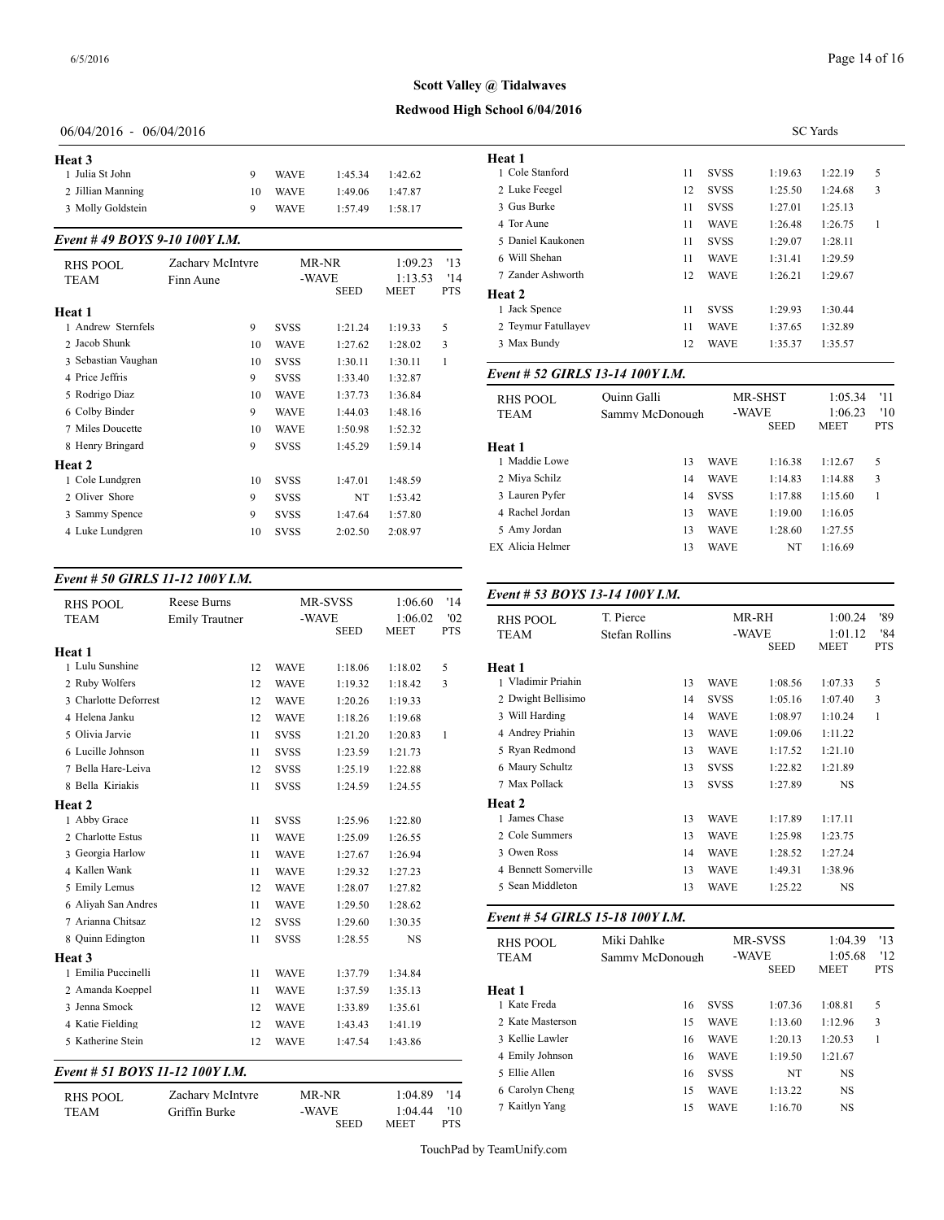## **Redwood High School 6/04/2016**

## 06/04/2016 - 06/04/2016

| Heat 3            |    |             |         |         | Heat 1 |
|-------------------|----|-------------|---------|---------|--------|
| 1 Julia St John   |    | <b>WAVE</b> | 1:45.34 | 1:42.62 | 1 Col  |
| 2 Jillian Manning | 10 | <b>WAVE</b> | 1:49.06 | 1.47.87 | 2 Luk  |
| 3 Molly Goldstein |    | <b>WAVE</b> | 1:57.49 | 1:58.17 | 3 Gus  |

## *Event # 49 BOYS 9-10 100Y I.M.*

| <b>RHS POOL</b><br>TEAM | Zacharv McIntvre<br>Finn Aune |             | MR-NR<br>-WAVE | 1:09.23<br>1:13.53 | '13<br>'14 | 6 Will Shehan<br>7 Zander Ashwort |
|-------------------------|-------------------------------|-------------|----------------|--------------------|------------|-----------------------------------|
| Heat 1                  |                               |             | <b>SEED</b>    | MEET               | <b>PTS</b> | <b>Heat 2</b><br>1 Jack Spence    |
| 1 Andrew Sternfels      | 9                             | <b>SVSS</b> | 1:21.24        | 1:19.33            | 5          | 2 Teymur Fatullay                 |
| 2 Jacob Shunk           | 10                            | <b>WAVE</b> | 1:27.62        | 1:28.02            | 3          | 3 Max Bundy                       |
| 3 Sebastian Vaughan     | 10                            | <b>SVSS</b> | 1:30.11        | 1:30.11            | 1          |                                   |
| 4 Price Jeffris         | 9                             | <b>SVSS</b> | 1:33.40        | 1:32.87            |            | Event # 52 GIRI                   |
| 5 Rodrigo Diaz          | 10                            | <b>WAVE</b> | 1:37.73        | 1:36.84            |            | <b>RHS POOL</b>                   |
| 6 Colby Binder          | 9                             | <b>WAVE</b> | 1:44.03        | 1:48.16            |            | <b>TEAM</b>                       |
| 7 Miles Doucette        | 10                            | <b>WAVE</b> | 1:50.98        | 1:52.32            |            |                                   |
| 8 Henry Bringard        | 9                             | <b>SVSS</b> | 1:45.29        | 1:59.14            |            | Heat 1                            |
| Heat 2                  |                               |             |                |                    |            | 1 Maddie Lowe                     |
| 1 Cole Lundgren         | 10                            | <b>SVSS</b> | 1:47.01        | 1:48.59            |            | 2 Miya Schilz                     |
| 2 Oliver Shore          | 9                             | <b>SVSS</b> | NT             | 1:53.42            |            | 3 Lauren Pyfer                    |
| 3 Sammy Spence          | 9                             | <b>SVSS</b> | 1:47.64        | 1:57.80            |            | 4 Rachel Jordan                   |
| 4 Luke Lundgren         | 10                            | <b>SVSS</b> | 2:02.50        | 2:08.97            |            | 5 Amy Jordan                      |
|                         |                               |             |                |                    |            |                                   |

#### *Event # 50 GIRLS 11-12 100Y I.M.*

| <b>RHS POOL</b>                 | <b>Reese Burns</b>    |    |             | MR-SVSS     | 1:06.60                | '14               | Event # 53 BOY                 |
|---------------------------------|-----------------------|----|-------------|-------------|------------------------|-------------------|--------------------------------|
| <b>TEAM</b>                     | <b>Emily Trautner</b> |    | -WAVE       | <b>SEED</b> | 1:06.02<br><b>MEET</b> | '02<br><b>PTS</b> | <b>RHS POOL</b><br><b>TEAM</b> |
| Heat 1                          |                       |    |             |             |                        |                   |                                |
| 1 Lulu Sunshine                 |                       | 12 | <b>WAVE</b> | 1:18.06     | 1:18.02                | 5                 | Heat 1                         |
| 2 Ruby Wolfers                  |                       | 12 | <b>WAVE</b> | 1:19.32     | 1:18.42                | 3                 | 1 Vladimir Priahir             |
| 3 Charlotte Deforrest           |                       | 12 | <b>WAVE</b> | 1:20.26     | 1:19.33                |                   | 2 Dwight Bellisim              |
| 4 Helena Janku                  |                       | 12 | <b>WAVE</b> | 1:18.26     | 1:19.68                |                   | 3 Will Harding                 |
| 5 Olivia Jarvie                 |                       | 11 | <b>SVSS</b> | 1:21.20     | 1:20.83                | $\mathbf{1}$      | 4 Andrey Priahin               |
| 6 Lucille Johnson               |                       | 11 | <b>SVSS</b> | 1:23.59     | 1:21.73                |                   | 5 Rvan Redmond                 |
| 7 Bella Hare-Leiva              |                       | 12 | <b>SVSS</b> | 1:25.19     | 1:22.88                |                   | 6 Maury Schultz                |
| 8 Bella Kiriakis                |                       | 11 | <b>SVSS</b> | 1:24.59     | 1:24.55                |                   | 7 Max Pollack                  |
| Heat 2                          |                       |    |             |             |                        |                   | Heat 2                         |
| 1 Abby Grace                    |                       | 11 | <b>SVSS</b> | 1:25.96     | 1:22.80                |                   | 1 James Chase                  |
| 2 Charlotte Estus               |                       | 11 | <b>WAVE</b> | 1:25.09     | 1:26.55                |                   | 2 Cole Summers                 |
| 3 Georgia Harlow                |                       | 11 | <b>WAVE</b> | 1:27.67     | 1:26.94                |                   | 3 Owen Ross                    |
| 4 Kallen Wank                   |                       | 11 | <b>WAVE</b> | 1:29.32     | 1:27.23                |                   | 4 Bennett Somerv               |
| 5 Emily Lemus                   |                       | 12 | <b>WAVE</b> | 1:28.07     | 1:27.82                |                   | 5 Sean Middleton               |
| 6 Aliyah San Andres             |                       | 11 | <b>WAVE</b> | 1:29.50     | 1:28.62                |                   |                                |
| 7 Arianna Chitsaz               |                       | 12 | <b>SVSS</b> | 1:29.60     | 1:30.35                |                   | Event # 54 GIRI                |
| 8 Quinn Edington                |                       | 11 | <b>SVSS</b> | 1:28.55     | <b>NS</b>              |                   | <b>RHS POOL</b>                |
| <b>Heat 3</b>                   |                       |    |             |             |                        |                   | <b>TEAM</b>                    |
| 1 Emilia Puccinelli             |                       | 11 | <b>WAVE</b> | 1:37.79     | 1:34.84                |                   |                                |
| 2 Amanda Koeppel                |                       | 11 | <b>WAVE</b> | 1:37.59     | 1:35.13                |                   | Heat 1                         |
| 3 Jenna Smock                   |                       | 12 | <b>WAVE</b> | 1:33.89     | 1:35.61                |                   | 1 Kate Freda                   |
| 4 Katie Fielding                |                       | 12 | <b>WAVE</b> | 1:43.43     | 1:41.19                |                   | 2 Kate Masterson               |
| 5 Katherine Stein               |                       | 12 | <b>WAVE</b> | 1:47.54     | 1:43.86                |                   | 3 Kellie Lawler                |
|                                 |                       |    |             |             |                        |                   | 4 Emily Johnson                |
| Event # 51 BOYS 11-12 100Y I.M. |                       |    |             |             |                        |                   | 5 Ellie Allen                  |
| <b>RHS POOL</b>                 | Zachary McIntyre      |    | MR-NR       |             | 1:04.89                | '14               | 6 Carolyn Cheng                |
| <b>TEAM</b>                     | Griffin Burke         |    | -WAVE       | <b>SEED</b> | 1:04.44<br><b>MEET</b> | '10<br><b>PTS</b> | 7 Kaitlyn Yang                 |

|                     | <b>SC</b> Yards |             |         |         |   |  |  |  |
|---------------------|-----------------|-------------|---------|---------|---|--|--|--|
| Heat 1              |                 |             |         |         |   |  |  |  |
| 1 Cole Stanford     | 11              | <b>SVSS</b> | 1:19.63 | 1:22.19 | 5 |  |  |  |
| 2 Luke Feegel       | 12              | <b>SVSS</b> | 1:25.50 | 1:24.68 | 3 |  |  |  |
| 3 Gus Burke         | 11              | <b>SVSS</b> | 1:27.01 | 1:25.13 |   |  |  |  |
| 4 Tor Aune          | 11              | <b>WAVE</b> | 1:26.48 | 1:26.75 | 1 |  |  |  |
| 5 Daniel Kaukonen   | 11              | <b>SVSS</b> | 1:29.07 | 1:28.11 |   |  |  |  |
| 6 Will Shehan       | 11              | <b>WAVE</b> | 1:31.41 | 1:29.59 |   |  |  |  |
| 7 Zander Ashworth   | 12              | <b>WAVE</b> | 1:26.21 | 1:29.67 |   |  |  |  |
| Heat 2              |                 |             |         |         |   |  |  |  |
| 1 Jack Spence       | 11              | <b>SVSS</b> | 1:29.93 | 1:30.44 |   |  |  |  |
| 2 Teymur Fatullayev | 11              | <b>WAVE</b> | 1:37.65 | 1:32.89 |   |  |  |  |
| 3 Max Bundy         | 12              | <b>WAVE</b> | 1:35.37 | 1:35.57 |   |  |  |  |
|                     |                 |             |         |         |   |  |  |  |

## *Event # 52 GIRLS 13-14 100Y I.M.*

| <b>RHS POOL</b><br><b>TEAM</b> | Ouinn Galli<br>Sammy McDonough |             | MR-SHST<br>-WAVE |             | '11<br>'10 |
|--------------------------------|--------------------------------|-------------|------------------|-------------|------------|
|                                |                                |             | <b>SEED</b>      | <b>MEET</b> | <b>PTS</b> |
| Heat 1                         |                                |             |                  |             |            |
| 1 Maddie Lowe                  | 13                             | <b>WAVE</b> | 1:16.38          | 1:12.67     | 5          |
| 2 Miya Schilz                  | 14                             | <b>WAVE</b> | 1:14.83          | 1:14.88     | 3          |
| 3 Lauren Pyfer                 | 14                             | <b>SVSS</b> | 1:17.88          | 1:15.60     |            |
| 4 Rachel Jordan                | 13                             | <b>WAVE</b> | 1:19.00          | 1:16.05     |            |
| 5 Amy Jordan                   | 13                             | <b>WAVE</b> | 1:28.60          | 1:27.55     |            |
| EX Alicia Helmer               | 13                             | <b>WAVE</b> | NT               | 1:16.69     |            |
|                                |                                |             |                  |             |            |

### *Event # 53 BOYS 13-14 100Y I.M.*

| <b>RHS POOL</b>                  | T. Pierce      |    |             | MR-RH       | 1:00.24                | '89               |
|----------------------------------|----------------|----|-------------|-------------|------------------------|-------------------|
| <b>TEAM</b>                      | Stefan Rollins |    | -WAVE       | <b>SEED</b> | 1:01.12<br><b>MEET</b> | '84<br><b>PTS</b> |
| Heat 1                           |                |    |             |             |                        |                   |
| 1 Vladimir Priahin               |                | 13 | <b>WAVE</b> | 1:08.56     | 1:07.33                | 5                 |
| 2 Dwight Bellisimo               |                | 14 | <b>SVSS</b> | 1:05.16     | 1:07.40                | 3                 |
| 3 Will Harding                   |                | 14 | <b>WAVE</b> | 1:08.97     | 1:10.24                | 1                 |
| 4 Andrey Priahin                 |                | 13 | <b>WAVE</b> | 1:09.06     | 1:11.22                |                   |
| 5 Ryan Redmond                   |                | 13 | <b>WAVE</b> | 1:17.52     | 1:21.10                |                   |
| 6 Maury Schultz                  |                | 13 | <b>SVSS</b> | 1:22.82     | 1:21.89                |                   |
| 7 Max Pollack                    |                | 13 | <b>SVSS</b> | 1:27.89     | <b>NS</b>              |                   |
| Heat 2                           |                |    |             |             |                        |                   |
| 1 James Chase                    |                | 13 | <b>WAVE</b> | 1:17.89     | 1:17.11                |                   |
| 2 Cole Summers                   |                | 13 | <b>WAVE</b> | 1:25.98     | 1:23.75                |                   |
| 3 Owen Ross                      |                | 14 | <b>WAVE</b> | 1:28.52     | 1:27.24                |                   |
| 4 Bennett Somerville             |                | 13 | <b>WAVE</b> | 1:49.31     | 1:38.96                |                   |
| 5 Sean Middleton                 |                | 13 | <b>WAVE</b> | 1:25.22     | <b>NS</b>              |                   |
| Event # 54 GIRLS 15-18 100Y I.M. |                |    |             |             |                        |                   |
| <b>RHS POOL</b>                  | Miki Dahlke    |    |             | MR-SVSS     | 1:04.39                | '13               |

| KH3 FUUL         | $\cdots$        |             | 1111 U I U U | .           |            |
|------------------|-----------------|-------------|--------------|-------------|------------|
| TEAM             | Sammy McDonough | -WAVE       |              | 1:05.68     | '12        |
|                  |                 |             | <b>SEED</b>  | <b>MEET</b> | <b>PTS</b> |
| Heat 1           |                 |             |              |             |            |
| 1 Kate Freda     | 16              | <b>SVSS</b> | 1:07.36      | 1:08.81     | 5          |
| 2 Kate Masterson | 15              | <b>WAVE</b> | 1:13.60      | 1:12.96     | 3          |
| 3 Kellie Lawler  | 16              | <b>WAVE</b> | 1:20.13      | 1:20.53     |            |
| 4 Emily Johnson  | 16              | <b>WAVE</b> | 1:19.50      | 1:21.67     |            |
| 5 Ellie Allen    | 16              | <b>SVSS</b> | NT           | NS          |            |
| 6 Carolyn Cheng  | 15              | <b>WAVE</b> | 1:13.22      | NS          |            |
| 7 Kaitlyn Yang   | 15              | <b>WAVE</b> | 1:16.70      | NS          |            |

TouchPad by TeamUnify.com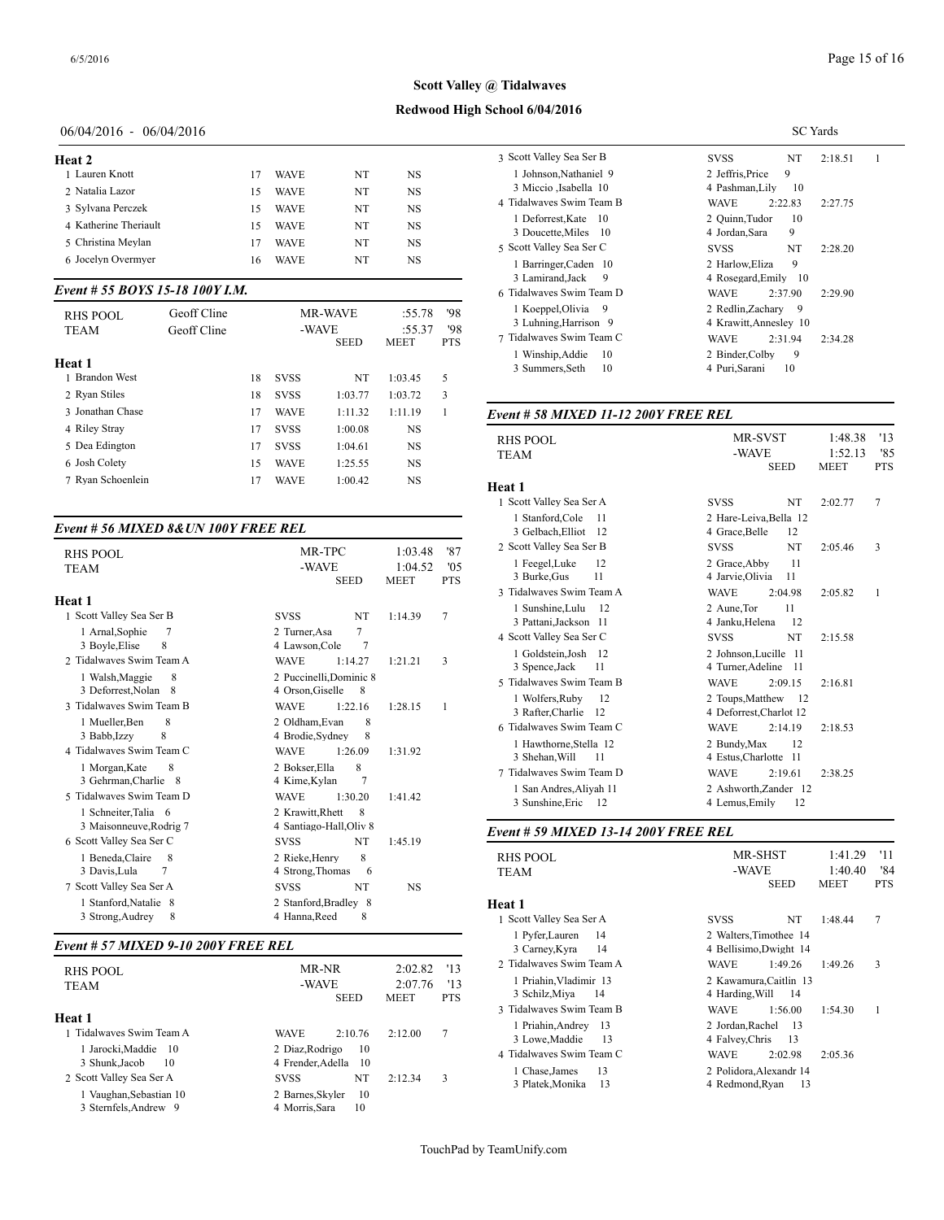## **Redwood High School 6/04/2016**

## 06/04/2016 - 06/04/2016

# **Heat 2**

| псат 4                |    |             |    |    |                |
|-----------------------|----|-------------|----|----|----------------|
| 1 Lauren Knott        | 17 | <b>WAVE</b> | NT | NS | 1 Joh          |
| 2 Natalia Lazor       | 15 | <b>WAVE</b> | NT | NS | 3 Mi           |
| 3 Sylvana Perczek     | 15 | <b>WAVE</b> | NT | NS | 4 Tidaly       |
| 4 Katherine Theriault | 15 | <b>WAVE</b> | NT | NS | 1 De<br>$3$ Do |
| 5 Christina Mevlan    | 17 | <b>WAVE</b> | NT | NS | 5 Scott        |
| 6 Jocelyn Overmyer    | 6  | <b>WAVE</b> | NT | NS | 1 Bai          |
|                       |    |             |    |    |                |

#### *Event # 55 BOYS 15-18 100Y I.M.*

| <b>RHS POOL</b><br>TEAM<br>Heat 1 | Geoff Cline<br>Geoff Cline |    |             | <b>MR-WAVE</b><br>-WAVE<br><b>SEED</b> | :55.78<br>:55.37<br><b>MEET</b> | '98<br>'98<br><b>PTS</b> | 1 Koeppel, Olivia<br>-9<br>3 Luhning, Harrison 9<br>7 Tidalwayes Swim Team C<br>Winship, Addie<br>10<br>3 Summers, Seth<br>10 | 2 Redlin.Zachary 9<br>4 Krawitt, Annesley 10<br><b>WAVE</b><br>2:31.94<br>2:34.28<br>2 Binder, Colby<br>9<br>4 Puri, Sarani<br>10 |
|-----------------------------------|----------------------------|----|-------------|----------------------------------------|---------------------------------|--------------------------|-------------------------------------------------------------------------------------------------------------------------------|-----------------------------------------------------------------------------------------------------------------------------------|
| <b>Brandon West</b>               |                            | 18 | <b>SVSS</b> | NT                                     | 1:03.45                         |                          |                                                                                                                               |                                                                                                                                   |
| 2 Ryan Stiles                     |                            | 18 | <b>SVSS</b> | 1:03.77                                | 1:03.72                         | 3                        |                                                                                                                               |                                                                                                                                   |
| 3 Jonathan Chase                  |                            | 17 | <b>WAVE</b> | 1:11.32                                | 1:11.19                         |                          | Event # 58 MIXED 11-12 200Y FREE REL                                                                                          |                                                                                                                                   |
| 4 Riley Stray                     |                            | 17 | <b>SVSS</b> | 1:00.08                                | <b>NS</b>                       |                          |                                                                                                                               |                                                                                                                                   |
| 5 Dea Edington                    |                            | 17 | <b>SVSS</b> | 1:04.61                                | <b>NS</b>                       |                          | <b>RHS POOL</b>                                                                                                               | -13<br>1:48.38<br><b>MR-SVST</b><br>'8'<br>1:52.1<br>3<br>-WAVE                                                                   |
| 6 Josh Colety                     |                            | 15 | <b>WAVE</b> | 1:25.55                                | NS                              |                          | TEAM                                                                                                                          | <b>MEET</b><br><b>SEED</b><br><b>PTS</b>                                                                                          |
| 7 Ryan Schoenlein                 |                            |    | <b>WAVE</b> | 1:00.42                                | <b>NS</b>                       |                          | $H_{\alpha\alpha}$ + 1                                                                                                        |                                                                                                                                   |

#### *Event # 56 MIXED 8&UN 100Y FREE REL*

| <b>RHS POOL</b><br><b>TEAM</b>                   | MR-TPC<br>-WAVE<br><b>SEED</b>                         | 1:03.48<br>1:04.52<br><b>MEET</b> | '87<br>'05<br><b>PTS</b> | 2 Scott Valley Sea<br>1 Feegel, Luke<br>3 Burke, Gus |
|--------------------------------------------------|--------------------------------------------------------|-----------------------------------|--------------------------|------------------------------------------------------|
|                                                  |                                                        |                                   |                          | 3 Tidalwaves Swi                                     |
| Heat 1<br>1 Scott Valley Sea Ser B               | NT<br><b>SVSS</b>                                      | 1:14.39                           | 7                        | 1 Sunshine, Lul<br>3 Pattani, Jacks                  |
| 1 Arnal, Sophie<br>7<br>8<br>3 Boyle, Elise      | 7<br>2 Turner, Asa<br>$\overline{7}$<br>4 Lawson, Cole |                                   |                          | 4 Scott Valley Sea                                   |
| 2. Tidalwayes Swim Team A                        | <b>WAVE</b><br>1:14.27                                 | 1:21.21                           | 3                        | 1 Goldstein, Jos<br>3 Spence, Jack                   |
| 8<br>1 Walsh, Maggie                             | 2 Puccinelli Dominic 8                                 |                                   |                          | 5 Tidalwaves Swi                                     |
| 3 Deforrest, Nolan 8<br>3 Tidalwaves Swim Team B | 4 Orson, Giselle<br>8<br><b>WAVE</b><br>1:22.16        | 1:28.15                           | $\mathbf{1}$             | 1 Wolfers.Rub<br>3 Rafter, Charli                    |
| 8<br>1 Mueller, Ben                              | 2 Oldham.Evan<br>8                                     |                                   |                          | 6 Tidalwaves Swi                                     |
| 8<br>3 Babb, Izzy<br>4 Tidalwayes Swim Team C    | 4 Brodie, Sydney<br>8<br><b>WAVE</b><br>1:26.09        | 1:31.92                           |                          | 1 Hawthorne, S<br>3 Shehan, Will                     |
| 8<br>1 Morgan, Kate                              | 8<br>2 Bokser, Ella                                    |                                   |                          | 7 Tidalwaves Swi                                     |
| 3 Gehrman, Charlie 8<br>5 Tidalwayes Swim Team D | 4 Kime, Kylan<br>7<br><b>WAVE</b><br>1:30.20           | 1:41.42                           |                          | 1 San Andres, A<br>3 Sunshine, Eri                   |
| 1 Schneiter, Talia 6                             | 2 Krawitt, Rhett<br>8                                  |                                   |                          |                                                      |
| 3 Maisonneuve, Rodrig 7                          | 4 Santiago-Hall, Oliv 8                                |                                   |                          | Event # 59 MIX                                       |
| 6 Scott Valley Sea Ser C                         | <b>NT</b><br><b>SVSS</b>                               | 1:45.19                           |                          |                                                      |
| 1 Beneda, Claire<br>8                            | 8<br>2 Rieke, Henry                                    |                                   |                          | <b>RHS POOL</b>                                      |
| 3 Davis, Lula<br>7                               | 4 Strong, Thomas<br>6                                  |                                   |                          | <b>TEAM</b>                                          |
| 7 Scott Valley Sea Ser A                         | NT<br><b>SVSS</b>                                      | <b>NS</b>                         |                          |                                                      |
| 1 Stanford, Natalie 8<br>8<br>3 Strong, Audrey   | 2 Stanford, Bradley 8<br>4 Hanna, Reed<br>8            |                                   |                          | Heat 1<br>1 Scott Valley Sea                         |

#### *Event # 57 MIXED 9-10 200Y FREE REL*

| <b>RHS POOL</b><br><b>TEAM</b>                            | MR-NR<br>-WAVE<br><b>SEED</b>                  | '13<br>2:02.82<br>'13<br>2:07.76<br><b>PTS</b><br><b>MEET</b> | 2 Tidalwaves Swi<br>1 Priahin, Vlad:<br>3 Schilz, Miya<br>3 Tidalwaves Swi |
|-----------------------------------------------------------|------------------------------------------------|---------------------------------------------------------------|----------------------------------------------------------------------------|
| Heat 1<br>1 Tidalwayes Swim Team A<br>1 Jarocki.Maddie 10 | <b>WAVE</b><br>2:10.76<br>2 Diaz.Rodrigo<br>10 | 7<br>2:12.00                                                  | 1 Priahin, Andr<br>3 Lowe, Maddi                                           |
| 3 Shunk, Jacob<br>10<br>2 Scott Valley Sea Ser A          | 4 Frender, Adella 10<br>NT<br><b>SVSS</b>      | 3<br>2:12.34                                                  | 4 Tidalwaves Swi<br>1 Chase, James<br>3 Platek.Monik                       |
| 1 Vaughan, Sebastian 10<br>3 Sternfels, Andrew 9          | 2 Barnes, Skyler<br>10<br>4 Morris, Sara<br>10 |                                                               |                                                                            |

|                           | <b>SC</b> Yards                   |
|---------------------------|-----------------------------------|
| 3 Scott Valley Sea Ser B  | NT<br>2:18.51<br>1<br><b>SVSS</b> |
| 1 Johnson, Nathaniel 9    | 2 Jeffris.Price<br>9              |
| 3 Miccio , Isabella 10    | 4 Pashman, Lily<br>10             |
| 4 Tidalwayes Swim Team B  | <b>WAVE</b><br>2:22.83<br>2:27.75 |
| 1 Deforrest, Kate<br>- 10 | 2 Ouinn.Tudor<br>10               |
| 3 Doucette, Miles 10      | 9<br>4 Jordan,Sara                |
| 5 Scott Valley Sea Ser C  | <b>SVSS</b><br>NT<br>2:28.20      |
| 1 Barringer, Caden 10     | 9<br>2 Harlow, Eliza              |
| 3 Lamirand.Jack<br>9      | 4 Rosegard, Emily 10              |
| 6 Tidalwaves Swim Team D  | <b>WAVE</b><br>2:37.90<br>2:29.90 |
| 1 Koeppel, Olivia<br>9    | 2 Redlin, Zachary 9               |
| 3 Luhning, Harrison 9     | 4 Krawitt, Annesley 10            |
| 7 Tidalwaves Swim Team C  | <b>WAVE</b><br>2:31.94<br>2:34.28 |
| 1 Winship, Addie<br>10    | 2 Binder, Colby<br>9              |
| 3 Summers, Seth<br>10     | 4 Puri, Sarani<br>10              |

| RHS POOL<br><b>TEAM</b>                                                    | <b>MR-SVST</b><br>-WAVE<br><b>SEED</b>                                | 1:48.38<br>1:52.13<br><b>MEET</b> | '13<br>'85<br><b>PTS</b> |
|----------------------------------------------------------------------------|-----------------------------------------------------------------------|-----------------------------------|--------------------------|
| Heat 1                                                                     |                                                                       |                                   |                          |
| 1 Scott Valley Sea Ser A                                                   | NT<br><b>SVSS</b>                                                     | 2:02.77                           | 7                        |
| 1 Stanford, Cole<br>11<br>3 Gelbach, Elliot<br>12                          | 2 Hare-Leiva, Bella 12<br>12<br>4 Grace, Belle                        |                                   |                          |
| 2 Scott Valley Sea Ser B                                                   | NT<br><b>SVSS</b>                                                     | 2:05.46                           | 3                        |
| 1 Feegel, Luke<br>12<br>3 Burke, Gus<br>11                                 | 11<br>2 Grace, Abby<br>4 Jarvie, Olivia<br>11                         |                                   |                          |
| 3 Tidalwayes Swim Team A                                                   | <b>WAVE</b><br>2:04.98                                                | 2:05.82                           | 1                        |
| 1 Sunshine, Lulu<br>12<br>3 Pattani, Jackson 11                            | 2 Aune.Tor<br>11<br>12<br>4 Janku, Helena                             |                                   |                          |
| 4 Scott Valley Sea Ser C                                                   | <b>SVSS</b><br>NT                                                     | 2:15.58                           |                          |
| 1 Goldstein, Josh 12<br>3 Spence, Jack<br>11                               | 2 Johnson, Lucille 11<br>4 Turner, Adeline<br>- 11                    |                                   |                          |
| 5 Tidalwaves Swim Team B                                                   | <b>WAVE</b><br>2:09.15                                                | 2:16.81                           |                          |
| 1 Wolfers, Ruby<br>12<br>3 Rafter, Charlie 12                              | 2 Toups, Matthew 12<br>4 Deforrest, Charlot 12                        |                                   |                          |
| 6 Tidalwayes Swim Team C                                                   | <b>WAVE</b><br>2:14.19                                                | 2:18.53                           |                          |
| 1 Hawthorne, Stella 12<br>3 Shehan, Will<br>11<br>7 Tidalwaves Swim Team D | 2 Bundy, Max<br>12<br>4 Estus, Charlotte 11<br><b>WAVE</b><br>2:19.61 |                                   |                          |
| 1 San Andres, Aliyah 11<br>3 Sunshine, Eric<br>-12                         | 2 Ashworth, Zander 12<br>4 Lemus, Emily<br>12                         | 2:38.25                           |                          |

#### *Event # 59 MIXED 13-14 200Y FREE REL*

| MR-SHST<br>RHS POOL<br>-WAVE<br><b>TEAM</b><br><b>SEED</b><br><b>MEET</b>                             | '11<br>1:41.29<br>1:40.40<br>'84<br><b>PTS</b> |
|-------------------------------------------------------------------------------------------------------|------------------------------------------------|
| Heat 1                                                                                                |                                                |
| 1 Scott Valley Sea Ser A<br>NT.<br><b>SVSS</b><br>1:48.44                                             | 7                                              |
| 1 Pyfer, Lauren<br>14<br>2 Walters, Timothee 14<br>14<br>4 Bellisimo, Dwight 14<br>3 Carney, Kyra     |                                                |
| 2 Tidalwaves Swim Team A<br><b>WAVE</b><br>1:49.26<br>1:49.26                                         | 3                                              |
| 1 Priahin, Vladimir 13<br>2 Kawamura, Caitlin 13<br>3 Schilz, Miya<br>14<br>4 Harding, Will<br>14     |                                                |
| 3 Tidalwaves Swim Team B<br><b>WAVE</b><br>1:56.00<br>1:54.30                                         | 1                                              |
| 1 Priahin, Andrey<br>2 Jordan, Rachel<br>13<br>- 13<br>3 Lowe, Maddie<br>4 Falvey, Chris<br>13<br>-13 |                                                |
| 4 Tidalwaves Swim Team C<br><b>WAVE</b><br>2:05.36<br>2:02.98                                         |                                                |
| 13<br>2 Polidora, Alexandr 14<br>1 Chase, James<br>3 Platek, Monika<br>4 Redmond.Rvan<br>13<br>13     |                                                |